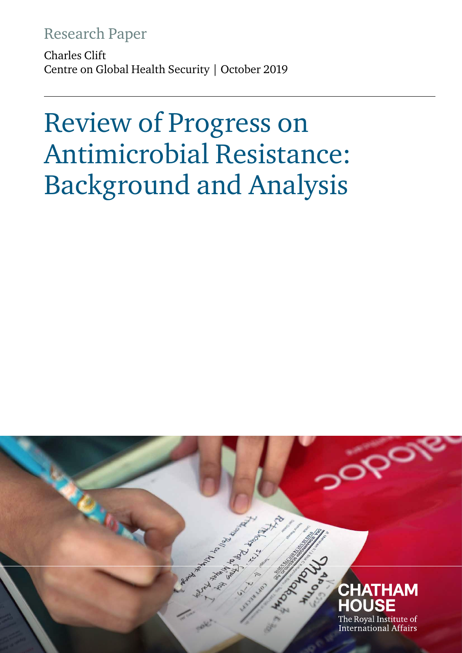# Research Paper

Charles Clift Centre on Global Health Security | October 2019

# Review of Progress on Antimicrobial Resistance: Background and Analysis

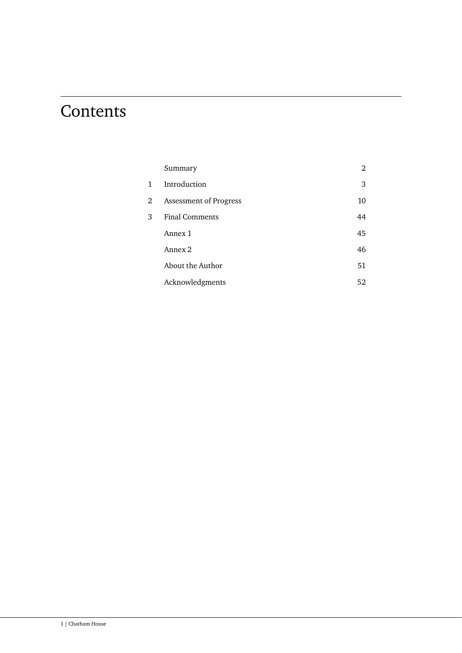# **Contents**

|                | Summary                       | 2  |
|----------------|-------------------------------|----|
| 1              | Introduction                  | 3  |
| $\overline{2}$ | <b>Assessment of Progress</b> | 10 |
| 3              | <b>Final Comments</b>         | 44 |
|                | Annex 1                       | 45 |
|                | Annex 2                       | 46 |
|                | About the Author              | 51 |
|                | Acknowledgments               | 52 |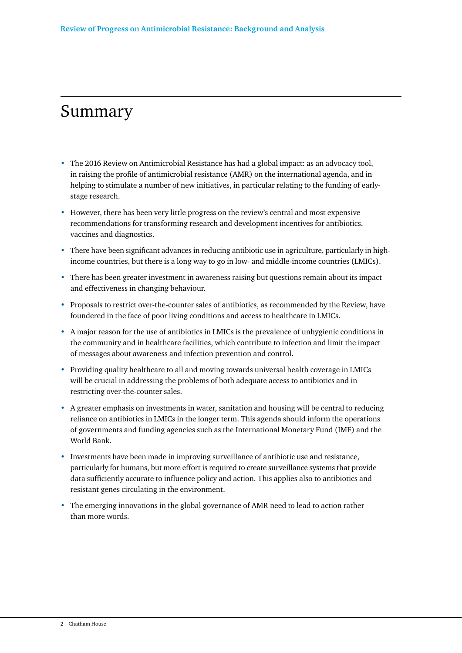# Summary

- The 2016 Review on Antimicrobial Resistance has had a global impact: as an advocacy tool, in raising the profile of antimicrobial resistance (AMR) on the international agenda, and in helping to stimulate a number of new initiatives, in particular relating to the funding of earlystage research.
- However, there has been very little progress on the review's central and most expensive recommendations for transforming research and development incentives for antibiotics, vaccines and diagnostics.
- There have been significant advances in reducing antibiotic use in agriculture, particularly in highincome countries, but there is a long way to go in low- and middle-income countries (LMICs).
- There has been greater investment in awareness raising but questions remain about its impact and effectiveness in changing behaviour.
- Proposals to restrict over-the-counter sales of antibiotics, as recommended by the Review, have foundered in the face of poor living conditions and access to healthcare in LMICs.
- A major reason for the use of antibiotics in LMICs is the prevalence of unhygienic conditions in the community and in healthcare facilities, which contribute to infection and limit the impact of messages about awareness and infection prevention and control.
- Providing quality healthcare to all and moving towards universal health coverage in LMICs will be crucial in addressing the problems of both adequate access to antibiotics and in restricting over-the-counter sales.
- A greater emphasis on investments in water, sanitation and housing will be central to reducing reliance on antibiotics in LMICs in the longer term. This agenda should inform the operations of governments and funding agencies such as the International Monetary Fund (IMF) and the World Bank.
- Investments have been made in improving surveillance of antibiotic use and resistance, particularly for humans, but more effort is required to create surveillance systems that provide data sufficiently accurate to influence policy and action. This applies also to antibiotics and resistant genes circulating in the environment.
- The emerging innovations in the global governance of AMR need to lead to action rather than more words.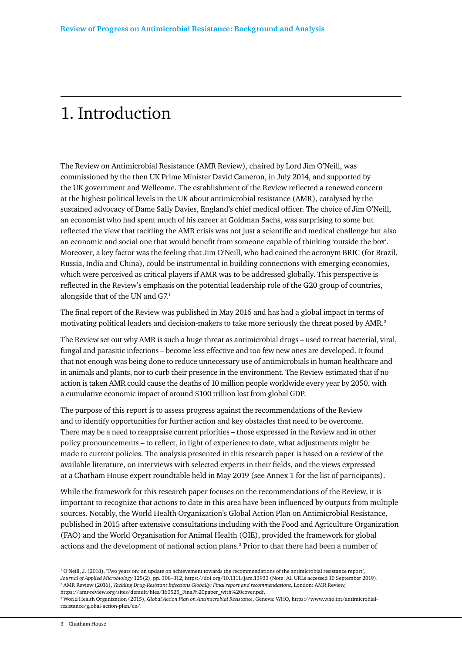# 1. Introduction

The Review on Antimicrobial Resistance (AMR Review), chaired by Lord Jim O'Neill, was commissioned by the then UK Prime Minister David Cameron, in July 2014, and supported by the UK government and Wellcome. The establishment of the Review reflected a renewed concern at the highest political levels in the UK about antimicrobial resistance (AMR), catalysed by the sustained advocacy of Dame Sally Davies, England's chief medical officer. The choice of Jim O'Neill, an economist who had spent much of his career at Goldman Sachs, was surprising to some but reflected the view that tackling the AMR crisis was not just a scientific and medical challenge but also an economic and social one that would benefit from someone capable of thinking 'outside the box'. Moreover, a key factor was the feeling that Jim O'Neill, who had coined the acronym BRIC (for Brazil, Russia, India and China), could be instrumental in building connections with emerging economies, which were perceived as critical players if AMR was to be addressed globally. This perspective is reflected in the Review's emphasis on the potential leadership role of the G20 group of countries, alongside that of the UN and G7.1

The final report of the Review was published in May 2016 and has had a global impact in terms of motivating political leaders and decision-makers to take more seriously the threat posed by AMR.<sup>2</sup>

The Review set out why AMR is such a huge threat as antimicrobial drugs – used to treat bacterial, viral, fungal and parasitic infections – become less effective and too few new ones are developed. It found that not enough was being done to reduce unnecessary use of antimicrobials in human healthcare and in animals and plants, nor to curb their presence in the environment. The Review estimated that if no action is taken AMR could cause the deaths of 10 million people worldwide every year by 2050, with a cumulative economic impact of around \$100 trillion lost from global GDP.

The purpose of this report is to assess progress against the recommendations of the Review and to identify opportunities for further action and key obstacles that need to be overcome. There may be a need to reappraise current priorities – those expressed in the Review and in other policy pronouncements – to reflect, in light of experience to date, what adjustments might be made to current policies. The analysis presented in this research paper is based on a review of the available literature, on interviews with selected experts in their fields, and the views expressed at a Chatham House expert roundtable held in May 2019 (see Annex 1 for the list of participants).

While the framework for this research paper focuses on the recommendations of the Review, it is important to recognize that actions to date in this area have been influenced by outputs from multiple sources. Notably, the World Health Organization's Global Action Plan on Antimicrobial Resistance, published in 2015 after extensive consultations including with the Food and Agriculture Organization (FAO) and the World Organisation for Animal Health (OIE), provided the framework for global actions and the development of national action plans.<sup>3</sup> Prior to that there had been a number of

<sup>&</sup>lt;sup>1</sup> O'Neill, J. (2018), 'Two years on: an update on achievement towards the recommendations of the antimicrobial resistance report', *Journal of Applied Microbiology* 125(2), pp. 308–312, https://doi.org/10.1111/jam.13933 (Note: All URLs accessed 10 September 2019). 2 AMR Review (2016), *Tackling Drug-Resistant Infections Globally: Final report and recommendations,* London: AMR Review, https://amr-review.org/sites/default/files/160525\_Final%20paper\_with%20cover.pdf.

<sup>3</sup> World Health Organization (2015), *Global Action Plan on Antimicrobial Resistance*, Geneva: WHO, https://www.who.int/antimicrobialresistance/global-action-plan/en/.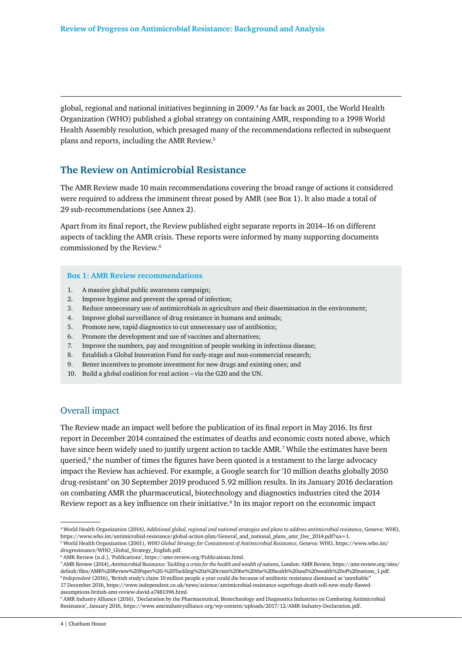global, regional and national initiatives beginning in 2009.4 As far back as 2001, the World Health Organization (WHO) published a global strategy on containing AMR, responding to a 1998 World Health Assembly resolution, which presaged many of the recommendations reflected in subsequent plans and reports, including the AMR Review.5

# **The Review on Antimicrobial Resistance**

The AMR Review made 10 main recommendations covering the broad range of actions it considered were required to address the imminent threat posed by AMR (see Box 1). It also made a total of 29 sub-recommendations (see Annex 2).

Apart from its final report, the Review published eight separate reports in 2014–16 on different aspects of tackling the AMR crisis. These reports were informed by many supporting documents commissioned by the Review.<sup>6</sup>

#### **Box 1: AMR Review recommendations**

- 1. A massive global public awareness campaign;
- 2. Improve hygiene and prevent the spread of infection;
- 3. Reduce unnecessary use of antimicrobials in agriculture and their dissemination in the environment;
- 4. Improve global surveillance of drug resistance in humans and animals;
- 5. Promote new, rapid diagnostics to cut unnecessary use of antibiotics;
- 6. Promote the development and use of vaccines and alternatives;
- 7. Improve the numbers, pay and recognition of people working in infectious disease;
- 8. Establish a Global Innovation Fund for early-stage and non-commercial research;
- 9. Better incentives to promote investment for new drugs and existing ones; and
- 10. Build a global coalition for real action via the G20 and the UN.

# Overall impact

The Review made an impact well before the publication of its final report in May 2016. Its first report in December 2014 contained the estimates of deaths and economic costs noted above, which have since been widely used to justify urgent action to tackle AMR.<sup>7</sup> While the estimates have been queried, $8$  the number of times the figures have been quoted is a testament to the large advocacy impact the Review has achieved. For example, a Google search for '10 million deaths globally 2050 drug-resistant' on 30 September 2019 produced 5.92 million results. In its January 2016 declaration on combating AMR the pharmaceutical, biotechnology and diagnostics industries cited the 2014 Review report as a key influence on their initiative.<sup>9</sup> In its major report on the economic impact

<sup>4</sup> World Health Organization (2014*), Additional global, regional and national strategies and plans to address antimicrobial resistance*, Geneva: WHO, https://www.who.int/antimicrobial-resistance/global-action-plan/General\_and\_national\_plans\_amr\_Dec\_2014.pdf?ua=1.

<sup>5</sup> World Health Organization (2001), *WHO Global Strategy for Containment of Antimicrobial Resistance*, Geneva: WHO, https://www.who.int/ drugresistance/WHO\_Global\_Strategy\_English.pdf.

<sup>6</sup> AMR Review (n.d.), 'Publications', https://amr-review.org/Publications.html.

<sup>7</sup> AMR Review (2014), *Antimicrobial Resistance: Tackling a crisis for the health and wealth of nations,* London: AMR Review, https://amr-review.org/sites/ default/files/AMR%20Review%20Paper%20-%20Tackling%20a%20crisis%20for%20the%20health%20and%20wealth%20of%20nations\_1.pdf. <sup>8</sup>*Independent* (2016), 'British study's claim 10 million people a year could die because of antibiotic resistance dismissed as 'unreliable'' 17 December 2016, https://www.independent.co.uk/news/science/antimicrobial-resistance-superbugs-death-toll-new-study-flawedassumptions-british-amr-review-david-a7481396.html.

<sup>9</sup> AMR Industry Alliance (2016), 'Declaration by the Pharmaceutical, Biotechnology and Diagnostics Industries on Combating Antimicrobial Resistance', January 2016, https://www.amrindustryalliance.org/wp-content/uploads/2017/12/AMR-Industry-Declaration.pdf.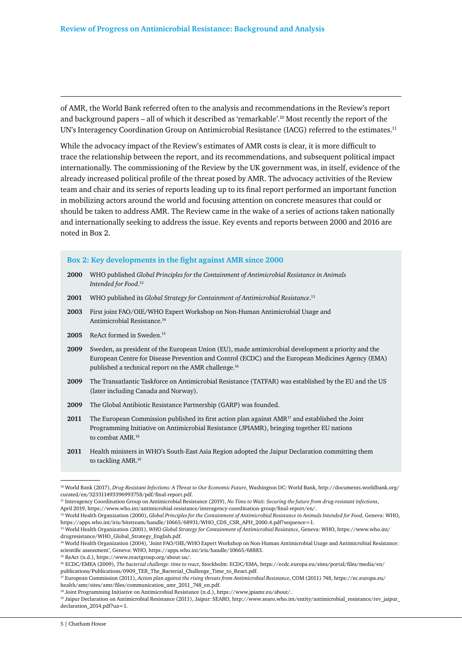of AMR, the World Bank referred often to the analysis and recommendations in the Review's report and background papers – all of which it described as 'remarkable'.10 Most recently the report of the UN's Interagency Coordination Group on Antimicrobial Resistance (IACG) referred to the estimates.<sup>11</sup>

While the advocacy impact of the Review's estimates of AMR costs is clear, it is more difficult to trace the relationship between the report, and its recommendations, and subsequent political impact internationally. The commissioning of the Review by the UK government was, in itself, evidence of the already increased political profile of the threat posed by AMR. The advocacy activities of the Review team and chair and its series of reports leading up to its final report performed an important function in mobilizing actors around the world and focusing attention on concrete measures that could or should be taken to address AMR. The Review came in the wake of a series of actions taken nationally and internationally seeking to address the issue. Key events and reports between 2000 and 2016 are noted in Box 2.

#### **Box 2: Key developments in the fight against AMR since 2000**

- **2000** WHO published *Global Principles for the Containment of Antimicrobial Resistance in Animals Intended for Food*. 12
- **2001** WHO published its *Global Strategy for Containment of Antimicrobial Resistance*. 13
- **2003** First joint FAO/OIE/WHO Expert Workshop on Non-Human Antimicrobial Usage and Antimicrobial Resistance.14
- **2005** ReAct formed in Sweden.15
- **2009** Sweden, as president of the European Union (EU), made antimicrobial development a priority and the European Centre for Disease Prevention and Control (ECDC) and the European Medicines Agency (EMA) published a technical report on the AMR challenge.16
- **2009** The Transatlantic Taskforce on Antimicrobial Resistance (TATFAR) was established by the EU and the US (later including Canada and Norway).
- **2009** The Global Antibiotic Resistance Partnership (GARP) was founded.
- **2011** The European Commission published its first action plan against AMR17 and established the Joint Programming Initiative on Antimicrobial Resistance (JPIAMR), bringing together EU nations to combat AMR.<sup>18</sup>
- **2011** Health ministers in WHO's South-East Asia Region adopted the Jaipur Declaration committing them to tackling AMR.<sup>19</sup>

<sup>10</sup> World Bank (2017), *Drug-Resistant Infections: A Threat to Our Economic Future*, Washington DC: World Bank, http://documents.worldbank.org/ curated/en/323311493396993758/pdf/final-report.pdf.

<sup>11</sup> Interagency Coordination Group on Antimicrobial Resistance (2019), *No Time to Wait: Securing the future from drug-resistant infections*, April 2019, https://www.who.int/antimicrobial-resistance/interagency-coordination-group/final-report/en/.

<sup>12</sup> World Health Organization (2000), *Global Principles for the Containment of Antimicrobial Resistance in Animals Intended for Food*, Geneva: WHO, https://apps.who.int/iris/bitstream/handle/10665/68931/WHO\_CDS\_CSR\_APH\_2000.4.pdf?sequence=1.

<sup>13</sup> World Health Organization (2001), *WHO Global Strategy for Containment of Antimicrobial Resistance*, Geneva: WHO, https://www.who.int/ drugresistance/WHO\_Global\_Strategy\_English.pdf.

<sup>14</sup> World Health Organization (2004), 'Joint FAO/OIE/WHO Expert Workshop on Non-Human Antimicrobial Usage and Antimicrobial Resistance: scientific assessment', Geneva: WHO, https://apps.who.int/iris/handle/10665/68883.

<sup>15</sup> ReAct (n.d.), https://www.reactgroup.org/about-us/.

<sup>16</sup> ECDC/EMEA (2009), *The bacterial challenge: time to react*, Stockholm: ECDC/EMA, https://ecdc.europa.eu/sites/portal/files/media/en/ publications/Publications/0909\_TER\_The\_Bacterial\_Challenge\_Time\_to\_React.pdf.

<sup>17</sup> European Commission (2011), *Action plan against the rising threats from Antimicrobial Resistance*, COM (2011) 748, https://ec.europa.eu/ health/amr/sites/amr/files/communication\_amr\_2011\_748\_en.pdf.

<sup>18</sup> Joint Programming Initiative on Antimicrobial Resistance (n.d.), https://www.jpiamr.eu/about/.

<sup>19</sup> Jaipur Declaration on Antimicrobial Resistance (2011), Jaipur: SEARO, http://www.searo.who.int/entity/antimicrobial\_resistance/rev\_jaipur\_ declaration\_2014.pdf?ua=1.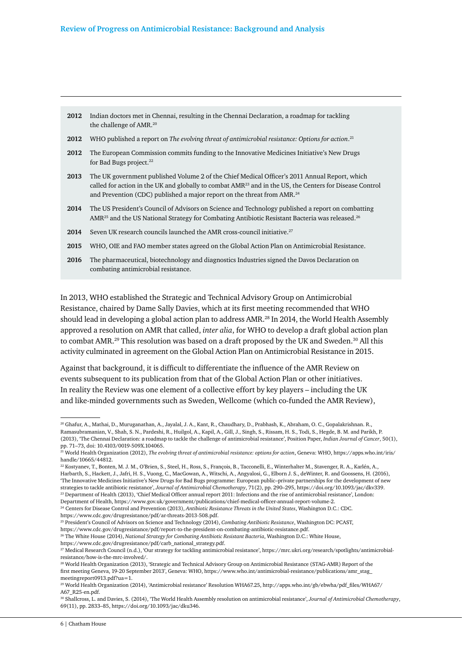- **2012** Indian doctors met in Chennai, resulting in the Chennai Declaration, a roadmap for tackling the challenge of AMR.<sup>20</sup>
- **2012** WHO published a report on *The evolving threat of antimicrobial resistance: Options for action*. 21
- **2012** The European Commission commits funding to the Innovative Medicines Initiative's New Drugs for Bad Bugs project.<sup>22</sup>
- **2013** The UK government published Volume 2 of the Chief Medical Officer's 2011 Annual Report, which called for action in the UK and globally to combat AMR23 and in the US, the Centers for Disease Control and Prevention (CDC) published a major report on the threat from AMR.<sup>24</sup>
- **2014** The US President's Council of Advisors on Science and Technology published a report on combatting AMR<sup>25</sup> and the US National Strategy for Combating Antibiotic Resistant Bacteria was released.<sup>26</sup>
- 2014 Seven UK research councils launched the AMR cross-council initiative.<sup>27</sup>
- **2015** WHO, OIE and FAO member states agreed on the Global Action Plan on Antimicrobial Resistance.
- **2016** The pharmaceutical, biotechnology and diagnostics Industries signed the Davos Declaration on combating antimicrobial resistance.

In 2013, WHO established the Strategic and Technical Advisory Group on Antimicrobial Resistance, chaired by Dame Sally Davies, which at its first meeting recommended that WHO should lead in developing a global action plan to address AMR.<sup>28</sup> In 2014, the World Health Assembly approved a resolution on AMR that called, *inter alia*, for WHO to develop a draft global action plan to combat AMR.<sup>29</sup> This resolution was based on a draft proposed by the UK and Sweden.<sup>30</sup> All this activity culminated in agreement on the Global Action Plan on Antimicrobial Resistance in 2015.

Against that background, it is difficult to differentiate the influence of the AMR Review on events subsequent to its publication from that of the Global Action Plan or other initiatives. In reality the Review was one element of a collective effort by key players – including the UK and like-minded governments such as Sweden, Wellcome (which co-funded the AMR Review),

25 President's Council of Advisors on Science and Technology (2014), *Combating Antibiotic Resistance*, Washington DC: PCAST, https://www.cdc.gov/drugresistance/pdf/report-to-the-president-on-combating-antibiotic-resistance.pdf.

<sup>26</sup> The White House (2014), *National Strategy for Combating Antibiotic Resistant Bacteria*, Washington D.C.: White House,

https://www.cdc.gov/drugresistance/pdf/carb\_national\_strategy.pdf.

<sup>20</sup> Ghafur, A., Mathai, D., Muruganathan, A., Jayalal, J. A., Kant, R., Chaudhary, D., Prabhash, K., Abraham, O. C., Gopalakrishnan. R., Ramasubramanian, V., Shah, S. N., Pardeshi, R., Huilgol, A., Kapil, A., Gill, J., Singh, S., Rissam, H. S., Todi, S., Hegde, B. M. and Parikh, P. (2013), 'The Chennai Declaration: a roadmap to tackle the challenge of antimicrobial resistance', Position Paper, *Indian Journal of Cancer*, 50(1), pp. 71–73, doi: 10.4103/0019-509X.104065.

<sup>21</sup> World Health Organization (2012), *The evolving threat of antimicrobial resistance: options for action*, Geneva: WHO, https://apps.who.int/iris/ handle/10665/44812.

<sup>22</sup> Kostyanev, T., Bonten, M. J. M., O'Brien, S., Steel, H., Ross, S., François, B., Tacconelli, E., Winterhalter M., Stavenger, R. A., Karlén, A., Harbarth, S., Hackett, J., Jafri, H. S., Vuong, C., MacGowan, A., Witschi, A., Angyalosi, G., Elborn J. S., deWinter, R. and Goossens, H. (2016), 'The Innovative Medicines Initiative's New Drugs for Bad Bugs programme: European public–private partnerships for the development of new strategies to tackle antibiotic resistance', *Journal of Antimicrobial Chemotherapy*, 71(2), pp. 290–295, https://doi.org/10.1093/jac/dkv339. <sup>23</sup> Department of Health (2013), 'Chief Medical Officer annual report 2011: Infections and the rise of antimicrobial resistance', London: Department of Health, https://www.gov.uk/government/publications/chief-medical-officer-annual-report-volume-2.

<sup>24</sup> Centers for Disease Control and Prevention (2013), *Antibiotic Resistance Threats in the United States*, Washington D.C.: CDC. https://www.cdc.gov/drugresistance/pdf/ar-threats-2013-508.pdf.

<sup>27</sup> Medical Research Council (n.d.), 'Our strategy for tackling antimicrobial resistance', https://mrc.ukri.org/research/spotlights/antimicrobialresistance/how-is-the-mrc-involved/.

<sup>&</sup>lt;sup>28</sup> World Health Organization (2013), 'Strategic and Technical Advisory Group on Antimicrobial Resistance (STAG-AMR) Report of the first meeting Geneva, 19-20 September 2013', Geneva: WHO, https://www.who.int/antimicrobial-resistance/publications/amr\_stag\_ meetingreport0913.pdf?ua=1.

<sup>29</sup> World Health Organization (2014), 'Antimicrobial resistance' Resolution WHA67.25, http://apps.who.int/gb/ebwha/pdf\_files/WHA67/ A67\_R25-en.pdf.

<sup>30</sup> Shallcross, L. and Davies, S. (2014), 'The World Health Assembly resolution on antimicrobial resistance', *Journal of Antimicrobial Chemotherapy*, 69(11), pp. 2833–85, https://doi.org/10.1093/jac/dku346.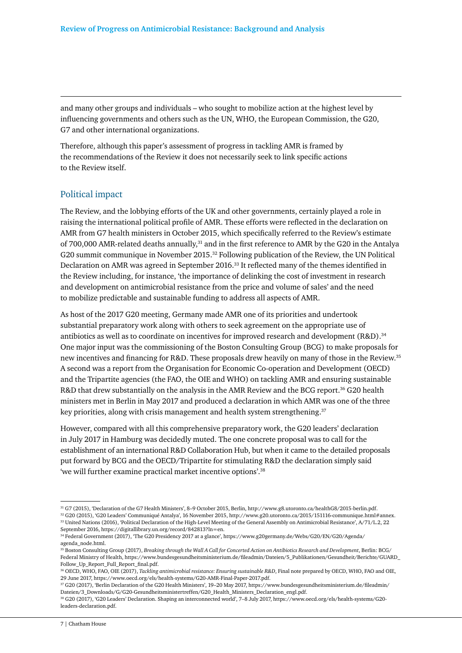and many other groups and individuals – who sought to mobilize action at the highest level by influencing governments and others such as the UN, WHO, the European Commission, the G20, G7 and other international organizations.

Therefore, although this paper's assessment of progress in tackling AMR is framed by the recommendations of the Review it does not necessarily seek to link specific actions to the Review itself.

#### Political impact

The Review, and the lobbying efforts of the UK and other governments, certainly played a role in raising the international political profile of AMR. These efforts were reflected in the declaration on AMR from G7 health ministers in October 2015, which specifically referred to the Review's estimate of 700,000 AMR-related deaths annually,<sup>31</sup> and in the first reference to AMR by the G20 in the Antalya G20 summit communique in November 2015.32 Following publication of the Review, the UN Political Declaration on AMR was agreed in September 2016.33 It reflected many of the themes identified in the Review including, for instance, 'the importance of delinking the cost of investment in research and development on antimicrobial resistance from the price and volume of sales' and the need to mobilize predictable and sustainable funding to address all aspects of AMR.

As host of the 2017 G20 meeting, Germany made AMR one of its priorities and undertook substantial preparatory work along with others to seek agreement on the appropriate use of antibiotics as well as to coordinate on incentives for improved research and development (R&D).<sup>34</sup> One major input was the commissioning of the Boston Consulting Group (BCG) to make proposals for new incentives and financing for R&D. These proposals drew heavily on many of those in the Review.<sup>35</sup> A second was a report from the Organisation for Economic Co-operation and Development (OECD) and the Tripartite agencies (the FAO, the OIE and WHO) on tackling AMR and ensuring sustainable R&D that drew substantially on the analysis in the AMR Review and the BCG report.<sup>36</sup> G20 health ministers met in Berlin in May 2017 and produced a declaration in which AMR was one of the three key priorities, along with crisis management and health system strengthening.<sup>37</sup>

However, compared with all this comprehensive preparatory work, the G20 leaders' declaration in July 2017 in Hamburg was decidedly muted. The one concrete proposal was to call for the establishment of an international R&D Collaboration Hub, but when it came to the detailed proposals put forward by BCG and the OECD/Tripartite for stimulating R&D the declaration simply said 'we will further examine practical market incentive options'.38

<sup>31</sup> G7 (2015), 'Declaration of the G7 Health Ministers', 8–9 October 2015, Berlin, http://www.g8.utoronto.ca/healthG8/2015-berlin.pdf. 32 G20 (2015), 'G20 Leaders' Communiqué Antalya', 16 November 2015, http://www.g20.utoronto.ca/2015/151116-communique.html#annex.

<sup>33</sup> United Nations (2016), 'Political Declaration of the High-Level Meeting of the General Assembly on Antimicrobial Resistance', A/71/L.2, 22 September 2016, https://digitallibrary.un.org/record/842813?ln=en.

<sup>34</sup> Federal Government (2017), 'The G20 Presidency 2017 at a glance', https://www.g20germany.de/Webs/G20/EN/G20/Agenda/ agenda\_node.html.

<sup>35</sup> Boston Consulting Group (2017), *Breaking through the Wall A Call for Concerted Action on Antibiotics Research and Development*, Berlin: BCG/ Federal Ministry of Health, https://www.bundesgesundheitsministerium.de/fileadmin/Dateien/5\_Publikationen/Gesundheit/Berichte/GUARD\_ Follow Up Report Full Report final.pdf.

<sup>36</sup> OECD, WHO, FAO, OIE (2017), *Tackling antimicrobial resistance: Ensuring sustainable R&D*, Final note prepared by OECD, WHO, FAO and OIE, 29 June 2017, https://www.oecd.org/els/health-systems/G20-AMR-Final-Paper-2017.pdf.

<sup>37</sup> G20 (2017), 'Berlin Declaration of the G20 Health Ministers', 19–20 May 2017, https://www.bundesgesundheitsministerium.de/fileadmin/ Dateien/3\_Downloads/G/G20-Gesundheitsministertreffen/G20\_Health\_Ministers\_Declaration\_engl.pdf.

<sup>38</sup> G20 (2017), 'G20 Leaders' Declaration. Shaping an interconnected world', 7–8 July 2017, https://www.oecd.org/els/health-systems/G20 leaders-declaration.pdf.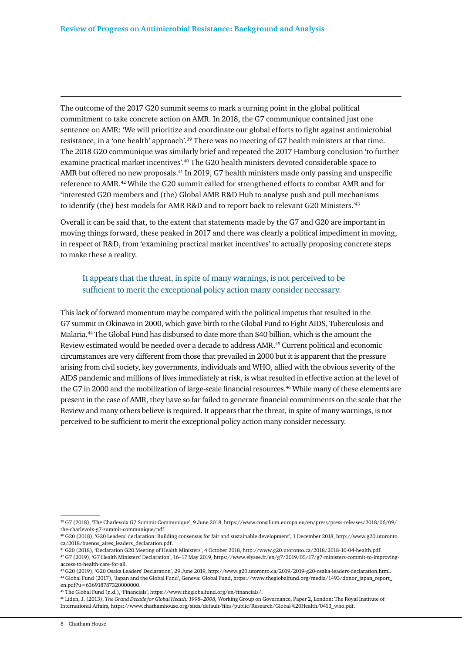The outcome of the 2017 G20 summit seems to mark a turning point in the global political commitment to take concrete action on AMR. In 2018, the G7 communique contained just one sentence on AMR: 'We will prioritize and coordinate our global efforts to fight against antimicrobial resistance, in a 'one health' approach'.39 There was no meeting of G7 health ministers at that time. The 2018 G20 communique was similarly brief and repeated the 2017 Hamburg conclusion 'to further examine practical market incentives'.<sup>40</sup> The G20 health ministers devoted considerable space to AMR but offered no new proposals.41 In 2019, G7 health ministers made only passing and unspecific reference to AMR.42 While the G20 summit called for strengthened efforts to combat AMR and for 'interested G20 members and (the) Global AMR R&D Hub to analyse push and pull mechanisms to identify (the) best models for AMR R&D and to report back to relevant G20 Ministers.<sup>143</sup>

Overall it can be said that, to the extent that statements made by the G7 and G20 are important in moving things forward, these peaked in 2017 and there was clearly a political impediment in moving, in respect of R&D, from 'examining practical market incentives' to actually proposing concrete steps to make these a reality.

# It appears that the threat, in spite of many warnings, is not perceived to be sufficient to merit the exceptional policy action many consider necessary.

This lack of forward momentum may be compared with the political impetus that resulted in the G7 summit in Okinawa in 2000, which gave birth to the Global Fund to Fight AIDS, Tuberculosis and Malaria.44 The Global Fund has disbursed to date more than \$40 billion, which is the amount the Review estimated would be needed over a decade to address AMR.45 Current political and economic circumstances are very different from those that prevailed in 2000 but it is apparent that the pressure arising from civil society, key governments, individuals and WHO, allied with the obvious severity of the AIDS pandemic and millions of lives immediately at risk, is what resulted in effective action at the level of the G7 in 2000 and the mobilization of large-scale financial resources.<sup>46</sup> While many of these elements are present in the case of AMR, they have so far failed to generate financial commitments on the scale that the Review and many others believe is required. It appears that the threat, in spite of many warnings, is not perceived to be sufficient to merit the exceptional policy action many consider necessary.

45 The Global Fund (n.d.), 'Financials', https://www.theglobalfund.org/en/financials/.

46 Liden, J. (2013), *The Grand Decade for Global Health: 1998–2008,* Working Group on Governance, Paper 2, London: The Royal Institute of International Affairs, https://www.chathamhouse.org/sites/default/files/public/Research/Global%20Health/0413\_who.pdf.

<sup>39</sup> G7 (2018), 'The Charlevoix G7 Summit Communique', 9 June 2018, https://www.consilium.europa.eu/en/press/press-releases/2018/06/09/ the-charlevoix-g7-summit-communique/pdf.

<sup>40</sup> G20 (2018), 'G20 Leaders' declaration: Building consensus for fair and sustainable development', 1 December 2018, http://www.g20.utoronto. ca/2018/buenos\_aires\_leaders\_declaration.pdf.

<sup>41</sup> G20 (2018), 'Declaration G20 Meeting of Health Ministers', 4 October 2018, http://www.g20.utoronto.ca/2018/2018-10-04-health.pdf.

 $^{42}$  G7 (2019), 'G7 Health Ministers' Declaration', 16–17 May 2019, https://www.elysee.fr/en/g7/2019/05/17/g7-ministers-commit-to-improvingaccess-to-health-care-for-all.

<sup>43</sup> G20 (2019), 'G20 Osaka Leaders' Declaration', 29 June 2019, http://www.g20.utoronto.ca/2019/2019-g20-osaka-leaders-declaration.html. 44 Global Fund (2017), 'Japan and the Global Fund', Geneva: Global Fund, https://www.theglobalfund.org/media/1493/donor\_japan\_report\_ en.pdf?u=636918787320000000.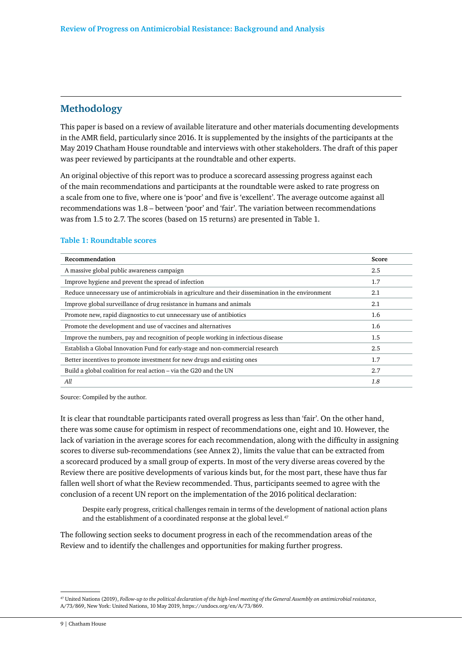# **Methodology**

This paper is based on a review of available literature and other materials documenting developments in the AMR field, particularly since 2016. It is supplemented by the insights of the participants at the May 2019 Chatham House roundtable and interviews with other stakeholders. The draft of this paper was peer reviewed by participants at the roundtable and other experts.

An original objective of this report was to produce a scorecard assessing progress against each of the main recommendations and participants at the roundtable were asked to rate progress on a scale from one to five, where one is 'poor' and five is 'excellent'. The average outcome against all recommendations was 1.8 – between 'poor' and 'fair'. The variation between recommendations was from 1.5 to 2.7. The scores (based on 15 returns) are presented in Table 1.

#### **Table 1: Roundtable scores**

| Recommendation                                                                                     | Score |
|----------------------------------------------------------------------------------------------------|-------|
| A massive global public awareness campaign                                                         | 2.5   |
| Improve hygiene and prevent the spread of infection                                                | 1.7   |
| Reduce unnecessary use of antimicrobials in agriculture and their dissemination in the environment | 2.1   |
| Improve global surveillance of drug resistance in humans and animals                               | 2.1   |
| Promote new, rapid diagnostics to cut unnecessary use of antibiotics                               | 1.6   |
| Promote the development and use of vaccines and alternatives                                       | 1.6   |
| Improve the numbers, pay and recognition of people working in infectious disease                   | 1.5   |
| Establish a Global Innovation Fund for early-stage and non-commercial research                     | 2.5   |
| Better incentives to promote investment for new drugs and existing ones                            | 1.7   |
| Build a global coalition for real action - via the G20 and the UN                                  | 2.7   |
| All                                                                                                | 1.8   |

Source: Compiled by the author.

It is clear that roundtable participants rated overall progress as less than 'fair'. On the other hand, there was some cause for optimism in respect of recommendations one, eight and 10. However, the lack of variation in the average scores for each recommendation, along with the difficulty in assigning scores to diverse sub-recommendations (see Annex 2), limits the value that can be extracted from a scorecard produced by a small group of experts. In most of the very diverse areas covered by the Review there are positive developments of various kinds but, for the most part, these have thus far fallen well short of what the Review recommended. Thus, participants seemed to agree with the conclusion of a recent UN report on the implementation of the 2016 political declaration:

Despite early progress, critical challenges remain in terms of the development of national action plans and the establishment of a coordinated response at the global level.<sup>47</sup>

The following section seeks to document progress in each of the recommendation areas of the Review and to identify the challenges and opportunities for making further progress.

<sup>47</sup> United Nations (2019), *Follow-up to the political declaration of the high-level meeting of the General Assembly on antimicrobial resistance*, A/73/869, New York: United Nations, 10 May 2019, https://undocs.org/en/A/73/869.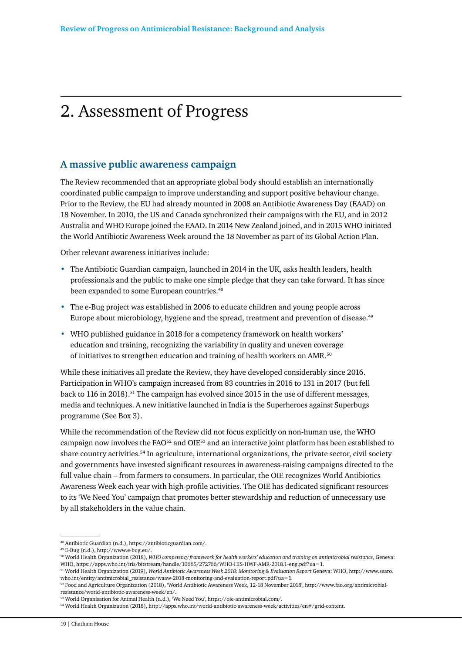# 2. Assessment of Progress

# **A massive public awareness campaign**

The Review recommended that an appropriate global body should establish an internationally coordinated public campaign to improve understanding and support positive behaviour change. Prior to the Review, the EU had already mounted in 2008 an Antibiotic Awareness Day (EAAD) on 18 November. In 2010, the US and Canada synchronized their campaigns with the EU, and in 2012 Australia and WHO Europe joined the EAAD. In 2014 New Zealand joined, and in 2015 WHO initiated the World Antibiotic Awareness Week around the 18 November as part of its Global Action Plan.

Other relevant awareness initiatives include:

- The Antibiotic Guardian campaign, launched in 2014 in the UK, asks health leaders, health professionals and the public to make one simple pledge that they can take forward. It has since been expanded to some European countries.<sup>48</sup>
- The e-Bug project was established in 2006 to educate children and young people across Europe about microbiology, hygiene and the spread, treatment and prevention of disease.49
- WHO published guidance in 2018 for a competency framework on health workers' education and training, recognizing the variability in quality and uneven coverage of initiatives to strengthen education and training of health workers on AMR.<sup>50</sup>

While these initiatives all predate the Review, they have developed considerably since 2016. Participation in WHO's campaign increased from 83 countries in 2016 to 131 in 2017 (but fell back to 116 in 2018).51 The campaign has evolved since 2015 in the use of different messages, media and techniques. A new initiative launched in India is the Superheroes against Superbugs programme (See Box 3).

While the recommendation of the Review did not focus explicitly on non-human use, the WHO campaign now involves the FAO52 and OIE53 and an interactive joint platform has been established to share country activities.<sup>54</sup> In agriculture, international organizations, the private sector, civil society and governments have invested significant resources in awareness-raising campaigns directed to the full value chain – from farmers to consumers. In particular, the OIE recognizes World Antibiotics Awareness Week each year with high-profile activities. The OIE has dedicated significant resources to its 'We Need You' campaign that promotes better stewardship and reduction of unnecessary use by all stakeholders in the value chain.

<sup>48</sup> Antibiotic Guardian (n.d.), https://antibioticguardian.com/.

<sup>49</sup> E-Bug (n.d.), http://www.e-bug.eu/.

<sup>50</sup> World Health Organization (2018), *WHO competency framework for health workers' education and training on antimicrobial resistance*, Geneva: WHO, https://apps.who.int/iris/bitstream/handle/10665/272766/WHO-HIS-HWF-AMR-2018.1-eng.pdf?ua=1.

<sup>51</sup> World Health Organization (2019), *World Antibiotic Awareness Week 2018: Monitoring & Evaluation Report* Geneva: WHO, http://www.searo. who.int/entity/antimicrobial\_resistance/waaw-2018-monitoring-and-evaluation-report.pdf?ua=1.

<sup>52</sup> Food and Agriculture Organization (2018), 'World Antibiotic Awareness Week, 12-18 November 2018', http://www.fao.org/antimicrobialresistance/world-antibiotic-awareness-week/en/.

<sup>53</sup> World Organisation for Animal Health (n.d.), 'We Need You', https://oie-antimicrobial.com/.

<sup>54</sup> World Health Organization (2018), http://apps.who.int/world-antibiotic-awareness-week/activities/en#/grid-content.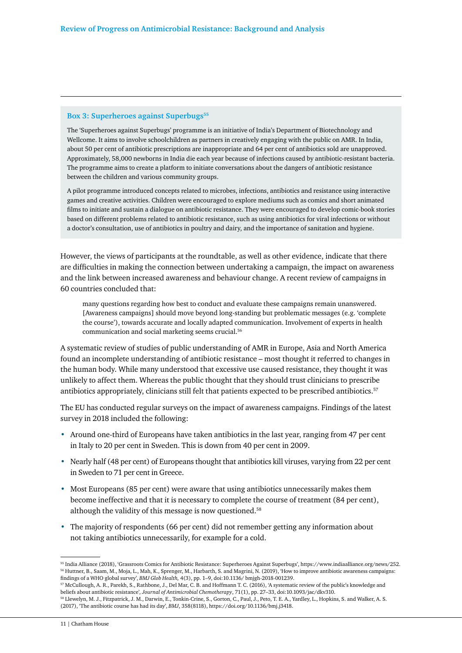#### **Box 3: Superheroes against Superbugs**<sup>55</sup>

The 'Superheroes against Superbugs' programme is an initiative of India's Department of Biotechnology and Wellcome. It aims to involve schoolchildren as partners in creatively engaging with the public on AMR. In India, about 50 per cent of antibiotic prescriptions are inappropriate and 64 per cent of antibiotics sold are unapproved. Approximately, 58,000 newborns in India die each year because of infections caused by antibiotic-resistant bacteria. The programme aims to create a platform to initiate conversations about the dangers of antibiotic resistance between the children and various community groups.

A pilot programme introduced concepts related to microbes, infections, antibiotics and resistance using interactive games and creative activities. Children were encouraged to explore mediums such as comics and short animated films to initiate and sustain a dialogue on antibiotic resistance. They were encouraged to develop comic-book stories based on different problems related to antibiotic resistance, such as using antibiotics for viral infections or without a doctor's consultation, use of antibiotics in poultry and dairy, and the importance of sanitation and hygiene.

However, the views of participants at the roundtable, as well as other evidence, indicate that there are difficulties in making the connection between undertaking a campaign, the impact on awareness and the link between increased awareness and behaviour change. A recent review of campaigns in 60 countries concluded that:

many questions regarding how best to conduct and evaluate these campaigns remain unanswered. [Awareness campaigns] should move beyond long-standing but problematic messages (e.g. 'complete the course'), towards accurate and locally adapted communication. Involvement of experts in health communication and social marketing seems crucial.56

A systematic review of studies of public understanding of AMR in Europe, Asia and North America found an incomplete understanding of antibiotic resistance – most thought it referred to changes in the human body. While many understood that excessive use caused resistance, they thought it was unlikely to affect them. Whereas the public thought that they should trust clinicians to prescribe antibiotics appropriately, clinicians still felt that patients expected to be prescribed antibiotics.57

The EU has conducted regular surveys on the impact of awareness campaigns. Findings of the latest survey in 2018 included the following:

- Around one-third of Europeans have taken antibiotics in the last year, ranging from 47 per cent in Italy to 20 per cent in Sweden. This is down from 40 per cent in 2009.
- Nearly half (48 per cent) of Europeans thought that antibiotics kill viruses, varying from 22 per cent in Sweden to 71 per cent in Greece.
- Most Europeans (85 per cent) were aware that using antibiotics unnecessarily makes them become ineffective and that it is necessary to complete the course of treatment (84 per cent), although the validity of this message is now questioned.<sup>58</sup>
- The majority of respondents (66 per cent) did not remember getting any information about not taking antibiotics unnecessarily, for example for a cold.

<sup>55</sup> India Alliance (2018), 'Grassroots Comics for Antibiotic Resistance: Superheroes Against Superbugs', https://www.indiaalliance.org/news/252. 56 Huttner, B., Saam, M., Moja, L., Mah, K., Sprenger, M., Harbarth, S. and Magrini, N. (2019), 'How to improve antibiotic awareness campaigns: findings of a WHO global survey', *BMJ Glob Health,* 4(3), pp. 1–9, doi:10.1136/ bmjgh-2018-001239.

<sup>57</sup> McCullough, A. R., Parekh, S., Rathbone, J., Del Mar, C. B. and Hoffmann T. C. (2016), 'A systematic review of the public's knowledge and beliefs about antibiotic resistance'*, Journal of Antimicrobial Chemotherapy*, 71(1), pp. 27–33, doi:10.1093/jac/dkv310.

<sup>58</sup> Llewelyn, M. J., Fitzpatrick, J. M., Darwin, E., Tonkin-Crine, S., Gorton, C., Paul, J., Peto, T. E. A., Yardley, L., Hopkins, S. and Walker, A. S. (2017), 'The antibiotic course has had its day', *BMJ*, 358(8118), https://doi.org/10.1136/bmj.j3418.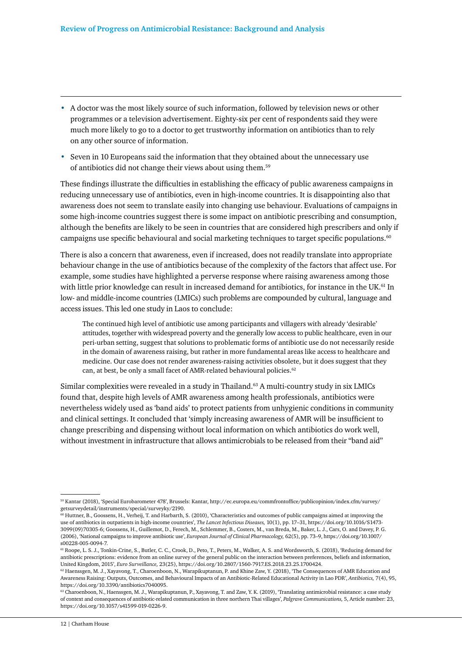- A doctor was the most likely source of such information, followed by television news or other programmes or a television advertisement. Eighty-six per cent of respondents said they were much more likely to go to a doctor to get trustworthy information on antibiotics than to rely on any other source of information.
- Seven in 10 Europeans said the information that they obtained about the unnecessary use of antibiotics did not change their views about using them.59

These findings illustrate the difficulties in establishing the efficacy of public awareness campaigns in reducing unnecessary use of antibiotics, even in high-income countries. It is disappointing also that awareness does not seem to translate easily into changing use behaviour. Evaluations of campaigns in some high-income countries suggest there is some impact on antibiotic prescribing and consumption, although the benefits are likely to be seen in countries that are considered high prescribers and only if campaigns use specific behavioural and social marketing techniques to target specific populations.<sup>60</sup>

There is also a concern that awareness, even if increased, does not readily translate into appropriate behaviour change in the use of antibiotics because of the complexity of the factors that affect use. For example, some studies have highlighted a perverse response where raising awareness among those with little prior knowledge can result in increased demand for antibiotics, for instance in the UK.<sup>61</sup> In low- and middle-income countries (LMICs) such problems are compounded by cultural, language and access issues. This led one study in Laos to conclude:

The continued high level of antibiotic use among participants and villagers with already 'desirable' attitudes, together with widespread poverty and the generally low access to public healthcare, even in our peri-urban setting, suggest that solutions to problematic forms of antibiotic use do not necessarily reside in the domain of awareness raising, but rather in more fundamental areas like access to healthcare and medicine. Our case does not render awareness-raising activities obsolete, but it does suggest that they can, at best, be only a small facet of AMR-related behavioural policies.<sup>62</sup>

Similar complexities were revealed in a study in Thailand.63 A multi-country study in six LMICs found that, despite high levels of AMR awareness among health professionals, antibiotics were nevertheless widely used as 'band aids' to protect patients from unhygienic conditions in community and clinical settings. It concluded that 'simply increasing awareness of AMR will be insufficient to change prescribing and dispensing without local information on which antibiotics do work well, without investment in infrastructure that allows antimicrobials to be released from their "band aid"

<sup>59</sup> Kantar (2018), 'Special Eurobarometer 478', Brussels: Kantar, http://ec.europa.eu/commfrontoffice/publicopinion/index.cfm/survey/ getsurveydetail/instruments/special/surveyky/2190.

<sup>60</sup> Huttner, B., Goossens, H., Verheij, T. and Harbarth, S. (2010), 'Characteristics and outcomes of public campaigns aimed at improving the use of antibiotics in outpatients in high-income countries', *The Lancet Infectious Diseases,* 10(1), pp. 17–31, https://doi.org/10.1016/S1473- 3099(09)70305-6; Goossens, H., Guillemot, D., Ferech, M., Schlemmer, B., Costers, M., van Breda, M., Baker, L. J., Cars, O. and Davey, P. G. (2006), 'National campaigns to improve antibiotic use', *European Journal of Clinical Pharmacology,* 62(5), pp. 73–9, https://doi.org/10.1007/ s00228-005-0094-7.

<sup>61</sup> Roope, L. S. J., Tonkin-Crine, S., Butler, C. C., Crook, D., Peto, T., Peters, M., Walker, A. S. and Wordsworth, S. (2018), 'Reducing demand for antibiotic prescriptions: evidence from an online survey of the general public on the interaction between preferences, beliefs and information, United Kingdom, 2015', *Euro Surveillance,* 23(25), https://doi.org/10.2807/1560-7917.ES.2018.23.25.1700424.

<sup>62</sup> Haenssgen, M. J., Xayavong, T., Charoenboon, N., Warapikuptanun, P. and Khine Zaw, Y. (2018), 'The Consequences of AMR Education and Awareness Raising: Outputs, Outcomes, and Behavioural Impacts of an Antibiotic-Related Educational Activity in Lao PDR', *Antibiotics,* 7(4), 95, https://doi.org/10.3390/antibiotics7040095.

<sup>&</sup>lt;sup>63</sup> Charoenboon, N., Haenssgen, M. J., Warapikuptanun, P., Xayavong, T. and Zaw, Y. K. (2019), 'Translating antimicrobial resistance: a case study of context and consequences of antibiotic-related communication in three northern Thai villages', *Palgrave Communications,* 5, Article number: 23, https://doi.org/10.1057/s41599-019-0226-9.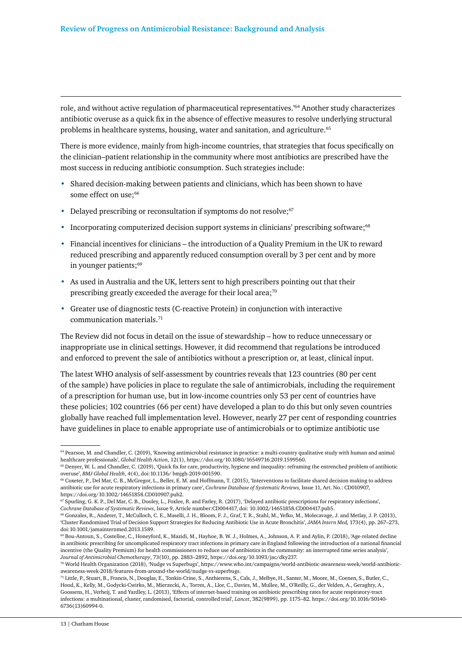role, and without active regulation of pharmaceutical representatives.'64 Another study characterizes antibiotic overuse as a quick fix in the absence of effective measures to resolve underlying structural problems in healthcare systems, housing, water and sanitation, and agriculture.65

There is more evidence, mainly from high-income countries, that strategies that focus specifically on the clinician–patient relationship in the community where most antibiotics are prescribed have the most success in reducing antibiotic consumption. Such strategies include:

- Shared decision-making between patients and clinicians, which has been shown to have some effect on use;<sup>66</sup>
- Delayed prescribing or reconsultation if symptoms do not resolve; $67$
- Incorporating computerized decision support systems in clinicians' prescribing software;<sup>68</sup>
- Financial incentives for clinicians the introduction of a Quality Premium in the UK to reward reduced prescribing and apparently reduced consumption overall by 3 per cent and by more in younger patients;<sup>69</sup>
- As used in Australia and the UK, letters sent to high prescribers pointing out that their prescribing greatly exceeded the average for their local area; $70$
- Greater use of diagnostic tests (C-reactive Protein) in conjunction with interactive communication materials.71

The Review did not focus in detail on the issue of stewardship – how to reduce unnecessary or inappropriate use in clinical settings. However, it did recommend that regulations be introduced and enforced to prevent the sale of antibiotics without a prescription or, at least, clinical input.

The latest WHO analysis of self-assessment by countries reveals that 123 countries (80 per cent of the sample) have policies in place to regulate the sale of antimicrobials, including the requirement of a prescription for human use, but in low-income countries only 53 per cent of countries have these policies; 102 countries (66 per cent) have developed a plan to do this but only seven countries globally have reached full implementation level. However, nearly 27 per cent of responding countries have guidelines in place to enable appropriate use of antimicrobials or to optimize antibiotic use

<sup>64</sup> Pearson, M. and Chandler, C. (2019), 'Knowing antimicrobial resistance in practice: a multi-country qualitative study with human and animal healthcare professionals', *Global Health Action*, 12(1), https://doi.org/10.1080/16549716.2019.1599560.

<sup>65</sup> Denyer, W. L. and Chandler, C. (2019), 'Quick fix for care, productivity, hygiene and inequality: reframing the entrenched problem of antibiotic overuse', *BMJ Global Health*, 4(4), doi:10.1136/ bmjgh-2019-001590.

<sup>66</sup> Coxeter, P., Del Mar, C. B., McGregor, L., Beller, E. M. and Hoffmann, T. (2015), 'Interventions to facilitate shared decision making to address antibiotic use for acute respiratory infections in primary care', *Cochrane Database of Systematic Reviews,* Issue 11, Art. No.: CD010907, https://doi.org/10.1002/14651858.CD010907.pub2.

<sup>67</sup> Spurling, G. K. P., Del Mar, C. B., Dooley, L., Foxlee, R. and Farley, R. (2017), 'Delayed antibiotic prescriptions for respiratory infections', *Cochrane Database of Systematic Reviews*, Issue 9, Article number:CD004417, doi: 10.1002/14651858.CD004417.pub5.

<sup>68</sup> Gonzales, R., Anderer, T., McCulloch, C. E., Maselli, J. H., Bloom, F. J., Graf, T. R., Stahl, M., Yefko, M., Molecavage, J. and Metlay, J. P. (2013), 'Cluster Randomized Trial of Decision Support Strategies for Reducing Antibiotic Use in Acute Bronchitis', *JAMA Intern Med,* 173(4), pp. 267–273, doi:10.1001/jamainternmed.2013.1589.

<sup>69</sup> Bou-Antoun, S., Costelloe, C., Honeyford, K., Mazidi, M., Hayhoe, B. W. J., Holmes, A., Johnson, A. P. and Aylin, P. (2018), 'Age-related decline in antibiotic prescribing for uncomplicated respiratory tract infections in primary care in England following the introduction of a national financial incentive (the Quality Premium) for health commissioners to reduce use of antibiotics in the community: an interrupted time series analysis', *Journal of Antimicrobial Chemotherapy*, 73(10), pp. 2883–2892, https://doi.org/10.1093/jac/dky237.

<sup>70</sup> World Health Organization (2018), 'Nudge vs Superbugs', https://www.who.int/campaigns/world-antibiotic-awareness-week/world-antibioticawareness-week-2018/features-from-around-the-world/nudge-vs-superbugs.

<sup>71</sup> Little, P., Stuart, B., Francis, N., Douglas, E., Tonkin-Crine, S., Anthierens, S., Cals, J., Melbye, H., Santer, M., Moore, M., Coenen, S., Butler, C., Hood, K., Kelly, M., Godycki-Cwirko, M., Mierzecki, A., Torres, A., Llor, C., Davies, M., Mullee, M., O'Reilly, G., der Velden, A., Geraghty, A., Goossens, H., Verheij, T. and Yardley, L. (2013), 'Effects of internet-based training on antibiotic prescribing rates for acute respiratory-tract infections: a multinational, cluster, randomised, factorial, controlled trial', *Lancet*, 382(9899), pp. 1175–82. https://doi.org/10.1016/S0140- 6736(13)60994-0.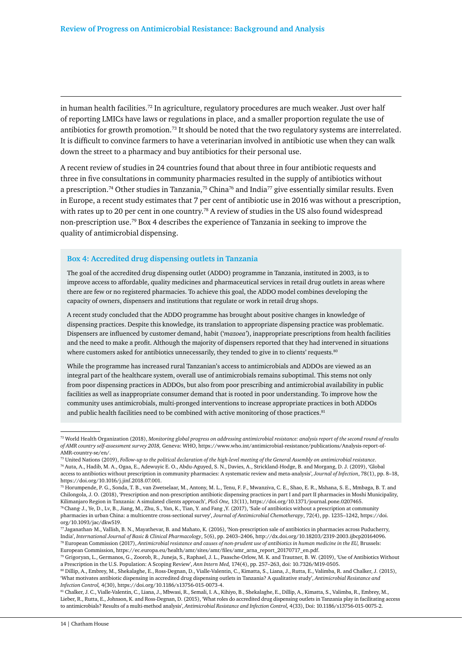in human health facilities.72 In agriculture, regulatory procedures are much weaker. Just over half of reporting LMICs have laws or regulations in place, and a smaller proportion regulate the use of antibiotics for growth promotion.73 It should be noted that the two regulatory systems are interrelated. It is difficult to convince farmers to have a veterinarian involved in antibiotic use when they can walk down the street to a pharmacy and buy antibiotics for their personal use.

A recent review of studies in 24 countries found that about three in four antibiotic requests and three in five consultations in community pharmacies resulted in the supply of antibiotics without a prescription.74 Other studies in Tanzania,75 China76 and India77 give essentially similar results. Even in Europe, a recent study estimates that 7 per cent of antibiotic use in 2016 was without a prescription, with rates up to 20 per cent in one country.<sup>78</sup> A review of studies in the US also found widespread non-prescription use.79 Box 4 describes the experience of Tanzania in seeking to improve the quality of antimicrobial dispensing.

#### **Box 4: Accredited drug dispensing outlets in Tanzania**

The goal of the accredited drug dispensing outlet (ADDO) programme in Tanzania, instituted in 2003, is to improve access to affordable, quality medicines and pharmaceutical services in retail drug outlets in areas where there are few or no registered pharmacies. To achieve this goal, the ADDO model combines developing the capacity of owners, dispensers and institutions that regulate or work in retail drug shops.

A recent study concluded that the ADDO programme has brought about positive changes in knowledge of dispensing practices. Despite this knowledge, its translation to appropriate dispensing practice was problematic. Dispensers are influenced by customer demand, habit ('*mazoea'*), inappropriate prescriptions from health facilities and the need to make a profit. Although the majority of dispensers reported that they had intervened in situations where customers asked for antibiotics unnecessarily, they tended to give in to clients' requests.<sup>80</sup>

While the programme has increased rural Tanzanian's access to antimicrobials and ADDOs are viewed as an integral part of the healthcare system, overall use of antimicrobials remains suboptimal. This stems not only from poor dispensing practices in ADDOs, but also from poor prescribing and antimicrobial availability in public facilities as well as inappropriate consumer demand that is rooted in poor understanding. To improve how the community uses antimicrobials, multi-pronged interventions to increase appropriate practices in both ADDOs and public health facilities need to be combined with active monitoring of those practices.  $^{81}$ 

81 Chalker, J. C., Vialle-Valentin, C., Liana, J., Mbwasi, R., Semali, I. A., Kihiyo, B., Shekalaghe, E., Dillip, A., Kimatta, S., Valimba, R., Embrey, M., Lieber, R., Rutta, E., Johnson, K. and Ross-Degnan, D. (2015), 'What roles do accredited drug dispensing outlets in Tanzania play in facilitating access to antimicrobials? Results of a multi-method analysis', *Antimicrobial Resistance and Infection Control,* 4(33), Doi: 10.1186/s13756-015-0075-2.

<sup>72</sup> World Health Organization (2018), *Monitoring global progress on addressing antimicrobial resistance: analysis report of the second round of results of AMR country self-assessment survey 2018,* Geneva: WHO, https://www.who.int/antimicrobial-resistance/publications/Analysis-report-of-AMR-country-se/en/.

<sup>73</sup> United Nations (2019), *Follow-up to the political declaration of the high-level meeting of the General Assembly on antimicrobial resistance*. 74 Auta, A., Hadib, M. A., Ogaa, E., Adewuyic E. O., Abdu-Aguyed, S. N., Davies, A., Strickland-Hodge, B. and Morgang, D. J. (2019), 'Global access to antibiotics without prescription in community pharmacies: A systematic review and meta-analysis', *Journal of Infection*, 78(1), pp. 8–18, https://doi.org/10.1016/j.jinf.2018.07.001.

<sup>75</sup> Horumpende, P. G., Sonda, T. B., van Zwetselaar, M., Antony, M. L., Tenu, F. F., Mwanziva, C. E., Shao, E. R., Mshana, S. E., Mmbaga, B. T. and Chilongola, J. O. (2018), 'Prescription and non-prescription antibiotic dispensing practices in part I and part II pharmacies in Moshi Municipality, Kilimanjaro Region in Tanzania: A simulated clients approach', *PloS One,* 13(11), https://doi.org/10.1371/journal.pone.0207465. 76 Chang, J., Ye, D., Lv, B., Jiang, M., Zhu, S., Yan, K., Tian, Y. and Fang ,Y. (2017), 'Sale of antibiotics without a prescription at community pharmacies in urban China: a multicentre cross-sectional survey', *Journal of Antimicrobial Chemotherapy*, 72(4), pp. 1235–1242, https://doi.

org/10.1093/jac/dkw519. 77 Jaganathan, M., Vallish, B. N., Mayathevar, B. and Mahato, K. (2016), 'Non-prescription sale of antibiotics in pharmacies across Puducherry, India', *International Journal of Basic & Clinical Pharmacology*, 5(6), pp. 2403–2406, http://dx.doi.org/10.18203/2319-2003.ijbcp20164096. 78 European Commission (2017), *Antimicrobial resistance and causes of non-prudent use of antibiotics in human medicine in the EU,* Brussels:

European Commission, https://ec.europa.eu/health/amr/sites/amr/files/amr\_arna\_report\_20170717\_en.pdf. 79 Grigoryan, L., Germanos, G., Zoorob, R., Juneja, S., Raphael, J. L., Paasche-Orlow, M. K. and Trautner, B. W. (2019), 'Use of Antibiotics Without

a Prescription in the U.S. Population: A Scoping Review', *Ann Intern Med,* 174(4), pp. 257–263, doi: 10.7326/M19-0505. 80 Dillip, A., Embrey, M., Shekalaghe, E., Ross-Degnan, D., Vialle-Valentin, C., Kimatta, S., Liana, J., Rutta, E., Valimba, R. and Chalker, J. (2015), 'What motivates antibiotic dispensing in accredited drug dispensing outlets in Tanzania? A qualitative study', *Antimicrobial Resistance and Infection Control,* 4(30), https://doi.org/10.1186/s13756-015-0073-4.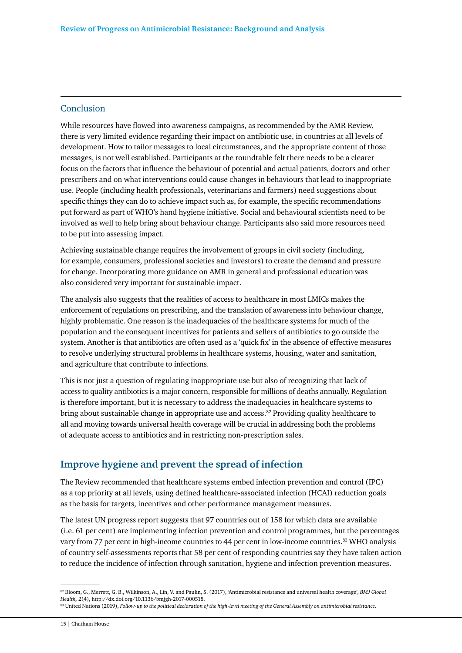#### Conclusion

While resources have flowed into awareness campaigns, as recommended by the AMR Review, there is very limited evidence regarding their impact on antibiotic use, in countries at all levels of development. How to tailor messages to local circumstances, and the appropriate content of those messages, is not well established. Participants at the roundtable felt there needs to be a clearer focus on the factors that influence the behaviour of potential and actual patients, doctors and other prescribers and on what interventions could cause changes in behaviours that lead to inappropriate use. People (including health professionals, veterinarians and farmers) need suggestions about specific things they can do to achieve impact such as, for example, the specific recommendations put forward as part of WHO's hand hygiene initiative. Social and behavioural scientists need to be involved as well to help bring about behaviour change. Participants also said more resources need to be put into assessing impact.

Achieving sustainable change requires the involvement of groups in civil society (including, for example, consumers, professional societies and investors) to create the demand and pressure for change. Incorporating more guidance on AMR in general and professional education was also considered very important for sustainable impact.

The analysis also suggests that the realities of access to healthcare in most LMICs makes the enforcement of regulations on prescribing, and the translation of awareness into behaviour change, highly problematic. One reason is the inadequacies of the healthcare systems for much of the population and the consequent incentives for patients and sellers of antibiotics to go outside the system. Another is that antibiotics are often used as a 'quick fix' in the absence of effective measures to resolve underlying structural problems in healthcare systems, housing, water and sanitation, and agriculture that contribute to infections.

This is not just a question of regulating inappropriate use but also of recognizing that lack of access to quality antibiotics is a major concern, responsible for millions of deaths annually. Regulation is therefore important, but it is necessary to address the inadequacies in healthcare systems to bring about sustainable change in appropriate use and access. $82$  Providing quality healthcare to all and moving towards universal health coverage will be crucial in addressing both the problems of adequate access to antibiotics and in restricting non-prescription sales.

# **Improve hygiene and prevent the spread of infection**

The Review recommended that healthcare systems embed infection prevention and control (IPC) as a top priority at all levels, using defined healthcare-associated infection (HCAI) reduction goals as the basis for targets, incentives and other performance management measures.

The latest UN progress report suggests that 97 countries out of 158 for which data are available (i.e. 61 per cent) are implementing infection prevention and control programmes, but the percentages vary from 77 per cent in high-income countries to 44 per cent in low-income countries.83 WHO analysis of country self-assessments reports that 58 per cent of responding countries say they have taken action to reduce the incidence of infection through sanitation, hygiene and infection prevention measures.

<sup>82</sup> Bloom, G., Merrett, G. B., Wilkinson, A., Lin, V. and Paulin, S. (2017), 'Antimicrobial resistance and universal health coverage', *BMJ Global Health,* 2(4), http://dx.doi.org/10.1136/bmjgh-2017-000518.

<sup>83</sup> United Nations (2019), *Follow-up to the political declaration of the high-level meeting of the General Assembly on antimicrobial resistance*.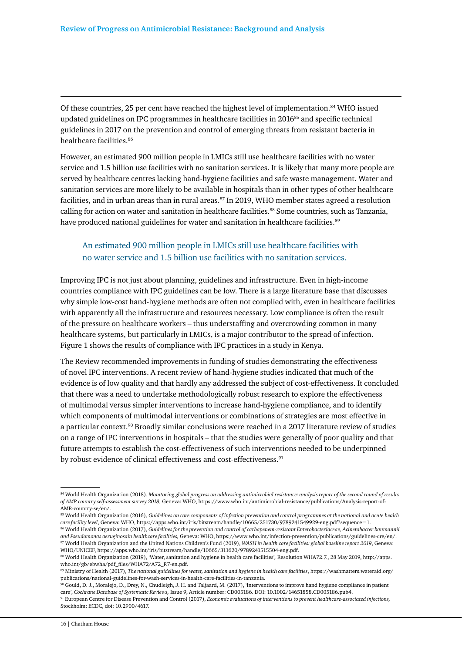Of these countries, 25 per cent have reached the highest level of implementation.84 WHO issued updated guidelines on IPC programmes in healthcare facilities in 201685 and specific technical guidelines in 2017 on the prevention and control of emerging threats from resistant bacteria in healthcare facilities.86

However, an estimated 900 million people in LMICs still use healthcare facilities with no water service and 1.5 billion use facilities with no sanitation services. It is likely that many more people are served by healthcare centres lacking hand-hygiene facilities and safe waste management. Water and sanitation services are more likely to be available in hospitals than in other types of other healthcare facilities, and in urban areas than in rural areas.<sup>87</sup> In 2019, WHO member states agreed a resolution calling for action on water and sanitation in healthcare facilities.<sup>88</sup> Some countries, such as Tanzania, have produced national guidelines for water and sanitation in healthcare facilities.<sup>89</sup>

# An estimated 900 million people in LMICs still use healthcare facilities with no water service and 1.5 billion use facilities with no sanitation services.

Improving IPC is not just about planning, guidelines and infrastructure. Even in high-income countries compliance with IPC guidelines can be low. There is a large literature base that discusses why simple low-cost hand-hygiene methods are often not complied with, even in healthcare facilities with apparently all the infrastructure and resources necessary. Low compliance is often the result of the pressure on healthcare workers – thus understaffing and overcrowding common in many healthcare systems, but particularly in LMICs, is a major contributor to the spread of infection. Figure 1 shows the results of compliance with IPC practices in a study in Kenya.

The Review recommended improvements in funding of studies demonstrating the effectiveness of novel IPC interventions. A recent review of hand-hygiene studies indicated that much of the evidence is of low quality and that hardly any addressed the subject of cost-effectiveness. It concluded that there was a need to undertake methodologically robust research to explore the effectiveness of multimodal versus simpler interventions to increase hand-hygiene compliance, and to identify which components of multimodal interventions or combinations of strategies are most effective in a particular context.<sup>90</sup> Broadly similar conclusions were reached in a 2017 literature review of studies on a range of IPC interventions in hospitals – that the studies were generally of poor quality and that future attempts to establish the cost-effectiveness of such interventions needed to be underpinned by robust evidence of clinical effectiveness and cost-effectiveness.<sup>91</sup>

<sup>84</sup> World Health Organization (2018), *Monitoring global progress on addressing antimicrobial resistance: analysis report of the second round of results of AMR country self-assessment survey 2018,* Geneva: WHO, https://www.who.int/antimicrobial-resistance/publications/Analysis-report-of-AMR-country-se/en/.

<sup>85</sup> World Health Organization (2016), *Guidelines on core components of infection prevention and control programmes at the national and acute health care facility level*, Geneva: WHO, https://apps.who.int/iris/bitstream/handle/10665/251730/9789241549929-eng.pdf?sequence=1.

<sup>86</sup> World Health Organization (2017), *Guidelines for the prevention and control of carbapenem-resistant Enterobacteriaceae, Acinetobacter baumannii and Pseudomonas aeruginosain healthcare facilities,* Geneva: WHO, https://www.who.int/infection-prevention/publications/guidelines-cre/en/. 87 World Health Organization and the United Nations Children's Fund (2019), *WASH in health care facilities: global baseline report 2019*, Geneva: WHO/UNICEF, https://apps.who.int/iris/bitstream/handle/10665/311620/9789241515504-eng.pdf.

<sup>88</sup> World Health Organization (2019), 'Water, sanitation and hygiene in health care facilities'*,* Resolution WHA72.7., 28 May 2019, http://apps. who.int/gb/ebwha/pdf\_files/WHA72/A72\_R7-en.pdf.

<sup>89</sup> Ministry of Health (2017), *The national guidelines for water, sanitation and hygiene in health care facilities*, https://washmatters.wateraid.org/ publications/national-guidelines-for-wash-services-in-health-care-facilities-in-tanzania.

<sup>90</sup> Gould, D. J., Moralejo, D., Drey, N., Chudleigh, J. H. and Taljaard, M. (2017), 'Interventions to improve hand hygiene compliance in patient care', *Cochrane Database of Systematic Reviews,* Issue 9, Article number: CD005186. DOI: 10.1002/14651858.CD005186.pub4.

<sup>91</sup> European Centre for Disease Prevention and Control (2017), *Economic evaluations of interventions to prevent healthcare-associated infections,* Stockholm: ECDC, doi: 10.2900/4617.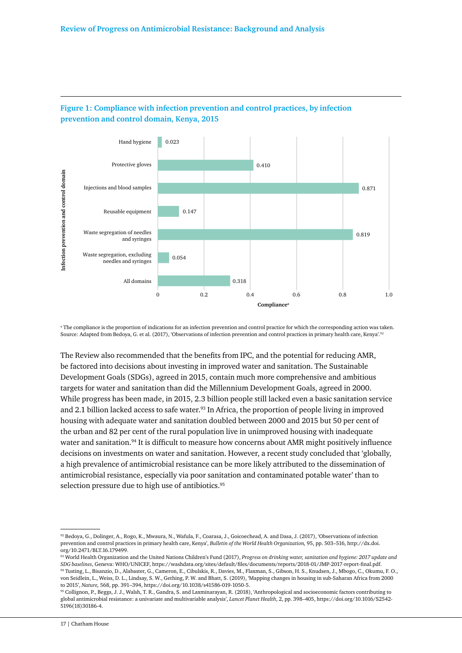

### **Figure 1: Compliance with infection prevention and control practices, by infection prevention and control domain, Kenya, 2015**

a The compliance is the proportion of indications for an infection prevention and control practice for which the corresponding action was taken. Source: Adapted from Bedoya, G. et al. (2017), 'Observations of infection prevention and control practices in primary health care, Kenya'.<sup>92</sup>

The Review also recommended that the benefits from IPC, and the potential for reducing AMR, be factored into decisions about investing in improved water and sanitation. The Sustainable Development Goals (SDGs), agreed in 2015, contain much more comprehensive and ambitious targets for water and sanitation than did the Millennium Development Goals, agreed in 2000. While progress has been made, in 2015, 2.3 billion people still lacked even a basic sanitation service and 2.1 billion lacked access to safe water.<sup>93</sup> In Africa, the proportion of people living in improved housing with adequate water and sanitation doubled between 2000 and 2015 but 50 per cent of the urban and 82 per cent of the rural population live in unimproved housing with inadequate water and sanitation.<sup>94</sup> It is difficult to measure how concerns about AMR might positively influence decisions on investments on water and sanitation. However, a recent study concluded that 'globally, a high prevalence of antimicrobial resistance can be more likely attributed to the dissemination of antimicrobial resistance, especially via poor sanitation and contaminated potable water' than to selection pressure due to high use of antibiotics.<sup>95</sup>

<sup>92</sup> Bedoya, G., Dolinger, A., Rogo, K., Mwaura, N., Wafula, F., Coarasa, J., Goicoechead, A. and Dasa, J. (2017), 'Observations of infection prevention and control practices in primary health care, Kenya', *Bulletin of the World Health Organization,* 95, pp. 503–516, http://dx.doi. org/10.2471/BLT.16.179499.

<sup>93</sup> World Health Organization and the United Nations Children's Fund (2017), *Progress on drinking water, sanitation and hygiene: 2017 update and SDG baselines*, Geneva: WHO/UNICEF, https://washdata.org/sites/default/files/documents/reports/2018-01/JMP-2017-report-final.pdf. 94 Tusting, L., Bisanzio, D., Alabaster, G., Cameron, E., Cibulskis, R., Davies, M., Flaxman, S., Gibson, H. S., Knudsen, J., Mbogo, C., Okumu, F. O., von Seidlein, L., Weiss, D. L., Lindsay, S. W., Gething, P. W. and Bhatt, S. (2019), 'Mapping changes in housing in sub-Saharan Africa from 2000 to 2015', *Nature,* 568, pp. 391–394, https://doi.org/10.1038/s41586-019-1050-5.

<sup>95</sup> Collignon, P., Beggs, J. J., Walsh, T. R., Gandra, S. and Laxminarayan, R. (2018), 'Anthropological and socioeconomic factors contributing to global antimicrobial resistance: a univariate and multivariable analysis', *Lancet Planet Health*, 2, pp. 398–405, https://doi.org/10.1016/S2542- 5196(18)30186-4.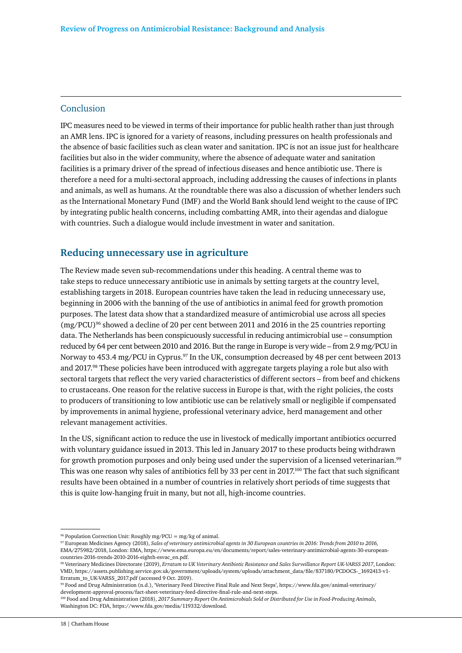#### Conclusion

IPC measures need to be viewed in terms of their importance for public health rather than just through an AMR lens. IPC is ignored for a variety of reasons, including pressures on health professionals and the absence of basic facilities such as clean water and sanitation. IPC is not an issue just for healthcare facilities but also in the wider community, where the absence of adequate water and sanitation facilities is a primary driver of the spread of infectious diseases and hence antibiotic use. There is therefore a need for a multi-sectoral approach, including addressing the causes of infections in plants and animals, as well as humans. At the roundtable there was also a discussion of whether lenders such as the International Monetary Fund (IMF) and the World Bank should lend weight to the cause of IPC by integrating public health concerns, including combatting AMR, into their agendas and dialogue with countries. Such a dialogue would include investment in water and sanitation.

# **Reducing unnecessary use in agriculture**

The Review made seven sub-recommendations under this heading. A central theme was to take steps to reduce unnecessary antibiotic use in animals by setting targets at the country level, establishing targets in 2018. European countries have taken the lead in reducing unnecessary use, beginning in 2006 with the banning of the use of antibiotics in animal feed for growth promotion purposes. The latest data show that a standardized measure of antimicrobial use across all species  $(mg/PCU)^{96}$  showed a decline of 20 per cent between 2011 and 2016 in the 25 countries reporting data. The Netherlands has been conspicuously successful in reducing antimicrobial use – consumption reduced by 64 per cent between 2010 and 2016. But the range in Europe is very wide – from 2.9 mg/PCU in Norway to 453.4 mg/PCU in Cyprus.<sup>97</sup> In the UK, consumption decreased by 48 per cent between 2013 and 2017.<sup>98</sup> These policies have been introduced with aggregate targets playing a role but also with sectoral targets that reflect the very varied characteristics of different sectors – from beef and chickens to crustaceans. One reason for the relative success in Europe is that, with the right policies, the costs to producers of transitioning to low antibiotic use can be relatively small or negligible if compensated by improvements in animal hygiene, professional veterinary advice, herd management and other relevant management activities.

In the US, significant action to reduce the use in livestock of medically important antibiotics occurred with voluntary guidance issued in 2013. This led in January 2017 to these products being withdrawn for growth promotion purposes and only being used under the supervision of a licensed veterinarian.<sup>99</sup> This was one reason why sales of antibiotics fell by 33 per cent in 2017.<sup>100</sup> The fact that such significant results have been obtained in a number of countries in relatively short periods of time suggests that this is quite low-hanging fruit in many, but not all, high-income countries.

 $^{96}$  Population Correction Unit: Roughly mg/PCU = mg/kg of animal.

<sup>97</sup> European Medicines Agency (2018), *Sales of veterinary antimicrobial agents in 30 European countries in 2016: Trends from 2010 to 2016,*  EMA/275982/2018, London: EMA, https://www.ema.europa.eu/en/documents/report/sales-veterinary-antimicrobial-agents-30-europeancountries-2016-trends-2010-2016-eighth-esvac\_en.pdf.

<sup>98</sup> Veterinary Medicines Directorate (2019), *Erratum to UK Veterinary Antibiotic Resistance and Sales Surveillance Report UK-VARSS 2017*, London: VMD, https://assets.publishing.service.gov.uk/government/uploads/system/uploads/attachment\_data/file/837180/PCDOCS-\_1692413-v1- Erratum\_to\_UK-VARSS\_2017.pdf (accessed 9 Oct. 2019).

<sup>99</sup> Food and Drug Administration (n.d.), 'Veterinary Feed Directive Final Rule and Next Steps', https://www.fda.gov/animal-veterinary/ development-approval-process/fact-sheet-veterinary-feed-directive-final-rule-and-next-steps.

<sup>100</sup> Food and Drug Administration (2018), *2017 Summary Report On Antimicrobials Sold or Distributed for Use in Food-Producing Animals*, Washington DC: FDA, https://www.fda.gov/media/119332/download.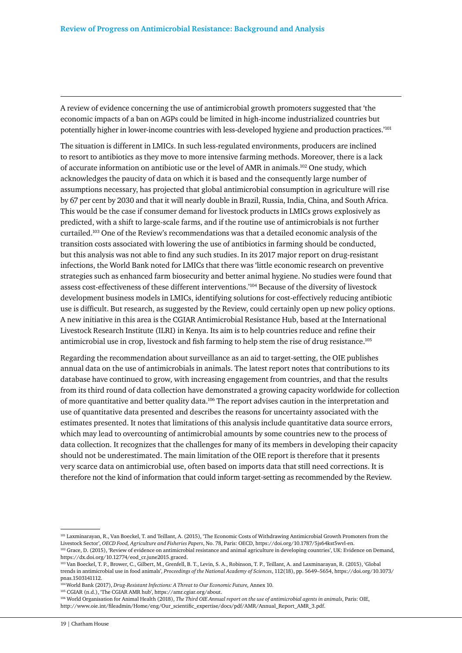A review of evidence concerning the use of antimicrobial growth promoters suggested that 'the economic impacts of a ban on AGPs could be limited in high-income industrialized countries but potentially higher in lower-income countries with less-developed hygiene and production practices.'101

The situation is different in LMICs. In such less-regulated environments, producers are inclined to resort to antibiotics as they move to more intensive farming methods. Moreover, there is a lack of accurate information on antibiotic use or the level of AMR in animals.102 One study, which acknowledges the paucity of data on which it is based and the consequently large number of assumptions necessary, has projected that global antimicrobial consumption in agriculture will rise by 67 per cent by 2030 and that it will nearly double in Brazil, Russia, India, China, and South Africa. This would be the case if consumer demand for livestock products in LMICs grows explosively as predicted, with a shift to large-scale farms, and if the routine use of antimicrobials is not further curtailed.103 One of the Review's recommendations was that a detailed economic analysis of the transition costs associated with lowering the use of antibiotics in farming should be conducted, but this analysis was not able to find any such studies. In its 2017 major report on drug-resistant infections, the World Bank noted for LMICs that there was 'little economic research on preventive strategies such as enhanced farm biosecurity and better animal hygiene. No studies were found that assess cost-effectiveness of these different interventions.'104 Because of the diversity of livestock development business models in LMICs, identifying solutions for cost-effectively reducing antibiotic use is difficult. But research, as suggested by the Review, could certainly open up new policy options. A new initiative in this area is the CGIAR Antimicrobial Resistance Hub, based at the International Livestock Research Institute (ILRI) in Kenya. Its aim is to help countries reduce and refine their antimicrobial use in crop, livestock and fish farming to help stem the rise of drug resistance.105

Regarding the recommendation about surveillance as an aid to target-setting, the OIE publishes annual data on the use of antimicrobials in animals. The latest report notes that contributions to its database have continued to grow, with increasing engagement from countries, and that the results from its third round of data collection have demonstrated a growing capacity worldwide for collection of more quantitative and better quality data.<sup>106</sup> The report advises caution in the interpretation and use of quantitative data presented and describes the reasons for uncertainty associated with the estimates presented. It notes that limitations of this analysis include quantitative data source errors, which may lead to overcounting of antimicrobial amounts by some countries new to the process of data collection. It recognizes that the challenges for many of its members in developing their capacity should not be underestimated. The main limitation of the OIE report is therefore that it presents very scarce data on antimicrobial use, often based on imports data that still need corrections. It is therefore not the kind of information that could inform target-setting as recommended by the Review.

<sup>101</sup> Laxminarayan, R., Van Boeckel, T. and Teillant, A. (2015), 'The Economic Costs of Withdrawing Antimicrobial Growth Promoters from the Livestock Sector', *OECD Food, Agriculture and Fisheries Papers*, No. 78, Paris: OECD, https://doi.org/10.1787/5js64kst5wvl-en. <sup>102</sup> Grace, D. (2015), 'Review of evidence on antimicrobial resistance and animal agriculture in developing countries', UK: Evidence on Demand, https://dx.doi.org/10.12774/eod\_cr.june2015.graced.

<sup>103</sup> Van Boeckel, T. P., Brower, C., Gilbert, M., Grenfell, B. T., Levin, S. A., Robinson, T. P., Teillant, A. and Laxminarayan, R. (2015), 'Global trends in antimicrobial use in food animals', *Proceedings of the National Academy of Sciences*, 112(18), pp. 5649–5654, https://doi.org/10.1073/ pnas.1503141112.

<sup>104</sup> World Bank (2017), *Drug-Resistant Infections: A Threat to Our Economic Future,* Annex 10.

<sup>105</sup> CGIAR (n.d.), 'The CGIAR AMR hub', https://amr.cgiar.org/about.

<sup>106</sup> World Organisation for Animal Health (2018), *The Third OIE Annual report on the use of antimicrobial agents in animals*, Paris: OIE, http://www.oie.int/fileadmin/Home/eng/Our\_scientific\_expertise/docs/pdf/AMR/Annual\_Report\_AMR\_3.pdf.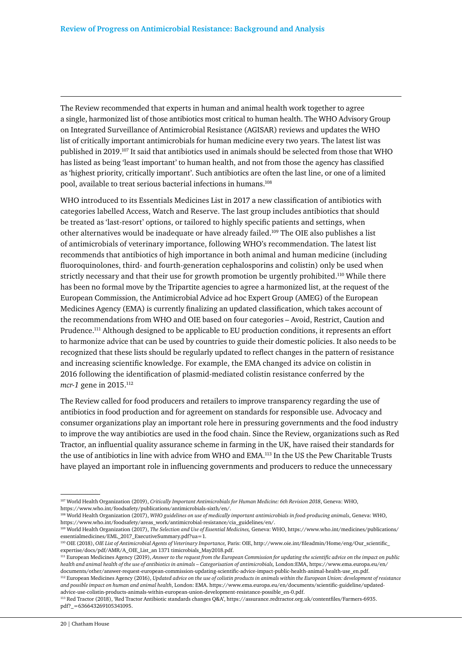The Review recommended that experts in human and animal health work together to agree a single, harmonized list of those antibiotics most critical to human health. The WHO Advisory Group on Integrated Surveillance of Antimicrobial Resistance (AGISAR) reviews and updates the WHO list of critically important antimicrobials for human medicine every two years. The latest list was published in 2019.107 It said that antibiotics used in animals should be selected from those that WHO has listed as being 'least important' to human health, and not from those the agency has classified as 'highest priority, critically important'. Such antibiotics are often the last line, or one of a limited pool, available to treat serious bacterial infections in humans.108

WHO introduced to its Essentials Medicines List in 2017 a new classification of antibiotics with categories labelled Access, Watch and Reserve. The last group includes antibiotics that should be treated as 'last-resort' options, or tailored to highly specific patients and settings, when other alternatives would be inadequate or have already failed.109 The OIE also publishes a list of antimicrobials of veterinary importance, following WHO's recommendation. The latest list recommends that antibiotics of high importance in both animal and human medicine (including fluoroquinolones, third- and fourth-generation cephalosporins and colistin) only be used when strictly necessary and that their use for growth promotion be urgently prohibited.110 While there has been no formal move by the Tripartite agencies to agree a harmonized list, at the request of the European Commission, the Antimicrobial Advice ad hoc Expert Group (AMEG) of the European Medicines Agency (EMA) is currently finalizing an updated classification, which takes account of the recommendations from WHO and OIE based on four categories – Avoid, Restrict, Caution and Prudence.111 Although designed to be applicable to EU production conditions, it represents an effort to harmonize advice that can be used by countries to guide their domestic policies. It also needs to be recognized that these lists should be regularly updated to reflect changes in the pattern of resistance and increasing scientific knowledge. For example, the EMA changed its advice on colistin in 2016 following the identification of plasmid-mediated colistin resistance conferred by the *mcr-1* gene in 2015.112

The Review called for food producers and retailers to improve transparency regarding the use of antibiotics in food production and for agreement on standards for responsible use. Advocacy and consumer organizations play an important role here in pressuring governments and the food industry to improve the way antibiotics are used in the food chain. Since the Review, organizations such as Red Tractor, an influential quality assurance scheme in farming in the UK, have raised their standards for the use of antibiotics in line with advice from WHO and EMA.113 In the US the Pew Charitable Trusts have played an important role in influencing governments and producers to reduce the unnecessary

<sup>107</sup> World Health Organization (2019), *Critically Important Antimicrobials for Human Medicine: 6th Revision 2018*, Geneva: WHO, https://www.who.int/foodsafety/publications/antimicrobials-sixth/en/.

<sup>108</sup> World Health Organization (2017), WHO guidelines on use of medically important antimicrobials in food-producing animals, Geneva: WHO, https://www.who.int/foodsafety/areas\_work/antimicrobial-resistance/cia\_guidelines/en/.

<sup>109</sup> World Health Organization (2017), *The Selection and Use of Essential Medicines,* Geneva: WHO, https://www.who.int/medicines/publications/ essentialmedicines/EML\_2017\_ExecutiveSummary.pdf?ua=1.

<sup>110</sup> OIE (2018), *OIE List of Antimicrobial Agents of Veterinary Importance,* Paris: OIE, http://www.oie.int/fileadmin/Home/eng/Our\_scientific\_ expertise/docs/pdf/AMR/A\_OIE\_List\_an 1371 timicrobials\_May2018.pdf.

<sup>111</sup> European Medicines Agency (2019), *Answer to the request from the European Commission for updating the scientific advice on the impact on public health and animal health of the use of antibiotics in animals – Categorisation of antimicrobials,* London:EMA, https://www.ema.europa.eu/en/ documents/other/answer-request-european-commission-updating-scientific-advice-impact-public-health-animal-health-use\_en.pdf.

<sup>112</sup> European Medicines Agency (2016), *Updated advice on the use of colistin products in animals within the European Union: development of resistance and possible impact on human and animal health*, London: EMA. https://www.ema.europa.eu/en/documents/scientific-guideline/updatedadvice-use-colistin-products-animals-within-european-union-development-resistance-possible\_en-0.pdf.

<sup>113</sup> Red Tractor (2018), 'Red Tractor Antibiotic standards changes Q&A', https://assurance.redtractor.org.uk/contentfiles/Farmers-6935. pdf?\_=636643269105341095.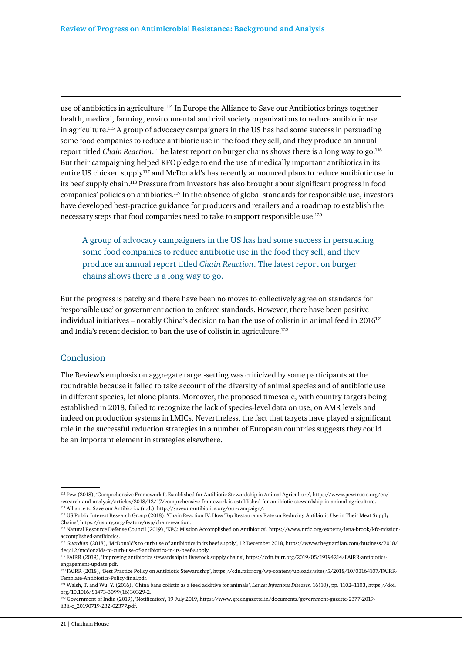use of antibiotics in agriculture.114 In Europe the Alliance to Save our Antibiotics brings together health, medical, farming, environmental and civil society organizations to reduce antibiotic use in agriculture.115 A group of advocacy campaigners in the US has had some success in persuading some food companies to reduce antibiotic use in the food they sell, and they produce an annual report titled *Chain Reaction*. The latest report on burger chains shows there is a long way to go.116 But their campaigning helped KFC pledge to end the use of medically important antibiotics in its entire US chicken supply<sup>117</sup> and McDonald's has recently announced plans to reduce antibiotic use in its beef supply chain.118 Pressure from investors has also brought about significant progress in food companies' policies on antibiotics.119 In the absence of global standards for responsible use, investors have developed best-practice guidance for producers and retailers and a roadmap to establish the necessary steps that food companies need to take to support responsible use.120

A group of advocacy campaigners in the US has had some success in persuading some food companies to reduce antibiotic use in the food they sell, and they produce an annual report titled *Chain Reaction*. The latest report on burger chains shows there is a long way to go.

But the progress is patchy and there have been no moves to collectively agree on standards for 'responsible use' or government action to enforce standards. However, there have been positive individual initiatives – notably China's decision to ban the use of colistin in animal feed in  $2016^{121}$ and India's recent decision to ban the use of colistin in agriculture.<sup>122</sup>

#### Conclusion

The Review's emphasis on aggregate target-setting was criticized by some participants at the roundtable because it failed to take account of the diversity of animal species and of antibiotic use in different species, let alone plants. Moreover, the proposed timescale, with country targets being established in 2018, failed to recognize the lack of species-level data on use, on AMR levels and indeed on production systems in LMICs. Nevertheless, the fact that targets have played a significant role in the successful reduction strategies in a number of European countries suggests they could be an important element in strategies elsewhere.

<sup>114</sup> Pew (2018), 'Comprehensive Framework Is Established for Antibiotic Stewardship in Animal Agriculture', https://www.pewtrusts.org/en/ research-and-analysis/articles/2018/12/17/comprehensive-framework-is-established-for-antibiotic-stewardship-in-animal-agriculture. 115 Alliance to Save our Antibiotics (n.d.), http://saveourantibiotics.org/our-campaign/.

<sup>116</sup> US Public Interest Research Group (2018), 'Chain Reaction IV. How Top Restaurants Rate on Reducing Antibiotic Use in Their Meat Supply Chains', https://uspirg.org/feature/usp/chain-reaction.

<sup>117</sup> Natural Resource Defense Council (2019), 'KFC: Mission Accomplished on Antibiotics', https://www.nrdc.org/experts/lena-brook/kfc-missionaccomplished-antibiotics.

<sup>118</sup> *Guardian* (2018), 'McDonald's to curb use of antibiotics in its beef supply', 12 December 2018, https://www.theguardian.com/business/2018/ dec/12/mcdonalds-to-curb-use-of-antibiotics-in-its-beef-supply.

<sup>119</sup> FAIRR (2019), 'Improving antibiotics stewardship in livestock supply chains', https://cdn.fairr.org/2019/05/19194214/FAIRR-antibioticsengagement-update.pdf.

<sup>120</sup> FAIRR (2018), 'Best Practice Policy on Antibiotic Stewardship', https://cdn.fairr.org/wp-content/uploads/sites/5/2018/10/03164107/FAIRR-Template-Antibiotics-Policy-final.pdf.

<sup>121</sup> Walsh, T. and Wu, Y. (2016), 'China bans colistin as a feed additive for animals', *Lancet Infectious Diseases,* 16(10), pp. 1102–1103, https://doi. org/10.1016/S1473-3099(16)30329-2.

<sup>122</sup> Government of India (2019), 'Notification', 19 July 2019, https://www.greengazette.in/documents/government-gazette-2377-2019 ii3ii-e\_20190719-232-02377.pdf.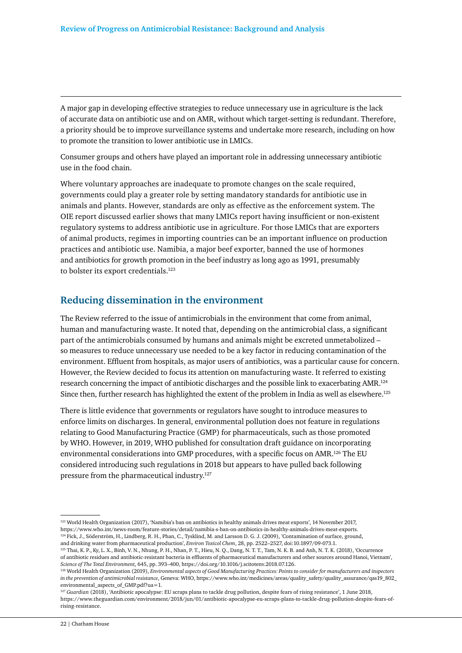A major gap in developing effective strategies to reduce unnecessary use in agriculture is the lack of accurate data on antibiotic use and on AMR, without which target-setting is redundant. Therefore, a priority should be to improve surveillance systems and undertake more research, including on how to promote the transition to lower antibiotic use in LMICs.

Consumer groups and others have played an important role in addressing unnecessary antibiotic use in the food chain.

Where voluntary approaches are inadequate to promote changes on the scale required, governments could play a greater role by setting mandatory standards for antibiotic use in animals and plants. However, standards are only as effective as the enforcement system. The OIE report discussed earlier shows that many LMICs report having insufficient or non-existent regulatory systems to address antibiotic use in agriculture. For those LMICs that are exporters of animal products, regimes in importing countries can be an important influence on production practices and antibiotic use. Namibia, a major beef exporter, banned the use of hormones and antibiotics for growth promotion in the beef industry as long ago as 1991, presumably to bolster its export credentials.<sup>123</sup>

### **Reducing dissemination in the environment**

The Review referred to the issue of antimicrobials in the environment that come from animal, human and manufacturing waste. It noted that, depending on the antimicrobial class, a significant part of the antimicrobials consumed by humans and animals might be excreted unmetabolized – so measures to reduce unnecessary use needed to be a key factor in reducing contamination of the environment. Effluent from hospitals, as major users of antibiotics, was a particular cause for concern. However, the Review decided to focus its attention on manufacturing waste. It referred to existing research concerning the impact of antibiotic discharges and the possible link to exacerbating AMR.124 Since then, further research has highlighted the extent of the problem in India as well as elsewhere.<sup>125</sup>

There is little evidence that governments or regulators have sought to introduce measures to enforce limits on discharges. In general, environmental pollution does not feature in regulations relating to Good Manufacturing Practice (GMP) for pharmaceuticals, such as those promoted by WHO. However, in 2019, WHO published for consultation draft guidance on incorporating environmental considerations into GMP procedures, with a specific focus on AMR.126 The EU considered introducing such regulations in 2018 but appears to have pulled back following pressure from the pharmaceutical industry.127

<sup>123</sup> World Health Organization (2017), 'Namibia's ban on antibiotics in healthy animals drives meat exports', 14 November 2017, https://www.who.int/news-room/feature-stories/detail/namibia-s-ban-on-antibiotics-in-healthy-animals-drives-meat-exports. <sup>124</sup> Fick, J., Söderström, H., Lindberg, R. H., Phan, C., Tysklind, M. and Larsson D. G. J. (2009), 'Contamination of surface, ground,

and drinking water from pharmaceutical production', *Environ Toxicol Chem*, 28, pp. 2522–2527, doi:10.1897/09-073.1.

<sup>125</sup> Thai, K. P., Ky, L. X., Binh, V. N., Nhung, P. H., Nhan, P. T., Hieu, N. Q., Dang, N. T. T., Tam, N. K. B. and Anh, N. T. K. (2018), 'Occurrence of antibiotic residues and antibiotic-resistant bacteria in effluents of pharmaceutical manufacturers and other sources around Hanoi, Vietnam', *Science of The Total Environment,* 645, pp. 393–400, https://doi.org/10.1016/j.scitotenv.2018.07.126.

<sup>126</sup> World Health Organization (2019), *Environmental aspects of Good Manufacturing Practices: Points to consider for manufacturers and inspectors in the prevention of antimicrobial resistance*, Geneva: WHO, https://www.who.int/medicines/areas/quality\_safety/quality\_assurance/qas19\_802\_ environmental\_aspects\_of\_GMP.pdf?ua=1.

<sup>127</sup> *Guardian* (2018), 'Antibiotic apocalypse: EU scraps plans to tackle drug pollution, despite fears of rising resistance', 1 June 2018, https://www.theguardian.com/environment/2018/jun/01/antibiotic-apocalypse-eu-scraps-plans-to-tackle-drug-pollution-despite-fears-ofrising-resistance.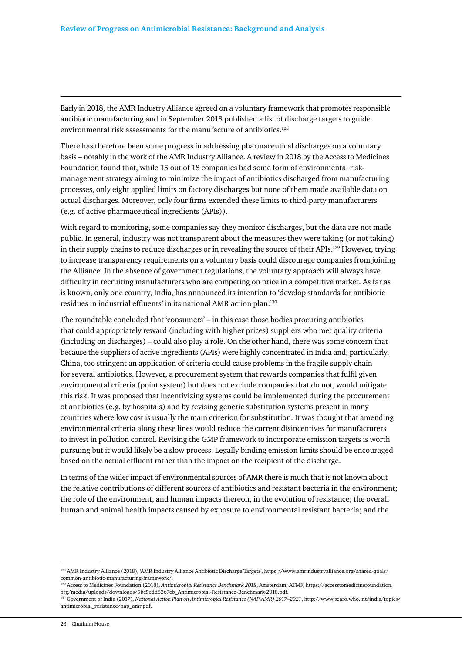Early in 2018, the AMR Industry Alliance agreed on a voluntary framework that promotes responsible antibiotic manufacturing and in September 2018 published a list of discharge targets to guide environmental risk assessments for the manufacture of antibiotics.128

There has therefore been some progress in addressing pharmaceutical discharges on a voluntary basis – notably in the work of the AMR Industry Alliance. A review in 2018 by the Access to Medicines Foundation found that, while 15 out of 18 companies had some form of environmental riskmanagement strategy aiming to minimize the impact of antibiotics discharged from manufacturing processes, only eight applied limits on factory discharges but none of them made available data on actual discharges. Moreover, only four firms extended these limits to third-party manufacturers (e.g. of active pharmaceutical ingredients (APIs)).

With regard to monitoring, some companies say they monitor discharges, but the data are not made public. In general, industry was not transparent about the measures they were taking (or not taking) in their supply chains to reduce discharges or in revealing the source of their APIs.129 However, trying to increase transparency requirements on a voluntary basis could discourage companies from joining the Alliance. In the absence of government regulations, the voluntary approach will always have difficulty in recruiting manufacturers who are competing on price in a competitive market. As far as is known, only one country, India, has announced its intention to 'develop standards for antibiotic residues in industrial effluents' in its national AMR action plan.130

The roundtable concluded that 'consumers' – in this case those bodies procuring antibiotics that could appropriately reward (including with higher prices) suppliers who met quality criteria (including on discharges) – could also play a role. On the other hand, there was some concern that because the suppliers of active ingredients (APIs) were highly concentrated in India and, particularly, China, too stringent an application of criteria could cause problems in the fragile supply chain for several antibiotics. However, a procurement system that rewards companies that fulfil given environmental criteria (point system) but does not exclude companies that do not, would mitigate this risk. It was proposed that incentivizing systems could be implemented during the procurement of antibiotics (e.g. by hospitals) and by revising generic substitution systems present in many countries where low cost is usually the main criterion for substitution. It was thought that amending environmental criteria along these lines would reduce the current disincentives for manufacturers to invest in pollution control. Revising the GMP framework to incorporate emission targets is worth pursuing but it would likely be a slow process. Legally binding emission limits should be encouraged based on the actual effluent rather than the impact on the recipient of the discharge.

In terms of the wider impact of environmental sources of AMR there is much that is not known about the relative contributions of different sources of antibiotics and resistant bacteria in the environment; the role of the environment, and human impacts thereon, in the evolution of resistance; the overall human and animal health impacts caused by exposure to environmental resistant bacteria; and the

<sup>128</sup> AMR Industry Alliance (2018), 'AMR Industry Alliance Antibiotic Discharge Targets', https://www.amrindustryalliance.org/shared-goals/ common-antibiotic-manufacturing-framework/.

<sup>129</sup> Access to Medicines Foundation (2018), *Antimicrobial Resistance Benchmark 2018*, Amsterdam: ATMF, https://accesstomedicinefoundation. org/media/uploads/downloads/5bc5edd8367eb\_Antimicrobial-Resistance-Benchmark-2018.pdf.

<sup>130</sup> Government of India (2017), *National Action Plan on Antimicrobial Resistance (NAP-AMR) 2017–2021*, http://www.searo.who.int/india/topics/ antimicrobial\_resistance/nap\_amr.pdf.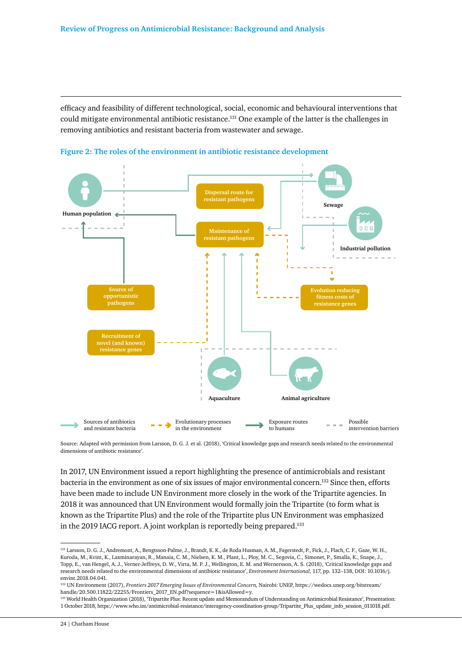efficacy and feasibility of different technological, social, economic and behavioural interventions that could mitigate environmental antibiotic resistance.<sup>131</sup> One example of the latter is the challenges in removing antibiotics and resistant bacteria from wastewater and sewage.





Source: Adapted with permission from Larsson, D. G. J. et al. (2018), 'Critical knowledge gaps and research needs related to the environmental dimensions of antibiotic resistance'.

In 2017, UN Environment issued a report highlighting the presence of antimicrobials and resistant bacteria in the environment as one of six issues of major environmental concern.132 Since then, efforts have been made to include UN Environment more closely in the work of the Tripartite agencies. In 2018 it was announced that UN Environment would formally join the Tripartite (to form what is known as the Tripartite Plus) and the role of the Tripartite plus UN Environment was emphasized in the 2019 IACG report. A joint workplan is reportedly being prepared.133

<sup>131</sup> Larsson, D. G. J., Andremont, A., Bengtsson-Palme, J., Brandt, K. K., de Roda Husman, A. M., Fagerstedt, P., Fick, J., Flach, C. F., Gaze, W. H., Kuroda, M., Kvint, K., Laxminarayan, R., Manaia, C. M., Nielsen, K. M., Plant, L., Ploy, M. C., Segovia, C., Simonet, P., Smalla, K., Snape, J., Topp, E., van Hengel, A. J., Verner-Jeffreys, D. W., Virta, M. P. J., Wellington, E. M. and Wernersson, A. S. (2018), 'Critical knowledge gaps and research needs related to the environmental dimensions of antibiotic resistance', *Environment International*, 117, pp. 132–138, DOI: 10.1016/j. envint.2018.04.041.

<sup>132</sup> UN Environment (2017), *Frontiers 2017 Emerging Issues of Environmental Concern,* Nairobi: UNEP, https://wedocs.unep.org/bitstream/ handle/20.500.11822/22255/Frontiers\_2017\_EN.pdf?sequence=1&isAllowed=y.

<sup>133</sup> World Health Organization (2018), 'Tripartite Plus: Recent update and Memorandum of Understanding on Antimicrobial Resistance', Presentation: 1 October 2018, https://www.who.int/antimicrobial-resistance/interagency-coordination-group/Tripartite\_Plus\_update\_info\_session\_011018.pdf.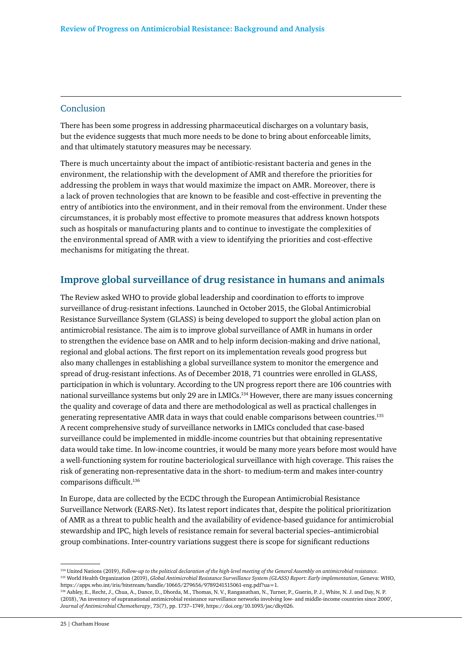#### Conclusion

There has been some progress in addressing pharmaceutical discharges on a voluntary basis, but the evidence suggests that much more needs to be done to bring about enforceable limits, and that ultimately statutory measures may be necessary.

There is much uncertainty about the impact of antibiotic-resistant bacteria and genes in the environment, the relationship with the development of AMR and therefore the priorities for addressing the problem in ways that would maximize the impact on AMR. Moreover, there is a lack of proven technologies that are known to be feasible and cost-effective in preventing the entry of antibiotics into the environment, and in their removal from the environment. Under these circumstances, it is probably most effective to promote measures that address known hotspots such as hospitals or manufacturing plants and to continue to investigate the complexities of the environmental spread of AMR with a view to identifying the priorities and cost-effective mechanisms for mitigating the threat.

# **Improve global surveillance of drug resistance in humans and animals**

The Review asked WHO to provide global leadership and coordination to efforts to improve surveillance of drug-resistant infections. Launched in October 2015, the Global Antimicrobial Resistance Surveillance System (GLASS) is being developed to support the global action plan on antimicrobial resistance. The aim is to improve global surveillance of AMR in humans in order to strengthen the evidence base on AMR and to help inform decision-making and drive national, regional and global actions. The first report on its implementation reveals good progress but also many challenges in establishing a global surveillance system to monitor the emergence and spread of drug-resistant infections. As of December 2018, 71 countries were enrolled in GLASS, participation in which is voluntary. According to the UN progress report there are 106 countries with national surveillance systems but only 29 are in LMICs.134 However, there are many issues concerning the quality and coverage of data and there are methodological as well as practical challenges in generating representative AMR data in ways that could enable comparisons between countries.135 A recent comprehensive study of surveillance networks in LMICs concluded that case-based surveillance could be implemented in middle-income countries but that obtaining representative data would take time. In low-income countries, it would be many more years before most would have a well-functioning system for routine bacteriological surveillance with high coverage. This raises the risk of generating non-representative data in the short- to medium-term and makes inter-country comparisons difficult.<sup>136</sup>

In Europe, data are collected by the ECDC through the European Antimicrobial Resistance Surveillance Network (EARS-Net). Its latest report indicates that, despite the political prioritization of AMR as a threat to public health and the availability of evidence-based guidance for antimicrobial stewardship and IPC, high levels of resistance remain for several bacterial species–antimicrobial group combinations. Inter-country variations suggest there is scope for significant reductions

<sup>134</sup> United Nations (2019), *Follow-up to the political declaration of the high-level meeting of the General Assembly on antimicrobial resistance*. 135 World Health Organization (2019), *Global Antimicrobial Resistance Surveillance System (GLASS) Report: Early implementation*, Geneva: WHO, https://apps.who.int/iris/bitstream/handle/10665/279656/9789241515061-eng.pdf?ua=1.

<sup>136</sup> Ashley, E., Recht, J., Chua, A., Dance, D., Dhorda, M., Thomas, N. V., Ranganathan, N., Turner, P., Guerin, P. J., White, N. J. and Day, N. P. (2018), 'An inventory of supranational antimicrobial resistance surveillance networks involving low- and middle-income countries since 2000', *Journal of Antimicrobial Chemotherapy*, 73(7), pp. 1737–1749, https://doi.org/10.1093/jac/dky026.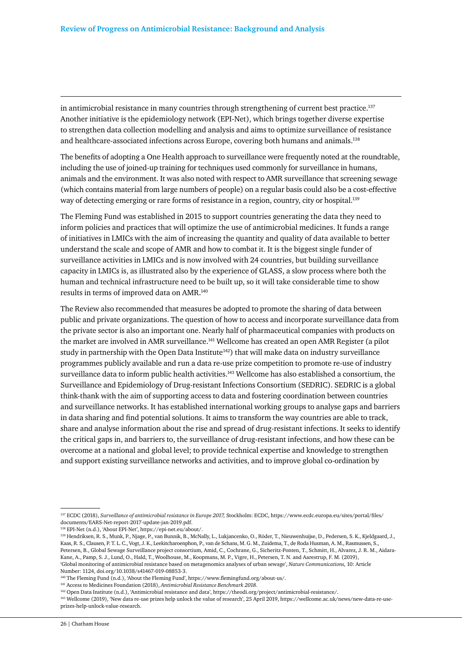in antimicrobial resistance in many countries through strengthening of current best practice.<sup>137</sup> Another initiative is the epidemiology network (EPI-Net), which brings together diverse expertise to strengthen data collection modelling and analysis and aims to optimize surveillance of resistance and healthcare-associated infections across Europe, covering both humans and animals.138

The benefits of adopting a One Health approach to surveillance were frequently noted at the roundtable, including the use of joined-up training for techniques used commonly for surveillance in humans, animals and the environment. It was also noted with respect to AMR surveillance that screening sewage (which contains material from large numbers of people) on a regular basis could also be a cost-effective way of detecting emerging or rare forms of resistance in a region, country, city or hospital.139

The Fleming Fund was established in 2015 to support countries generating the data they need to inform policies and practices that will optimize the use of antimicrobial medicines. It funds a range of initiatives in LMICs with the aim of increasing the quantity and quality of data available to better understand the scale and scope of AMR and how to combat it. It is the biggest single funder of surveillance activities in LMICs and is now involved with 24 countries, but building surveillance capacity in LMICs is, as illustrated also by the experience of GLASS, a slow process where both the human and technical infrastructure need to be built up, so it will take considerable time to show results in terms of improved data on AMR.140

The Review also recommended that measures be adopted to promote the sharing of data between public and private organizations. The question of how to access and incorporate surveillance data from the private sector is also an important one. Nearly half of pharmaceutical companies with products on the market are involved in AMR surveillance.<sup>141</sup> Wellcome has created an open AMR Register (a pilot study in partnership with the Open Data Institute<sup>142</sup>) that will make data on industry surveillance programmes publicly available and run a data re-use prize competition to promote re-use of industry surveillance data to inform public health activities.<sup>143</sup> Wellcome has also established a consortium, the Surveillance and Epidemiology of Drug-resistant Infections Consortium (SEDRIC). SEDRIC is a global think-thank with the aim of supporting access to data and fostering coordination between countries and surveillance networks. It has established international working groups to analyse gaps and barriers in data sharing and find potential solutions. It aims to transform the way countries are able to track, share and analyse information about the rise and spread of drug-resistant infections. It seeks to identify the critical gaps in, and barriers to, the surveillance of drug-resistant infections, and how these can be overcome at a national and global level; to provide technical expertise and knowledge to strengthen and support existing surveillance networks and activities, and to improve global co-ordination by

138 EPI-Net (n.d.), 'About EPI-Net', https://epi-net.eu/about/.

<sup>137</sup> ECDC (2018), *Surveillance of antimicrobial resistance in Europe 2017,* Stockholm: ECDC, https://www.ecdc.europa.eu/sites/portal/files/ documents/EARS-Net-report-2017-update-jan-2019.pdf.

<sup>139</sup> Hendriksen, R. S., Munk, P., Njage, P., van Bunnik, B., McNally, L., Lukjancenko, O., Röder, T., Nieuwenhuijse, D., Pedersen, S. K., Kjeldgaard, J., Kaas, R. S., Clausen, P. T. L. C., Vogt, J. K., Leekitcharoenphon, P., van de Schans, M. G. M., Zuidema, T., de Roda Husman, A. M., Rasmussen, S., Petersen, B., Global Sewage Surveillance project consortium, Amid, C., Cochrane, G., Sicheritz-Ponten, T., Schmitt, H., Alvarez, J. R. M., Aidara-Kane, A., Pamp, S. J., Lund, O., Hald, T., Woolhouse, M., Koopmans, M. P., Vigre, H., Petersen, T. N. and Aarestrup, F. M. (2019), 'Global monitoring of antimicrobial resistance based on metagenomics analyses of urban sewage', *Nature Communications,* 10: Article Number: 1124, doi.org/10.1038/s41467-019-08853-3.

<sup>&</sup>lt;sup>140</sup> The Fleming Fund (n.d.), 'About the Fleming Fund', https://www.flemingfund.org/about-us/.

<sup>141</sup> Access to Medicines Foundation (2018), *Antimicrobial Resistance Benchmark 2018*.

<sup>142</sup> Open Data Institute (n.d.), 'Antimicrobial resistance and data', https://theodi.org/project/antimicrobial-resistance/.

<sup>143</sup> Wellcome (2019), 'New data re-use prizes help unlock the value of research', 25 April 2019, https://wellcome.ac.uk/news/new-data-re-useprizes-help-unlock-value-research.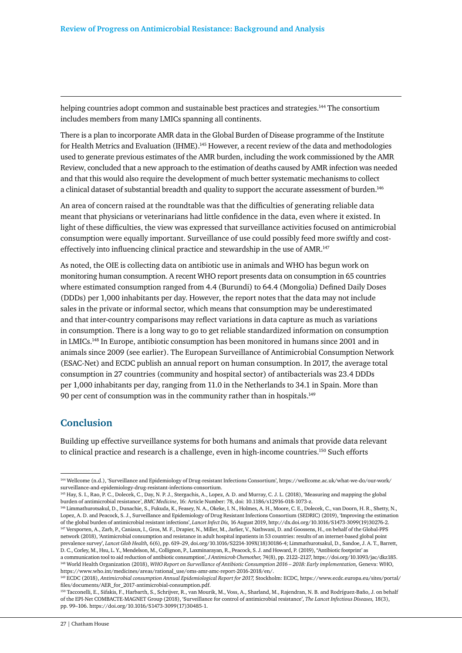helping countries adopt common and sustainable best practices and strategies.<sup>144</sup> The consortium includes members from many LMICs spanning all continents.

There is a plan to incorporate AMR data in the Global Burden of Disease programme of the Institute for Health Metrics and Evaluation (IHME).145 However, a recent review of the data and methodologies used to generate previous estimates of the AMR burden, including the work commissioned by the AMR Review, concluded that a new approach to the estimation of deaths caused by AMR infection was needed and that this would also require the development of much better systematic mechanisms to collect a clinical dataset of substantial breadth and quality to support the accurate assessment of burden.146

An area of concern raised at the roundtable was that the difficulties of generating reliable data meant that physicians or veterinarians had little confidence in the data, even where it existed. In light of these difficulties, the view was expressed that surveillance activities focused on antimicrobial consumption were equally important. Surveillance of use could possibly feed more swiftly and costeffectively into influencing clinical practice and stewardship in the use of AMR.<sup>147</sup>

As noted, the OIE is collecting data on antibiotic use in animals and WHO has begun work on monitoring human consumption. A recent WHO report presents data on consumption in 65 countries where estimated consumption ranged from 4.4 (Burundi) to 64.4 (Mongolia) Defined Daily Doses (DDDs) per 1,000 inhabitants per day. However, the report notes that the data may not include sales in the private or informal sector, which means that consumption may be underestimated and that inter-country comparisons may reflect variations in data capture as much as variations in consumption. There is a long way to go to get reliable standardized information on consumption in LMICs.148 In Europe, antibiotic consumption has been monitored in humans since 2001 and in animals since 2009 (see earlier). The European Surveillance of Antimicrobial Consumption Network (ESAC-Net) and ECDC publish an annual report on human consumption. In 2017, the average total consumption in 27 countries (community and hospital sector) of antibacterials was 23.4 DDDs per 1,000 inhabitants per day, ranging from 11.0 in the Netherlands to 34.1 in Spain. More than 90 per cent of consumption was in the community rather than in hospitals.<sup>149</sup>

# **Conclusion**

Building up effective surveillance systems for both humans and animals that provide data relevant to clinical practice and research is a challenge, even in high-income countries.<sup>150</sup> Such efforts

<sup>144</sup> Wellcome (n.d.), 'Surveillance and Epidemiology of Drug-resistant Infections Consortium', https://wellcome.ac.uk/what-we-do/our-work/ surveillance-and-epidemiology-drug-resistant-infections-consortium.

<sup>145</sup> Hay, S. I., Rao, P. C., Dolecek, C., Day, N. P. J., Stergachis, A., Lopez, A. D. and Murray, C. J. L. (2018), 'Measuring and mapping the global burden of antimicrobial resistance', *BMC Medicine*, 16: Article Number: 78, doi: 10.1186/s12916-018-1073-z.

<sup>146</sup> Limmathurotsakul, D., Dunachie, S., Fukuda, K., Feasey, N. A., Okeke, I. N., Holmes, A. H., Moore, C. E., Dolecek, C., van Doorn, H. R., Shetty, N., Lopez, A. D. and Peacock, S. J., Surveillance and Epidemiology of Drug Resistant Infections Consortium (SEDRIC) (2019), 'Improving the estimation of the global burden of antimicrobial resistant infections', *Lancet Infect Dis,* 16 August 2019, http://dx.doi.org/10.1016/S1473-3099(19)30276-2. 147 Versporten, A., Zarb, P., Caniaux, I., Gros, M. F., Drapier, N., Miller, M., Jarlier, V., Nathwani, D. and Goossens, H., on behalf of the Global-PPS network (2018), 'Antimicrobial consumption and resistance in adult hospital inpatients in 53 countries: results of an internet-based global point prevalence survey', *Lancet Glob Health,* 6(6), pp. 619–29, doi.org/10.1016/S2214-109X(18)30186-4; Limmathurotsakul, D., Sandoe, J. A. T., Barrett, D. C., Corley, M., Hsu, L. Y., Mendelson, M., Collignon, P., Laxminarayan, R., Peacock, S. J. and Howard, P. (2019), ''Antibiotic footprint' as

a communication tool to aid reduction of antibiotic consumption', *J Antimicrob Chemother,* 74(8), pp. 2122–2127, https://doi.org/10.1093/jac/dkz185. <sup>148</sup> World Health Organization (2018), WHO Report on Surveillance of Antibiotic Consumption 2016 - 2018: Early implementation, Geneva: WHO, https://www.who.int/medicines/areas/rational\_use/oms-amr-amc-report-2016-2018/en/.

<sup>149</sup> ECDC (2018), *Antimicrobial consumption Annual Epidemiological Report for 2017,* Stockholm: ECDC, https://www.ecdc.europa.eu/sites/portal/ files/documents/AER\_for\_2017-antimicrobial-consumption.pdf.

<sup>150</sup> Tacconelli, E., Sifakis, F., Harbarth, S., Schrijver, R., van Mourik, M., Voss, A., Sharland, M., Rajendran, N. B. and Rodríguez-Baño, J. on behalf of the EPI-Net COMBACTE-MAGNET Group (2018), 'Surveillance for control of antimicrobial resistance', *The Lancet Infectious Diseases,* 18(3), pp. 99–106. https://doi.org/10.1016/S1473-3099(17)30485-1.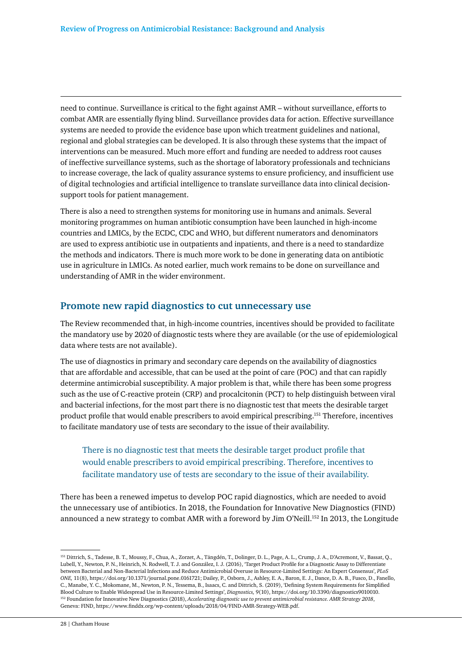need to continue. Surveillance is critical to the fight against AMR – without surveillance, efforts to combat AMR are essentially flying blind. Surveillance provides data for action. Effective surveillance systems are needed to provide the evidence base upon which treatment guidelines and national, regional and global strategies can be developed. It is also through these systems that the impact of interventions can be measured. Much more effort and funding are needed to address root causes of ineffective surveillance systems, such as the shortage of laboratory professionals and technicians to increase coverage, the lack of quality assurance systems to ensure proficiency, and insufficient use of digital technologies and artificial intelligence to translate surveillance data into clinical decisionsupport tools for patient management.

There is also a need to strengthen systems for monitoring use in humans and animals. Several monitoring programmes on human antibiotic consumption have been launched in high-income countries and LMICs, by the ECDC, CDC and WHO, but different numerators and denominators are used to express antibiotic use in outpatients and inpatients, and there is a need to standardize the methods and indicators. There is much more work to be done in generating data on antibiotic use in agriculture in LMICs. As noted earlier, much work remains to be done on surveillance and understanding of AMR in the wider environment.

### **Promote new rapid diagnostics to cut unnecessary use**

The Review recommended that, in high-income countries, incentives should be provided to facilitate the mandatory use by 2020 of diagnostic tests where they are available (or the use of epidemiological data where tests are not available).

The use of diagnostics in primary and secondary care depends on the availability of diagnostics that are affordable and accessible, that can be used at the point of care (POC) and that can rapidly determine antimicrobial susceptibility. A major problem is that, while there has been some progress such as the use of C-reactive protein (CRP) and procalcitonin (PCT) to help distinguish between viral and bacterial infections, for the most part there is no diagnostic test that meets the desirable target product profile that would enable prescribers to avoid empirical prescribing.151 Therefore, incentives to facilitate mandatory use of tests are secondary to the issue of their availability.

# There is no diagnostic test that meets the desirable target product profile that would enable prescribers to avoid empirical prescribing. Therefore, incentives to facilitate mandatory use of tests are secondary to the issue of their availability.

There has been a renewed impetus to develop POC rapid diagnostics, which are needed to avoid the unnecessary use of antibiotics. In 2018, the Foundation for Innovative New Diagnostics (FIND) announced a new strategy to combat AMR with a foreword by Jim O'Neill.152 In 2013, the Longitude

<sup>151</sup> Dittrich, S., Tadesse, B. T., Moussy, F., Chua, A., Zorzet, A., Tängdén, T., Dolinger, D. L., Page, A. L., Crump, J. A., D'Acremont, V., Bassat, Q., Lubell, Y., Newton, P. N., Heinrich, N. Rodwell, T. J. and González, I. J. (2016), 'Target Product Profile for a Diagnostic Assay to Differentiate between Bacterial and Non-Bacterial Infections and Reduce Antimicrobial Overuse in Resource-Limited Settings: An Expert Consensus', *PLoS ONE,* 11(8), https://doi.org/10.1371/journal.pone.0161721; Dailey, P., Osborn, J., Ashley, E. A., Baron, E. J., Dance, D. A. B., Fusco, D., Fanello, C., Manabe, Y. C., Mokomane, M., Newton, P. N., Tessema, B., Isaacs, C. and Dittrich, S. (2019), 'Defining System Requirements for Simplified Blood Culture to Enable Widespread Use in Resource-Limited Settings', *Diagnostics,* 9(10), https://doi.org/10.3390/diagnostics9010010. 152 Foundation for Innovative New Diagnostics (2018), *Accelerating diagnostic use to prevent antimicrobial resistance. AMR Strategy 2018*, Geneva: FIND, https://www.finddx.org/wp-content/uploads/2018/04/FIND-AMR-Strategy-WEB.pdf.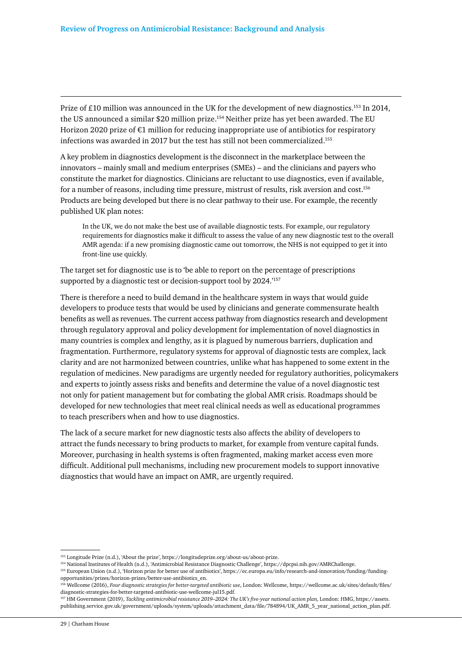Prize of £10 million was announced in the UK for the development of new diagnostics.153 In 2014, the US announced a similar \$20 million prize.<sup>154</sup> Neither prize has yet been awarded. The EU Horizon 2020 prize of  $\epsilon$ 1 million for reducing inappropriate use of antibiotics for respiratory infections was awarded in 2017 but the test has still not been commercialized.<sup>155</sup>

A key problem in diagnostics development is the disconnect in the marketplace between the innovators – mainly small and medium enterprises (SMEs) – and the clinicians and payers who constitute the market for diagnostics. Clinicians are reluctant to use diagnostics, even if available, for a number of reasons, including time pressure, mistrust of results, risk aversion and cost.156 Products are being developed but there is no clear pathway to their use. For example, the recently published UK plan notes:

In the UK, we do not make the best use of available diagnostic tests. For example, our regulatory requirements for diagnostics make it difficult to assess the value of any new diagnostic test to the overall AMR agenda: if a new promising diagnostic came out tomorrow, the NHS is not equipped to get it into front-line use quickly.

The target set for diagnostic use is to 'be able to report on the percentage of prescriptions supported by a diagnostic test or decision-support tool by 2024.'<sup>157</sup>

There is therefore a need to build demand in the healthcare system in ways that would guide developers to produce tests that would be used by clinicians and generate commensurate health benefits as well as revenues. The current access pathway from diagnostics research and development through regulatory approval and policy development for implementation of novel diagnostics in many countries is complex and lengthy, as it is plagued by numerous barriers, duplication and fragmentation. Furthermore, regulatory systems for approval of diagnostic tests are complex, lack clarity and are not harmonized between countries, unlike what has happened to some extent in the regulation of medicines. New paradigms are urgently needed for regulatory authorities, policymakers and experts to jointly assess risks and benefits and determine the value of a novel diagnostic test not only for patient management but for combating the global AMR crisis. Roadmaps should be developed for new technologies that meet real clinical needs as well as educational programmes to teach prescribers when and how to use diagnostics.

The lack of a secure market for new diagnostic tests also affects the ability of developers to attract the funds necessary to bring products to market, for example from venture capital funds. Moreover, purchasing in health systems is often fragmented, making market access even more difficult. Additional pull mechanisms, including new procurement models to support innovative diagnostics that would have an impact on AMR, are urgently required.

<sup>153</sup> Longitude Prize (n.d.), 'About the prize', https://longitudeprize.org/about-us/about-prize.

<sup>154</sup> National Institutes of Health (n.d.), 'Antimicrobial Resistance Diagnostic Challenge', https://dpcpsi.nih.gov/AMRChallenge.

<sup>155</sup> European Union (n.d.), 'Horizon prize for better use of antibiotics', https://ec.europa.eu/info/research-and-innovation/funding/fundingopportunities/prizes/horizon-prizes/better-use-antibiotics\_en.

<sup>156</sup> Wellcome (2016), *Four diagnostic strategies for better-targeted antibiotic use*, London: Wellcome, https://wellcome.ac.uk/sites/default/files/ diagnostic-strategies-for-better-targeted-antibiotic-use-wellcome-jul15.pdf.

<sup>157</sup> HM Government (2019), *Tackling antimicrobial resistance 2019–2024: The UK's five-year national action plan,* London: HMG, https://assets. publishing.service.gov.uk/government/uploads/system/uploads/attachment\_data/file/784894/UK\_AMR\_5\_year\_national\_action\_plan.pdf.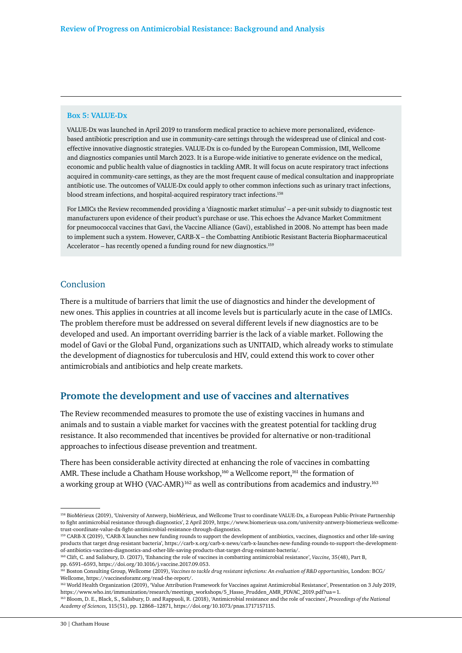#### **Box 5: VALUE-Dx**

VALUE-Dx was launched in April 2019 to transform medical practice to achieve more personalized, evidencebased antibiotic prescription and use in community-care settings through the widespread use of clinical and costeffective innovative diagnostic strategies. VALUE-Dx is co-funded by the European Commission, IMI, Wellcome and diagnostics companies until March 2023. It is a Europe-wide initiative to generate evidence on the medical, economic and public health value of diagnostics in tackling AMR. It will focus on acute respiratory tract infections acquired in community-care settings, as they are the most frequent cause of medical consultation and inappropriate antibiotic use. The outcomes of VALUE-Dx could apply to other common infections such as urinary tract infections, blood stream infections, and hospital-acquired respiratory tract infections.158

For LMICs the Review recommended providing a 'diagnostic market stimulus' – a per-unit subsidy to diagnostic test manufacturers upon evidence of their product's purchase or use. This echoes the Advance Market Commitment for pneumococcal vaccines that Gavi, the Vaccine Alliance (Gavi), established in 2008. No attempt has been made to implement such a system. However, CARB-X – the Combatting Antibiotic Resistant Bacteria Biopharmaceutical Accelerator – has recently opened a funding round for new diagnostics.<sup>159</sup>

#### Conclusion

There is a multitude of barriers that limit the use of diagnostics and hinder the development of new ones. This applies in countries at all income levels but is particularly acute in the case of LMICs. The problem therefore must be addressed on several different levels if new diagnostics are to be developed and used. An important overriding barrier is the lack of a viable market. Following the model of Gavi or the Global Fund, organizations such as UNITAID, which already works to stimulate the development of diagnostics for tuberculosis and HIV, could extend this work to cover other antimicrobials and antibiotics and help create markets.

# **Promote the development and use of vaccines and alternatives**

The Review recommended measures to promote the use of existing vaccines in humans and animals and to sustain a viable market for vaccines with the greatest potential for tackling drug resistance. It also recommended that incentives be provided for alternative or non-traditional approaches to infectious disease prevention and treatment.

There has been considerable activity directed at enhancing the role of vaccines in combatting AMR. These include a Chatham House workshop,<sup>160</sup> a Wellcome report,<sup>161</sup> the formation of a working group at WHO (VAC-AMR)<sup>162</sup> as well as contributions from academics and industry.<sup>163</sup>

<sup>158</sup> BioMérieux (2019), 'University of Antwerp, bioMérieux, and Wellcome Trust to coordinate VALUE-Dx, a European Public-Private Partnership to fight antimicrobial resistance through diagnostics', 2 April 2019, https://www.biomerieux-usa.com/university-antwerp-biomerieux-wellcometrust-coordinate-value-dx-fight-antimicrobial-resistance-through-diagnostics.

<sup>159</sup> CARB-X (2019), 'CARB-X launches new funding rounds to support the development of antibiotics, vaccines, diagnostics and other life-saving products that target drug-resistant bacteria', https://carb-x.org/carb-x-news/carb-x-launches-new-funding-rounds-to-support-the-developmentof-antibiotics-vaccines-diagnostics-and-other-life-saving-products-that-target-drug-resistant-bacteria/.

<sup>160</sup> Clift, C. and Salisbury, D. (2017), 'Enhancing the role of vaccines in combatting antimicrobial resistance', *Vaccine,* 35(48), Part B, pp. 6591–6593, https://doi.org/10.1016/j.vaccine.2017.09.053.

<sup>161</sup> Boston Consulting Group, Wellcome (2019), *Vaccines to tackle drug resistant infections: An evaluation of R&D opportunities,* London: BCG/ Wellcome, https://vaccinesforamr.org/read-the-report/.

<sup>&</sup>lt;sup>162</sup> World Health Organization (2019), 'Value Attribution Framework for Vaccines against Antimicrobial Resistance', Presentation on 3 July 2019, https://www.who.int/immunization/research/meetings\_workshops/5\_Hasso\_Prudden\_AMR\_PDVAC\_2019.pdf?ua=1.

<sup>163</sup> Bloom, D. E., Black, S., Salisbury, D. and Rappuoli, R. (2018), 'Antimicrobial resistance and the role of vaccines', *Proceedings of the National Academy of Sciences,* 115(51), pp. 12868–12871, https://doi.org/10.1073/pnas.1717157115.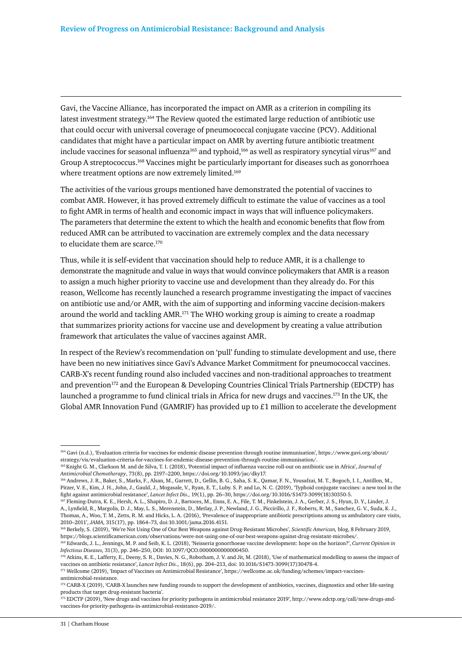Gavi, the Vaccine Alliance, has incorporated the impact on AMR as a criterion in compiling its latest investment strategy.164 The Review quoted the estimated large reduction of antibiotic use that could occur with universal coverage of pneumococcal conjugate vaccine (PCV). Additional candidates that might have a particular impact on AMR by averting future antibiotic treatment include vaccines for seasonal influenza<sup>165</sup> and typhoid,<sup>166</sup> as well as respiratory syncytial virus<sup>167</sup> and Group A streptococcus.168 Vaccines might be particularly important for diseases such as gonorrhoea where treatment options are now extremely limited.<sup>169</sup>

The activities of the various groups mentioned have demonstrated the potential of vaccines to combat AMR. However, it has proved extremely difficult to estimate the value of vaccines as a tool to fight AMR in terms of health and economic impact in ways that will influence policymakers. The parameters that determine the extent to which the health and economic benefits that flow from reduced AMR can be attributed to vaccination are extremely complex and the data necessary to elucidate them are scarce.170

Thus, while it is self-evident that vaccination should help to reduce AMR, it is a challenge to demonstrate the magnitude and value in ways that would convince policymakers that AMR is a reason to assign a much higher priority to vaccine use and development than they already do. For this reason, Wellcome has recently launched a research programme investigating the impact of vaccines on antibiotic use and/or AMR, with the aim of supporting and informing vaccine decision-makers around the world and tackling AMR.<sup>171</sup> The WHO working group is aiming to create a roadmap that summarizes priority actions for vaccine use and development by creating a value attribution framework that articulates the value of vaccines against AMR.

In respect of the Review's recommendation on 'pull' funding to stimulate development and use, there have been no new initiatives since Gavi's Advance Market Commitment for pneumococcal vaccines. CARB-X's recent funding round also included vaccines and non-traditional approaches to treatment and prevention<sup>172</sup> and the European & Developing Countries Clinical Trials Partnership (EDCTP) has launched a programme to fund clinical trials in Africa for new drugs and vaccines.173 In the UK, the Global AMR Innovation Fund (GAMRIF) has provided up to £1 million to accelerate the development

<sup>164</sup> Gavi (n.d.), 'Evaluation criteria for vaccines for endemic disease prevention through routine immunisation', https://www.gavi.org/about/ strategy/vis/evaluation-criteria-for-vaccines-for-endemic-disease-prevention-through-routine-immunisation/.

<sup>165</sup> Knight G. M., Clarkson M. and de Silva, T. I. (2018), 'Potential impact of influenza vaccine roll-out on antibiotic use in Africa', *Journal of Antimicrobial Chemotherapy*, 73(8), pp. 2197–2200, https://doi.org/10.1093/jac/dky17.

<sup>166</sup> Andrews, J. R., Baker, S., Marks, F., Alsan, M., Garrett, D., Gellin, B. G., Saha, S. K., Qamar, F. N., Yousafzai, M. T., Bogoch, I. I., Antillon, M., Pitzer, V. E., Kim, J. H., John, J., Gauld, J., Mogasale, V., Ryan, E. T., Luby. S. P. and Lo, N. C. (2019), 'Typhoid conjugate vaccines: a new tool in the fight against antimicrobial resistance', *Lancet Infect Dis.,* 19(1), pp. 26–30, https://doi.org/10.1016/S1473-3099(18)30350-5.

<sup>167</sup> Fleming-Dutra, K. E., Hersh, A. L., Shapiro, D. J., Bartoces, M., Enns, E. A., File, T. M., Finkelstein, J. A., Gerber, J. S., Hyun, D. Y., Linder, J. A., Lynfield, R., Margolis, D. J., May, L. S., Merenstein, D., Metlay, J. P., Newland, J. G., Piccirillo, J. F., Roberts, R. M., Sanchez, G. V., Suda, K. J., Thomas, A., Woo, T. M., Zetts, R. M. and Hicks, L. A. (2016), 'Prevalence of inappropriate antibiotic prescriptions among us ambulatory care visits, 2010–2011', *JAMA,* 315(17), pp. 1864–73, doi:10.1001/jama.2016.4151.

<sup>168</sup> Berkely, S. (2019), 'We're Not Using One of Our Best Weapons against Drug-Resistant Microbes', *Scientific American,* blog, 8 February 2019, https://blogs.scientificamerican.com/observations/were-not-using-one-of-our-best-weapons-against-drug-resistant-microbes/.

<sup>169</sup> Edwards, J. L., Jennings, M. P. and Seib, K. L. (2018), 'Neisseria gonorrhoeae vaccine development: hope on the horizon?', *Current Opinion in Infectious Diseases,* 31(3), pp. 246–250, DOI: 10.1097/QCO.0000000000000450.

<sup>&</sup>lt;sup>170</sup> Atkins, K. E., Lafferty, E., Deeny, S. R., Davies, N. G., Robotham, J. V. and Jit, M. (2018), 'Use of mathematical modelling to assess the impact of vaccines on antibiotic resistance', *Lancet Infect Dis*., 18(6), pp. 204–213, doi: 10.1016/S1473-3099(17)30478-4.

<sup>171</sup> Wellcome (2019), 'Impact of Vaccines on Antimicrobial Resistance', https://wellcome.ac.uk/funding/schemes/impact-vaccinesantimicrobial-resistance.

<sup>172</sup> CARB-X (2019), 'CARB-X launches new funding rounds to support the development of antibiotics, vaccines, diagnostics and other life-saving products that target drug-resistant bacteria'.

<sup>173</sup> EDCTP (2019), 'New drugs and vaccines for priority pathogens in antimicrobial resistance 2019', http://www.edctp.org/call/new-drugs-andvaccines-for-priority-pathogens-in-antimicrobial-resistance-2019/.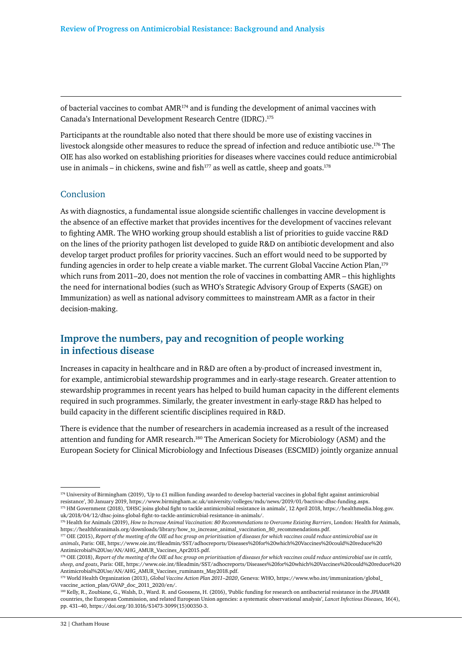of bacterial vaccines to combat  $AMR^{174}$  and is funding the development of animal vaccines with Canada's International Development Research Centre (IDRC).175

Participants at the roundtable also noted that there should be more use of existing vaccines in livestock alongside other measures to reduce the spread of infection and reduce antibiotic use.176 The OIE has also worked on establishing priorities for diseases where vaccines could reduce antimicrobial use in animals – in chickens, swine and fish<sup>177</sup> as well as cattle, sheep and goats.<sup>178</sup>

#### Conclusion

As with diagnostics, a fundamental issue alongside scientific challenges in vaccine development is the absence of an effective market that provides incentives for the development of vaccines relevant to fighting AMR. The WHO working group should establish a list of priorities to guide vaccine R&D on the lines of the priority pathogen list developed to guide R&D on antibiotic development and also develop target product profiles for priority vaccines. Such an effort would need to be supported by funding agencies in order to help create a viable market. The current Global Vaccine Action Plan,<sup>179</sup> which runs from 2011–20, does not mention the role of vaccines in combatting AMR – this highlights the need for international bodies (such as WHO's Strategic Advisory Group of Experts (SAGE) on Immunization) as well as national advisory committees to mainstream AMR as a factor in their decision-making.

# **Improve the numbers, pay and recognition of people working in infectious disease**

Increases in capacity in healthcare and in R&D are often a by-product of increased investment in, for example, antimicrobial stewardship programmes and in early-stage research. Greater attention to stewardship programmes in recent years has helped to build human capacity in the different elements required in such programmes. Similarly, the greater investment in early-stage R&D has helped to build capacity in the different scientific disciplines required in R&D.

There is evidence that the number of researchers in academia increased as a result of the increased attention and funding for AMR research.180 The American Society for Microbiology (ASM) and the European Society for Clinical Microbiology and Infectious Diseases (ESCMID) jointly organize annual

<sup>174</sup> University of Birmingham (2019), 'Up to £1 million funding awarded to develop bacterial vaccines in global fight against antimicrobial resistance', 30 January 2019, https://www.birmingham.ac.uk/university/colleges/mds/news/2019/01/bactivac-dhsc-funding.aspx. 175 HM Government (2018), 'DHSC joins global fight to tackle antimicrobial resistance in animals', 12 April 2018, https://healthmedia.blog.gov. uk/2018/04/12/dhsc-joins-global-fight-to-tackle-antimicrobial-resistance-in-animals/.

<sup>&</sup>lt;sup>176</sup> Health for Animals (2019), *How to Increase Animal Vaccination: 80 Recommendations to Overcome Existing Barriers*, London: Health for Animals, https://healthforanimals.org/downloads/library/how\_to\_increase\_animal\_vaccination\_80\_recommendations.pdf.

<sup>177</sup> OIE (2015), *Report of the meeting of the OIE ad hoc group on prioritisation of diseases for which vaccines could reduce antimicrobial use in animals*, Paris: OIE, https://www.oie.int/fileadmin/SST/adhocreports/Diseases%20for%20which%20Vaccines%20could%20reduce%20 Antimicrobial%20Use/AN/AHG\_AMUR\_Vaccines\_Apr2015.pdf.

<sup>&</sup>lt;sup>178</sup> OIE (2018), *Report of the meeting of the OIE ad hoc group on prioritisation of diseases for which vaccines could reduce antimicrobial use in cattle, sheep, and goats*, Paris: OIE, https://www.oie.int/fileadmin/SST/adhocreports/Diseases%20for%20which%20Vaccines%20could%20reduce%20 Antimicrobial%20Use/AN/AHG\_AMUR\_Vaccines\_ruminants\_May2018.pdf.

<sup>179</sup> World Health Organization (2013), *Global Vaccine Action Plan 2011–2020*, Geneva: WHO, https://www.who.int/immunization/global\_ vaccine\_action\_plan/GVAP\_doc\_2011\_2020/en/.

<sup>180</sup> Kelly, R., Zoubiane, G., Walsh, D., Ward. R. and Goossens, H. (2016), 'Public funding for research on antibacterial resistance in the JPIAMR countries, the European Commission, and related European Union agencies: a systematic observational analysis', *Lancet Infectious Diseases,* 16(4), pp. 431–40, https://doi.org/10.1016/S1473-3099(15)00350-3.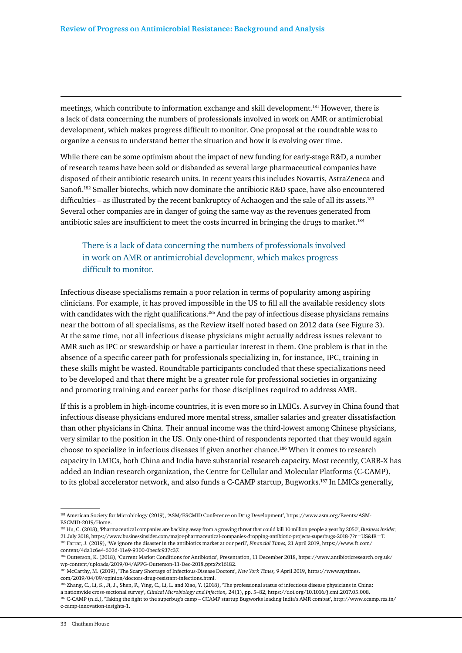meetings, which contribute to information exchange and skill development.181 However, there is a lack of data concerning the numbers of professionals involved in work on AMR or antimicrobial development, which makes progress difficult to monitor. One proposal at the roundtable was to organize a census to understand better the situation and how it is evolving over time.

While there can be some optimism about the impact of new funding for early-stage R&D, a number of research teams have been sold or disbanded as several large pharmaceutical companies have disposed of their antibiotic research units. In recent years this includes Novartis, AstraZeneca and Sanofi.182 Smaller biotechs, which now dominate the antibiotic R&D space, have also encountered difficulties – as illustrated by the recent bankruptcy of Achaogen and the sale of all its assets.<sup>183</sup> Several other companies are in danger of going the same way as the revenues generated from antibiotic sales are insufficient to meet the costs incurred in bringing the drugs to market.184

# There is a lack of data concerning the numbers of professionals involved in work on AMR or antimicrobial development, which makes progress difficult to monitor.

Infectious disease specialisms remain a poor relation in terms of popularity among aspiring clinicians. For example, it has proved impossible in the US to fill all the available residency slots with candidates with the right qualifications.<sup>185</sup> And the pay of infectious disease physicians remains near the bottom of all specialisms, as the Review itself noted based on 2012 data (see Figure 3). At the same time, not all infectious disease physicians might actually address issues relevant to AMR such as IPC or stewardship or have a particular interest in them. One problem is that in the absence of a specific career path for professionals specializing in, for instance, IPC, training in these skills might be wasted. Roundtable participants concluded that these specializations need to be developed and that there might be a greater role for professional societies in organizing and promoting training and career paths for those disciplines required to address AMR.

If this is a problem in high-income countries, it is even more so in LMICs. A survey in China found that infectious disease physicians endured more mental stress, smaller salaries and greater dissatisfaction than other physicians in China. Their annual income was the third-lowest among Chinese physicians, very similar to the position in the US. Only one-third of respondents reported that they would again choose to specialize in infectious diseases if given another chance.<sup>186</sup> When it comes to research capacity in LMICs, both China and India have substantial research capacity. Most recently, CARB-X has added an Indian research organization, the Centre for Cellular and Molecular Platforms (C-CAMP), to its global accelerator network, and also funds a C-CAMP startup, Bugworks.187 In LMICs generally,

<sup>181</sup> American Society for Microbiology (2019), 'ASM/ESCMID Conference on Drug Development', https://www.asm.org/Events/ASM-ESCMID-2019/Home.

<sup>182</sup> Hu, C. (2018), 'Pharmaceutical companies are backing away from a growing threat that could kill 10 million people a year by 2050', *Business Insider*, 21 July 2018, https://www.businessinsider.com/major-pharmaceutical-companies-dropping-antibiotic-projects-superbugs-2018-7?r=US&IR=T. 183 Farrar, J. (2019), 'We ignore the disaster in the antibiotics market at our peril', *Financial Times,* 21 April 2019, https://www.ft.com/

content/4da1c6e4-603d-11e9-9300-0becfc937c37. 184 Outterson, K. (2018), 'Current Market Conditions for Antibiotics', Presentation, 11 December 2018, https://www.antibioticresearch.org.uk/ wp-content/uploads/2019/04/APPG-Outterson-11-Dec-2018.pptx?x16182.

<sup>185</sup> McCarthy, M. (2019), 'The Scary Shortage of Infectious-Disease Doctors', *New York Times,* 9 April 2019, https://www.nytimes. com/2019/04/09/opinion/doctors-drug-resistant-infections.html.

<sup>186</sup> Zhang, C., Li, S., Ji, J., Shen, P., Ying, C., Li, L. and Xiao, Y. (2018), 'The professional status of infectious disease physicians in China: a nationwide cross-sectional survey', *Clinical Microbiology and Infection,* 24(1), pp. 5–82, https://doi.org/10.1016/j.cmi.2017.05.008. 187 C-CAMP (n.d.), 'Taking the fight to the superbug's camp – CCAMP startup Bugworks leading India's AMR combat', http://www.ccamp.res.in/ c-camp-innovation-insights-1.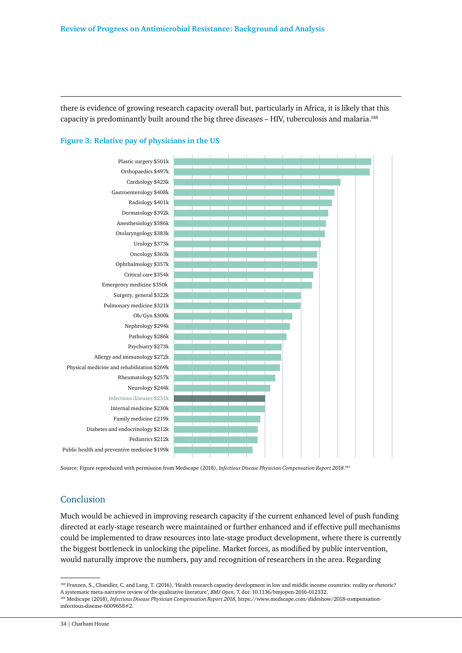there is evidence of growing research capacity overall but, particularly in Africa, it is likely that this capacity is predominantly built around the big three diseases – HIV, tuberculosis and malaria.188



#### **Figure 3: Relative pay of physicians in the US**

Source: Figure reproduced with permission from Medscape (2018), *Infectious Disease Physician Compensation Report 2018*. 189

#### Conclusion

Much would be achieved in improving research capacity if the current enhanced level of push funding directed at early-stage research were maintained or further enhanced and if effective pull mechanisms could be implemented to draw resources into late-stage product development, where there is currently the biggest bottleneck in unlocking the pipeline. Market forces, as modified by public intervention, would naturally improve the numbers, pay and recognition of researchers in the area. Regarding

<sup>188</sup> Franzen, S., Chandler, C. and Lang, T. (2016), 'Health research capacity development in low and middle income countries: reality or rhetoric? A systematic meta-narrative review of the qualitative literature', *BMJ Open,* 7, doi: 10.1136/bmjopen-2016-012332. 189 Medscape (2018), *Infectious Disease Physician Compensation Report 2018*, https://www.medscape.com/slideshow/2018-compensationinfectious-disease-6009658#2.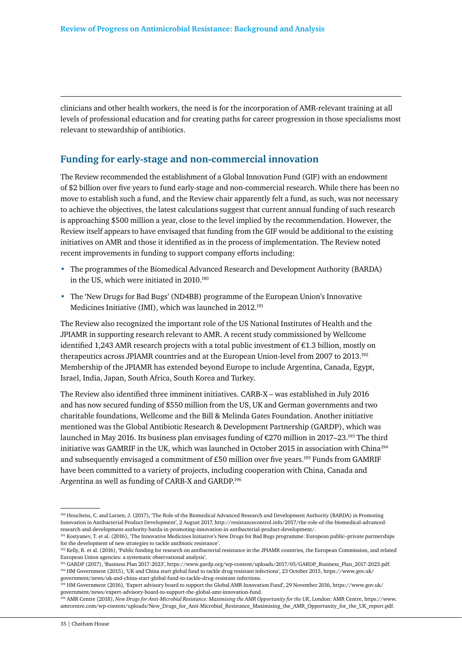clinicians and other health workers, the need is for the incorporation of AMR-relevant training at all levels of professional education and for creating paths for career progression in those specialisms most relevant to stewardship of antibiotics.

# **Funding for early-stage and non-commercial innovation**

The Review recommended the establishment of a Global Innovation Fund (GIF) with an endowment of \$2 billion over five years to fund early-stage and non-commercial research. While there has been no move to establish such a fund, and the Review chair apparently felt a fund, as such, was not necessary to achieve the objectives, the latest calculations suggest that current annual funding of such research is approaching \$500 million a year, close to the level implied by the recommendation. However, the Review itself appears to have envisaged that funding from the GIF would be additional to the existing initiatives on AMR and those it identified as in the process of implementation. The Review noted recent improvements in funding to support company efforts including:

- The programmes of the Biomedical Advanced Research and Development Authority (BARDA) in the US, which were initiated in 2010.<sup>190</sup>
- The 'New Drugs for Bad Bugs' (ND4BB) programme of the European Union's Innovative Medicines Initiative (IMI), which was launched in 2012.<sup>191</sup>

The Review also recognized the important role of the US National Institutes of Health and the JPIAMR in supporting research relevant to AMR. A recent study commissioned by Wellcome identified 1,243 AMR research projects with a total public investment of  $\epsilon$ 1.3 billion, mostly on therapeutics across JPIAMR countries and at the European Union-level from 2007 to 2013.192 Membership of the JPIAMR has extended beyond Europe to include Argentina, Canada, Egypt, Israel, India, Japan, South Africa, South Korea and Turkey.

The Review also identified three imminent initiatives. CARB-X – was established in July 2016 and has now secured funding of \$550 million from the US, UK and German governments and two charitable foundations, Wellcome and the Bill & Melinda Gates Foundation. Another initiative mentioned was the Global Antibiotic Research & Development Partnership (GARDP), which was launched in May 2016. Its business plan envisages funding of €270 million in 2017–23.193 The third initiative was GAMRIF in the UK, which was launched in October 2015 in association with China194 and subsequently envisaged a commitment of £50 million over five years.<sup>195</sup> Funds from GAMRIF have been committed to a variety of projects, including cooperation with China, Canada and Argentina as well as funding of CARB-X and GARDP.196

<sup>190</sup> Houchens, C. and Larsen, J. (2017), 'The Role of the Biomedical Advanced Research and Development Authority (BARDA) in Promoting Innovation in Antibacterial Product Development', 2 August 2017, http://resistancecontrol.info/2017/the-role-of-the-biomedical-advancedresearch-and-development-authority-barda-in-promoting-innovation-in-antibacterial-product-development/.

<sup>191</sup> Kostyanev, T. et al. (2016), 'The Innovative Medicines Initiative's New Drugs for Bad Bugs programme: European public–private partnerships for the development of new strategies to tackle antibiotic resistance'.

<sup>&</sup>lt;sup>192</sup> Kelly, R. et al. (2016), 'Public funding for research on antibacterial resistance in the JPIAMR countries, the European Commission, and related European Union agencies: a systematic observational analysis'.

<sup>193</sup> GARDP (2017), 'Business Plan 2017-2023', https://www.gardp.org/wp-content/uploads/2017/05/GARDP\_Business\_Plan\_2017-2023.pdf. 194 HM Government (2015), 'UK and China start global fund to tackle drug resistant infections', 23 October 2015, https://www.gov.uk/ government/news/uk-and-china-start-global-fund-to-tackle-drug-resistant-infections.

<sup>195</sup> HM Government (2016), 'Expert advisory board to support the Global AMR Innovation Fund', 29 November 2016, https://www.gov.uk/ government/news/expert-advisory-board-to-support-the-global-amr-innovation-fund.

<sup>196</sup> AMR Centre (2018), *New Drugs for Anti-Microbial Resistance: Maximising the AMR Opportunity for the UK*, London: AMR Centre, https://www. amrcentre.com/wp-content/uploads/New\_Drugs\_for\_Anti-Microbial\_Resistance\_Maximising\_the\_AMR\_Opportunity\_for\_the\_UK\_report.pdf.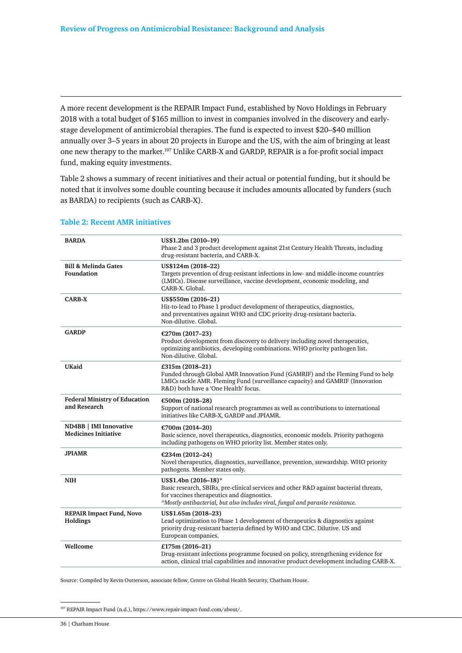A more recent development is the REPAIR Impact Fund, established by Novo Holdings in February 2018 with a total budget of \$165 million to invest in companies involved in the discovery and earlystage development of antimicrobial therapies. The fund is expected to invest \$20–\$40 million annually over 3–5 years in about 20 projects in Europe and the US, with the aim of bringing at least one new therapy to the market.197 Unlike CARB-X and GARDP, REPAIR is a for-profit social impact fund, making equity investments.

Table 2 shows a summary of recent initiatives and their actual or potential funding, but it should be noted that it involves some double counting because it includes amounts allocated by funders (such as BARDA) to recipients (such as CARB-X).

| <b>BARDA</b>                                          | US\$1.2bn (2010-19)<br>Phase 2 and 3 product development against 21st Century Health Threats, including<br>drug-resistant bacteria, and CARB-X.                                                                                                |
|-------------------------------------------------------|------------------------------------------------------------------------------------------------------------------------------------------------------------------------------------------------------------------------------------------------|
| <b>Bill &amp; Melinda Gates</b><br>Foundation         | US\$124m (2018-22)<br>Targets prevention of drug-resistant infections in low- and middle-income countries<br>(LMICs). Disease surveillance, vaccine development, economic modeling, and<br>CARB-X. Global.                                     |
| <b>CARB-X</b>                                         | US\$550m (2016-21)<br>Hit-to-lead to Phase 1 product development of therapeutics, diagnostics,<br>and preventatives against WHO and CDC priority drug-resistant bacteria.<br>Non-dilutive, Global,                                             |
| <b>GARDP</b>                                          | €270m (2017-23)<br>Product development from discovery to delivery including novel therapeutics,<br>optimizing antibiotics, developing combinations. WHO priority pathogen list.<br>Non-dilutive. Global.                                       |
| <b>UKaid</b>                                          | £315m (2018-21)<br>Funded through Global AMR Innovation Fund (GAMRIF) and the Fleming Fund to help<br>LMICs tackle AMR. Fleming Fund (surveillance capacity) and GAMRIF (Innovation<br>R&D) both have a 'One Health' focus.                    |
| <b>Federal Ministry of Education</b><br>and Research  | €500m (2018-28)<br>Support of national research programmes as well as contributions to international<br>initiatives like CARB-X, GARDP and JPIAMR.                                                                                             |
| ND4BB   IMI Innovative<br><b>Medicines Initiative</b> | €700m (2014-20)<br>Basic science, novel therapeutics, diagnostics, economic models. Priority pathogens<br>including pathogens on WHO priority list. Member states only.                                                                        |
| <b>JPIAMR</b>                                         | €234m (2012-24)<br>Novel therapeutics, diagnostics, surveillance, prevention, stewardship. WHO priority<br>pathogens. Member states only.                                                                                                      |
| <b>NIH</b>                                            | US\$1.4bn (2016-18)*<br>Basic research, SBIRs, pre-clinical services and other R&D against bacterial threats,<br>for vaccines therapeutics and diagnostics.<br>*Mostly antibacterial, but also includes viral, fungal and parasite resistance. |
| <b>REPAIR Impact Fund, Novo</b><br>Holdings           | US\$1.65m (2018-23)<br>Lead optimization to Phase 1 development of therapeutics & diagnostics against<br>priority drug-resistant bacteria defined by WHO and CDC. Dilutive. US and<br>European companies.                                      |
| Wellcome                                              | £175m (2016-21)<br>Drug-resistant infections programme focused on policy, strengthening evidence for<br>action, clinical trial capabilities and innovative product development including CARB-X.                                               |

#### **Table 2: Recent AMR initiatives**

Source: Compiled by Kevin Outterson, associate fellow, Centre on Global Health Security, Chatham House.

<sup>197</sup> REPAIR Impact Fund (n.d.), https://www.repair-impact-fund.com/about/.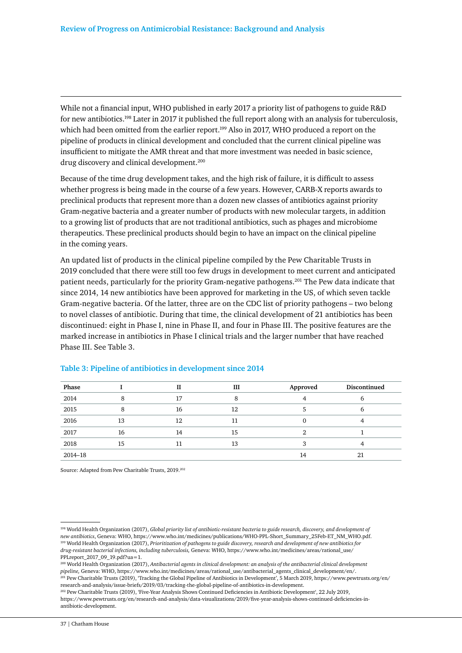While not a financial input, WHO published in early 2017 a priority list of pathogens to guide R&D for new antibiotics.198 Later in 2017 it published the full report along with an analysis for tuberculosis, which had been omitted from the earlier report.<sup>199</sup> Also in 2017, WHO produced a report on the pipeline of products in clinical development and concluded that the current clinical pipeline was insufficient to mitigate the AMR threat and that more investment was needed in basic science, drug discovery and clinical development.<sup>200</sup>

Because of the time drug development takes, and the high risk of failure, it is difficult to assess whether progress is being made in the course of a few years. However, CARB-X reports awards to preclinical products that represent more than a dozen new classes of antibiotics against priority Gram-negative bacteria and a greater number of products with new molecular targets, in addition to a growing list of products that are not traditional antibiotics, such as phages and microbiome therapeutics. These preclinical products should begin to have an impact on the clinical pipeline in the coming years.

An updated list of products in the clinical pipeline compiled by the Pew Charitable Trusts in 2019 concluded that there were still too few drugs in development to meet current and anticipated patient needs, particularly for the priority Gram-negative pathogens.201 The Pew data indicate that since 2014, 14 new antibiotics have been approved for marketing in the US, of which seven tackle Gram-negative bacteria. Of the latter, three are on the CDC list of priority pathogens – two belong to novel classes of antibiotic. During that time, the clinical development of 21 antibiotics has been discontinued: eight in Phase I, nine in Phase II, and four in Phase III. The positive features are the marked increase in antibiotics in Phase I clinical trials and the larger number that have reached Phase III. See Table 3.

| Phase   |    | П  | III | Approved | Discontinued |
|---------|----|----|-----|----------|--------------|
| 2014    |    | 17 | 8   |          |              |
| 2015    | 8  | 16 | 12  |          |              |
| 2016    | 13 | 12 | 11  |          |              |
| 2017    | 16 | 14 | 15  |          |              |
| 2018    | 15 | 11 | 13  |          |              |
| 2014-18 |    |    |     | 14       | 21           |

#### **Table 3: Pipeline of antibiotics in development since 2014**

Source: Adapted from Pew Charitable Trusts, 2019.202

200 World Health Organization (2017), *Antibacterial agents in clinical development: an analysis of the antibacterial clinical development pipeline,* Geneva: WHO, https://www.who.int/medicines/areas/rational\_use/antibacterial\_agents\_clinical\_development/en/. 201 Pew Charitable Trusts (2019), 'Tracking the Global Pipeline of Antibiotics in Development', 5 March 2019, https://www.pewtrusts.org/en/

research-and-analysis/issue-briefs/2019/03/tracking-the-global-pipeline-of-antibiotics-in-development.

<sup>198</sup> World Health Organization (2017), *Global priority list of antibiotic-resistant bacteria to guide research, discovery, and development of new antibiotics*, Geneva: WHO, https://www.who.int/medicines/publications/WHO-PPL-Short\_Summary\_25Feb-ET\_NM\_WHO.pdf. 199 World Health Organization (2017), *Prioritization of pathogens to guide discovery, research and development of new antibiotics for drug-resistant bacterial infections, including tuberculosis,* Geneva: WHO, https://www.who.int/medicines/areas/rational\_use/ PPLreport 2017 09 19.pdf?ua=1.

<sup>202</sup> Pew Charitable Trusts (2019), 'Five-Year Analysis Shows Continued Deficiencies in Antibiotic Development', 22 July 2019, https://www.pewtrusts.org/en/research-and-analysis/data-visualizations/2019/five-year-analysis-shows-continued-deficiencies-inantibiotic-development.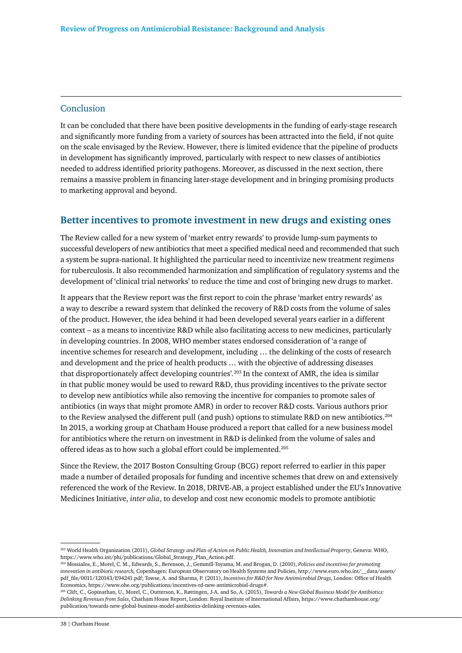#### Conclusion

It can be concluded that there have been positive developments in the funding of early-stage research and significantly more funding from a variety of sources has been attracted into the field, if not quite on the scale envisaged by the Review. However, there is limited evidence that the pipeline of products in development has significantly improved, particularly with respect to new classes of antibiotics needed to address identified priority pathogens. Moreover, as discussed in the next section, there remains a massive problem in financing later-stage development and in bringing promising products to marketing approval and beyond.

### **Better incentives to promote investment in new drugs and existing ones**

The Review called for a new system of 'market entry rewards' to provide lump-sum payments to successful developers of new antibiotics that meet a specified medical need and recommended that such a system be supra-national. It highlighted the particular need to incentivize new treatment regimens for tuberculosis. It also recommended harmonization and simplification of regulatory systems and the development of 'clinical trial networks' to reduce the time and cost of bringing new drugs to market.

It appears that the Review report was the first report to coin the phrase 'market entry rewards' as a way to describe a reward system that delinked the recovery of R&D costs from the volume of sales of the product. However, the idea behind it had been developed several years earlier in a different context – as a means to incentivize R&D while also facilitating access to new medicines, particularly in developing countries. In 2008, WHO member states endorsed consideration of 'a range of incentive schemes for research and development, including … the delinking of the costs of research and development and the price of health products … with the objective of addressing diseases that disproportionately affect developing countries'*.* <sup>203</sup> In the context of AMR, the idea is similar in that public money would be used to reward R&D, thus providing incentives to the private sector to develop new antibiotics while also removing the incentive for companies to promote sales of antibiotics (in ways that might promote AMR) in order to recover R&D costs. Various authors prior to the Review analysed the different pull (and push) options to stimulate R&D on new antibiotics.<sup>204</sup> In 2015, a working group at Chatham House produced a report that called for a new business model for antibiotics where the return on investment in R&D is delinked from the volume of sales and offered ideas as to how such a global effort could be implemented.<sup>205</sup>

Since the Review, the 2017 Boston Consulting Group (BCG) report referred to earlier in this paper made a number of detailed proposals for funding and incentive schemes that drew on and extensively referenced the work of the Review. In 2018, DRIVE-AB, a project established under the EU's Innovative Medicines Initiative, *inter alia*, to develop and cost new economic models to promote antibiotic

<sup>203</sup> World Health Organization (2011), *Global Strategy and Plan of Action on Public Health, Innovation and Intellectual Property*, Geneva: WHO, https://www.who.int/phi/publications/Global\_Strategy\_Plan\_Action.pdf.

<sup>204</sup> Mossialos, E., Morel, C. M., Edwards, S., Berenson, J., Gemmill-Toyama, M. and Brogan, D. (2010), *Policies and incentives for promoting innovation in antibiotic research,* Copenhagen: European Observatory on Health Systems and Policies, http://www.euro.who.int/\_\_data/assets/ pdf\_file/0011/120143/E94241.pdf; Towse, A. and Sharma, P. (2011), *Incentives for R&D for New Antimicrobial Drugs*, London: Office of Health Economics, https://www.ohe.org/publications/incentives-rd-new-antimicrobial-drugs#.

<sup>205</sup> Clift, C., Gopinathan, U., Morel, C., Outterson, K., Røttingen, J-A. and So, A. (2015), *Towards a New Global Business Model for Antibiotics: Delinking Revenues from Sales*, Chatham House Report, London: Royal Institute of International Affairs, https://www.chathamhouse.org/ publication/towards-new-global-business-model-antibiotics-delinking-revenues-sales.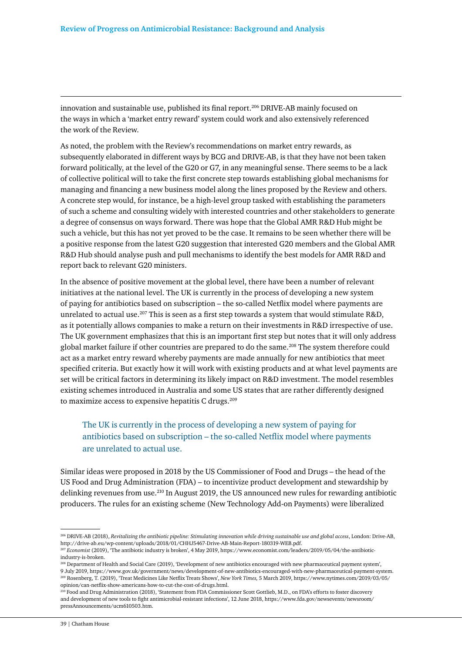innovation and sustainable use, published its final report.206 DRIVE-AB mainly focused on the ways in which a 'market entry reward' system could work and also extensively referenced the work of the Review.

As noted, the problem with the Review's recommendations on market entry rewards, as subsequently elaborated in different ways by BCG and DRIVE-AB, is that they have not been taken forward politically, at the level of the G20 or G7, in any meaningful sense. There seems to be a lack of collective political will to take the first concrete step towards establishing global mechanisms for managing and financing a new business model along the lines proposed by the Review and others. A concrete step would, for instance, be a high-level group tasked with establishing the parameters of such a scheme and consulting widely with interested countries and other stakeholders to generate a degree of consensus on ways forward. There was hope that the Global AMR R&D Hub might be such a vehicle, but this has not yet proved to be the case. It remains to be seen whether there will be a positive response from the latest G20 suggestion that interested G20 members and the Global AMR R&D Hub should analyse push and pull mechanisms to identify the best models for AMR R&D and report back to relevant G20 ministers.

In the absence of positive movement at the global level, there have been a number of relevant initiatives at the national level. The UK is currently in the process of developing a new system of paying for antibiotics based on subscription – the so-called Netflix model where payments are unrelated to actual use.<sup>207</sup> This is seen as a first step towards a system that would stimulate R&D, as it potentially allows companies to make a return on their investments in R&D irrespective of use. The UK government emphasizes that this is an important first step but notes that it will only address global market failure if other countries are prepared to do the same.<sup>208</sup> The system therefore could act as a market entry reward whereby payments are made annually for new antibiotics that meet specified criteria. But exactly how it will work with existing products and at what level payments are set will be critical factors in determining its likely impact on R&D investment. The model resembles existing schemes introduced in Australia and some US states that are rather differently designed to maximize access to expensive hepatitis C drugs.<sup>209</sup>

# The UK is currently in the process of developing a new system of paying for antibiotics based on subscription – the so-called Netflix model where payments are unrelated to actual use.

Similar ideas were proposed in 2018 by the US Commissioner of Food and Drugs – the head of the US Food and Drug Administration (FDA) – to incentivize product development and stewardship by delinking revenues from use.<sup>210</sup> In August 2019, the US announced new rules for rewarding antibiotic producers. The rules for an existing scheme (New Technology Add-on Payments) were liberalized

<sup>206</sup> DRIVE-AB (2018), *Revitalizing the antibiotic pipeline: Stimulating innovation while driving sustainable use and global access*, London: Drive-AB, http://drive-ab.eu/wp-content/uploads/2018/01/CHHJ5467-Drive-AB-Main-Report-180319-WEB.pdf.

<sup>207</sup> *Economist* (2019), 'The antibiotic industry is broken', 4 May 2019, https://www.economist.com/leaders/2019/05/04/the-antibioticindustry-is-broken.

<sup>208</sup> Department of Health and Social Care (2019), 'Development of new antibiotics encouraged with new pharmaceutical payment system', 9 July 2019, https://www.gov.uk/government/news/development-of-new-antibiotics-encouraged-with-new-pharmaceutical-payment-system. 209 Rosenberg, T. (2019), 'Treat Medicines Like Netflix Treats Shows', *New York Times,* 5 March 2019, https://www.nytimes.com/2019/03/05/ opinion/can-netflix-show-americans-how-to-cut-the-cost-of-drugs.html.

 $^{10}$  Food and Drug Administration (2018), 'Statement from FDA Commissioner Scott Gottlieb, M.D., on FDA's efforts to foster discovery and development of new tools to fight antimicrobial-resistant infections', 12 June 2018, https://www.fda.gov/newsevents/newsroom/ pressAnnouncements/ucm610503.htm.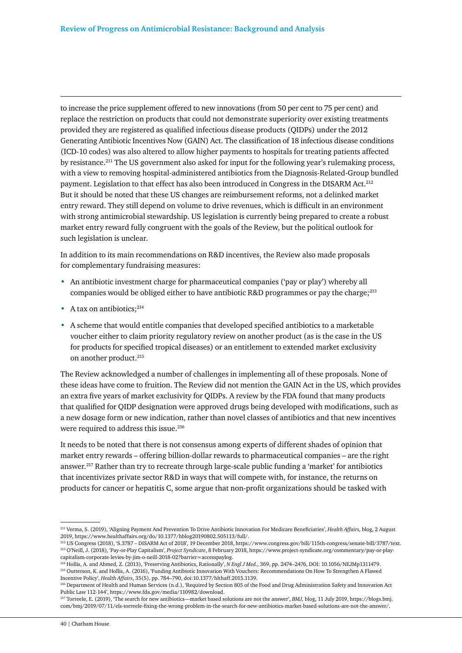to increase the price supplement offered to new innovations (from 50 per cent to 75 per cent) and replace the restriction on products that could not demonstrate superiority over existing treatments provided they are registered as qualified infectious disease products (QIDPs) under the 2012 Generating Antibiotic Incentives Now (GAIN) Act. The classification of 18 infectious disease conditions (ICD-10 codes) was also altered to allow higher payments to hospitals for treating patients affected by resistance.211 The US government also asked for input for the following year's rulemaking process, with a view to removing hospital-administered antibiotics from the Diagnosis-Related-Group bundled payment. Legislation to that effect has also been introduced in Congress in the DISARM Act.<sup>212</sup> But it should be noted that these US changes are reimbursement reforms, not a delinked market entry reward. They still depend on volume to drive revenues, which is difficult in an environment with strong antimicrobial stewardship. US legislation is currently being prepared to create a robust market entry reward fully congruent with the goals of the Review, but the political outlook for such legislation is unclear.

In addition to its main recommendations on R&D incentives, the Review also made proposals for complementary fundraising measures:

- An antibiotic investment charge for pharmaceutical companies ('pay or play') whereby all companies would be obliged either to have antibiotic R&D programmes or pay the charge; $^{213}$
- A tax on antibiotics: $214$
- A scheme that would entitle companies that developed specified antibiotics to a marketable voucher either to claim priority regulatory review on another product (as is the case in the US for products for specified tropical diseases) or an entitlement to extended market exclusivity on another product.<sup>215</sup>

The Review acknowledged a number of challenges in implementing all of these proposals. None of these ideas have come to fruition. The Review did not mention the GAIN Act in the US, which provides an extra five years of market exclusivity for QIDPs. A review by the FDA found that many products that qualified for QIDP designation were approved drugs being developed with modifications, such as a new dosage form or new indication, rather than novel classes of antibiotics and that new incentives were required to address this issue.<sup>216</sup>

It needs to be noted that there is not consensus among experts of different shades of opinion that market entry rewards – offering billion-dollar rewards to pharmaceutical companies – are the right answer.<sup>217</sup> Rather than try to recreate through large-scale public funding a 'market' for antibiotics that incentivizes private sector R&D in ways that will compete with, for instance, the returns on products for cancer or hepatitis C, some argue that non-profit organizations should be tasked with

<sup>211</sup> Verma, S. (2019), 'Aligning Payment And Prevention To Drive Antibiotic Innovation For Medicare Beneficiaries', *Health Affairs,* blog, 2 August 2019, https://www.healthaffairs.org/do/10.1377/hblog20190802.505113/full/.

<sup>212</sup> US Congress (2018), 'S.3787 – DISARM Act of 2018', 19 December 2018, https://www.congress.gov/bill/115th-congress/senate-bill/3787/text. 213 O'Neill, J. (2018), 'Pay-or-Play Capitalism', *Project Syndicate*, 8 February 2018, https://www.project-syndicate.org/commentary/pay-or-playcapitalism-corporate-levies-by-jim-o-neill-2018-02?barrier=accesspaylog.

<sup>214</sup> Hollis, A. and Ahmed, Z. (2013), 'Preserving Antibiotics, Rationally', *N Engl J Med.,* 369, pp. 2474–2476, DOI: 10.1056/NEJMp1311479. 215 Outterson, K. and Hollis, A. (2016), 'Funding Antibiotic Innovation With Vouchers: Recommendations On How To Strengthen A Flawed Incentive Policy', *Health Affairs*, 35(5), pp. 784–790, doi:10.1377/hlthaff.2015.1139.

<sup>216</sup> Department of Health and Human Services (n.d.), 'Required by Section 805 of the Food and Drug Administration Safety and Innovation Act Public Law 112-144', https://www.fda.gov/media/110982/download.

<sup>217</sup> Torreele, E. (2019), 'The search for new antibiotics—market based solutions are not the answer', *BMJ,* blog, 11 July 2019, https://blogs.bmj. com/bmj/2019/07/11/els-torreele-fixing-the-wrong-problem-in-the-search-for-new-antibiotics-market-based-solutions-are-not-the-answer/.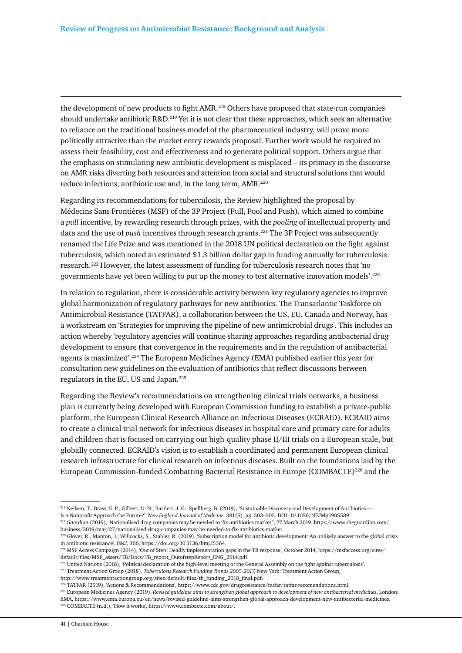the development of new products to fight AMR.218 Others have proposed that state-run companies should undertake antibiotic R&D.219 Yet it is not clear that these approaches, which seek an alternative to reliance on the traditional business model of the pharmaceutical industry, will prove more politically attractive than the market entry rewards proposal. Further work would be required to assess their feasibility, cost and effectiveness and to generate political support. Others argue that the emphasis on stimulating new antibiotic development is misplaced – its primacy in the discourse on AMR risks diverting both resources and attention from social and structural solutions that would reduce infections, antibiotic use and, in the long term, AMR.<sup>220</sup>

Regarding its recommendations for tuberculosis, the Review highlighted the proposal by Médecins Sans Frontières (MSF) of the 3P Project (Pull, Pool and Push), which aimed to combine a *pull* incentive, by rewarding research through prizes, with the *pooling* of intellectual property and data and the use of *push* incentives through research grants.221 The 3P Project was subsequently renamed the Life Prize and was mentioned in the 2018 UN political declaration on the fight against tuberculosis, which noted an estimated \$1.3 billion dollar gap in funding annually for tuberculosis research.222 However, the latest assessment of funding for tuberculosis research notes that 'no governments have yet been willing to put up the money to test alternative innovation models'.223

In relation to regulation, there is considerable activity between key regulatory agencies to improve global harmonization of regulatory pathways for new antibiotics. The Transatlantic Taskforce on Antimicrobial Resistance (TATFAR), a collaboration between the US, EU, Canada and Norway, has a workstream on 'Strategies for improving the pipeline of new antimicrobial drugs'. This includes an action whereby 'regulatory agencies will continue sharing approaches regarding antibacterial drug development to ensure that convergence in the requirements and in the regulation of antibacterial agents is maximized'.224 The European Medicines Agency (EMA) published earlier this year for consultation new guidelines on the evaluation of antibiotics that reflect discussions between regulators in the EU, US and Japan.225

Regarding the Review's recommendations on strengthening clinical trials networks, a business plan is currently being developed with European Commission funding to establish a private-public platform, the European Clinical Research Alliance on Infectious Diseases (ECRAID). ECRAID aims to create a clinical trial network for infectious diseases in hospital care and primary care for adults and children that is focused on carrying out high-quality phase II/III trials on a European scale, but globally connected. ECRAID's vision is to establish a coordinated and permanent European clinical research infrastructure for clinical research on infectious diseases. Built on the foundations laid by the European Commission-funded Combatting Bacterial Resistance in Europe (COMBACTE)226 and the

<sup>222</sup> United Nations (2016), 'Political declaration of the high-level meeting of the General Assembly on the fight against tuberculosis'. 223 Treatment Action Group (2018), *Tuberculosis Research Funding Trends 2005-2017,* New York: Treatment Action Group,

http://www.treatmentactiongroup.org/sites/default/files/tb\_funding\_2018\_final.pdf.

<sup>224</sup> TATFAR (2019), 'Actions & Recommendations', https://www.cdc.gov/drugresistance/tatfar/tatfar-recomendations.html.

225 European Medicines Agency (2019), *Revised guideline aims to strengthen global approach to development of new antibacterial medicines*, London: EMA, https://www.ema.europa.eu/en/news/revised-guideline-aims-strengthen-global-approach-development-new-antibacterial-medicines. 226 COMBACTE (n.d.), 'How it works', https://www.combacte.com/about/.

<sup>218</sup> Neilsen, T., Brass, E. P., Gilbert, D. N., Bartlett, J. G., Spellberg, B. (2019), 'Sustainable Discovery and Development of Antibiotics — Is a Nonprofit Approach the Future?', *New England Journal of Medicine,* 381(6), pp. 503–505, DOI: 10.1056/NEJMp1905589.

<sup>219</sup> *Guardian* (2019), 'Nationalised drug companies may be needed to 'fix antibiotics market'', 27 March 2019, https://www.theguardian.com/ business/2019/mar/27/nationalised-drug-companies-may-be-needed-to-fix-antibiotics-market.

<sup>220</sup> Glover, R., Manton, J., Willcocks, S., Stabler, R. (2019), 'Subscription model for antibiotic development: An unlikely answer to the global crisis in antibiotic resistance', *BMJ,* 366, https://doi.org/10.1136/bmj.l5364.

<sup>221</sup> MSF Access Campaign (2014), 'Out of Step: Deadly implementation gaps in the TB response', October 2014, https://msfaccess.org/sites/ default/files/MSF\_assets/TB/Docs/TB\_report\_OutofstepReport\_ENG\_2014.pdf.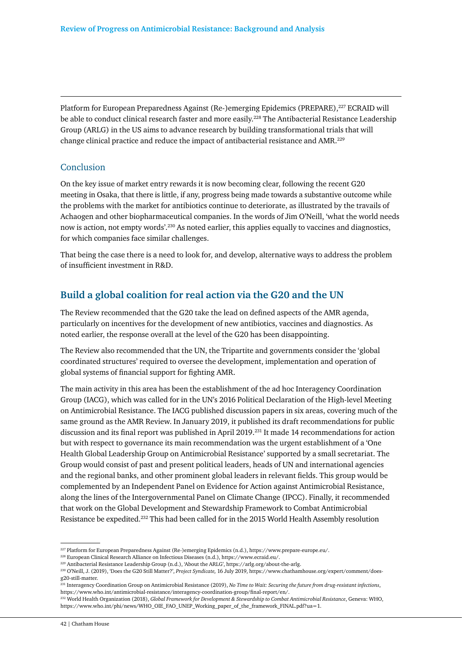Platform for European Preparedness Against (Re-)emerging Epidemics (PREPARE),227 ECRAID will be able to conduct clinical research faster and more easily.<sup>228</sup> The Antibacterial Resistance Leadership Group (ARLG) in the US aims to advance research by building transformational trials that will change clinical practice and reduce the impact of antibacterial resistance and AMR.229

### Conclusion

On the key issue of market entry rewards it is now becoming clear, following the recent G20 meeting in Osaka, that there is little, if any, progress being made towards a substantive outcome while the problems with the market for antibiotics continue to deteriorate, as illustrated by the travails of Achaogen and other biopharmaceutical companies. In the words of Jim O'Neill, 'what the world needs now is action, not empty words'.230 As noted earlier, this applies equally to vaccines and diagnostics, for which companies face similar challenges.

That being the case there is a need to look for, and develop, alternative ways to address the problem of insufficient investment in R&D.

# **Build a global coalition for real action via the G20 and the UN**

The Review recommended that the G20 take the lead on defined aspects of the AMR agenda, particularly on incentives for the development of new antibiotics, vaccines and diagnostics. As noted earlier, the response overall at the level of the G20 has been disappointing.

The Review also recommended that the UN, the Tripartite and governments consider the 'global coordinated structures' required to oversee the development, implementation and operation of global systems of financial support for fighting AMR.

The main activity in this area has been the establishment of the ad hoc Interagency Coordination Group (IACG), which was called for in the UN's 2016 Political Declaration of the High-level Meeting on Antimicrobial Resistance. The IACG published discussion papers in six areas, covering much of the same ground as the AMR Review. In January 2019, it published its draft recommendations for public discussion and its final report was published in April 2019.<sup>231</sup> It made 14 recommendations for action but with respect to governance its main recommendation was the urgent establishment of a 'One Health Global Leadership Group on Antimicrobial Resistance' supported by a small secretariat. The Group would consist of past and present political leaders, heads of UN and international agencies and the regional banks, and other prominent global leaders in relevant fields. This group would be complemented by an Independent Panel on Evidence for Action against Antimicrobial Resistance, along the lines of the Intergovernmental Panel on Climate Change (IPCC). Finally, it recommended that work on the Global Development and Stewardship Framework to Combat Antimicrobial Resistance be expedited.232 This had been called for in the 2015 World Health Assembly resolution

<sup>227</sup> Platform for European Preparedness Against (Re-)emerging Epidemics (n.d.), https://www.prepare-europe.eu/.

<sup>228</sup> European Clinical Research Alliance on Infectious Diseases (n.d.), https://www.ecraid.eu/.

<sup>229</sup> Antibacterial Resistance Leadership Group (n.d.), 'About the ARLG', https://arlg.org/about-the-arlg.

<sup>230</sup> O'Neill, J. (2019), 'Does the G20 Still Matter?', *Project Syndicate,* 16 July 2019, https://www.chathamhouse.org/expert/comment/doesg20-still-matter.

<sup>231</sup> Interagency Coordination Group on Antimicrobial Resistance (2019), *No Time to Wait: Securing the future from drug-resistant infections*, https://www.who.int/antimicrobial-resistance/interagency-coordination-group/final-report/en/.

<sup>232</sup> World Health Organization (2018), *Global Framework for Development & Stewardship to Combat Antimicrobial Resistance*, Geneva: WHO, https://www.who.int/phi/news/WHO\_OIE\_FAO\_UNEP\_Working\_paper\_of\_the\_framework\_FINAL.pdf?ua=1.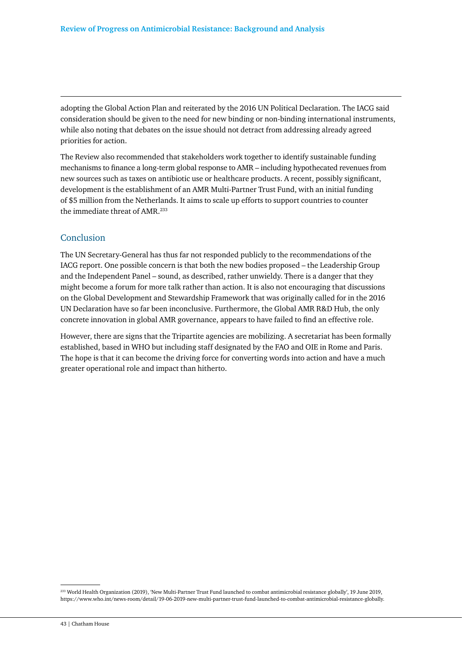adopting the Global Action Plan and reiterated by the 2016 UN Political Declaration. The IACG said consideration should be given to the need for new binding or non-binding international instruments, while also noting that debates on the issue should not detract from addressing already agreed priorities for action.

The Review also recommended that stakeholders work together to identify sustainable funding mechanisms to finance a long-term global response to AMR – including hypothecated revenues from new sources such as taxes on antibiotic use or healthcare products. A recent, possibly significant, development is the establishment of an AMR Multi-Partner Trust Fund, with an initial funding of \$5 million from the Netherlands. It aims to scale up efforts to support countries to counter the immediate threat of AMR.233

#### Conclusion

The UN Secretary-General has thus far not responded publicly to the recommendations of the IACG report. One possible concern is that both the new bodies proposed – the Leadership Group and the Independent Panel – sound, as described, rather unwieldy. There is a danger that they might become a forum for more talk rather than action. It is also not encouraging that discussions on the Global Development and Stewardship Framework that was originally called for in the 2016 UN Declaration have so far been inconclusive. Furthermore, the Global AMR R&D Hub, the only concrete innovation in global AMR governance, appears to have failed to find an effective role.

However, there are signs that the Tripartite agencies are mobilizing. A secretariat has been formally established, based in WHO but including staff designated by the FAO and OIE in Rome and Paris. The hope is that it can become the driving force for converting words into action and have a much greater operational role and impact than hitherto.

<sup>233</sup> World Health Organization (2019), 'New Multi-Partner Trust Fund launched to combat antimicrobial resistance globally', 19 June 2019, https://www.who.int/news-room/detail/19-06-2019-new-multi-partner-trust-fund-launched-to-combat-antimicrobial-resistance-globally.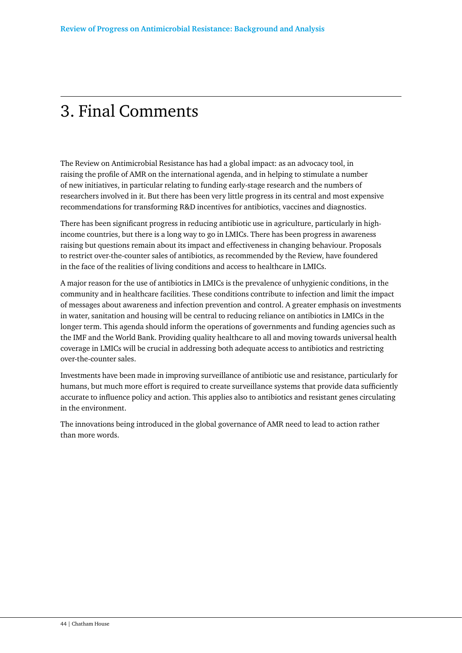# 3. Final Comments

The Review on Antimicrobial Resistance has had a global impact: as an advocacy tool, in raising the profile of AMR on the international agenda, and in helping to stimulate a number of new initiatives, in particular relating to funding early-stage research and the numbers of researchers involved in it. But there has been very little progress in its central and most expensive recommendations for transforming R&D incentives for antibiotics, vaccines and diagnostics.

There has been significant progress in reducing antibiotic use in agriculture, particularly in highincome countries, but there is a long way to go in LMICs. There has been progress in awareness raising but questions remain about its impact and effectiveness in changing behaviour. Proposals to restrict over-the-counter sales of antibiotics, as recommended by the Review, have foundered in the face of the realities of living conditions and access to healthcare in LMICs.

A major reason for the use of antibiotics in LMICs is the prevalence of unhygienic conditions, in the community and in healthcare facilities. These conditions contribute to infection and limit the impact of messages about awareness and infection prevention and control. A greater emphasis on investments in water, sanitation and housing will be central to reducing reliance on antibiotics in LMICs in the longer term. This agenda should inform the operations of governments and funding agencies such as the IMF and the World Bank. Providing quality healthcare to all and moving towards universal health coverage in LMICs will be crucial in addressing both adequate access to antibiotics and restricting over-the-counter sales.

Investments have been made in improving surveillance of antibiotic use and resistance, particularly for humans, but much more effort is required to create surveillance systems that provide data sufficiently accurate to influence policy and action. This applies also to antibiotics and resistant genes circulating in the environment.

The innovations being introduced in the global governance of AMR need to lead to action rather than more words.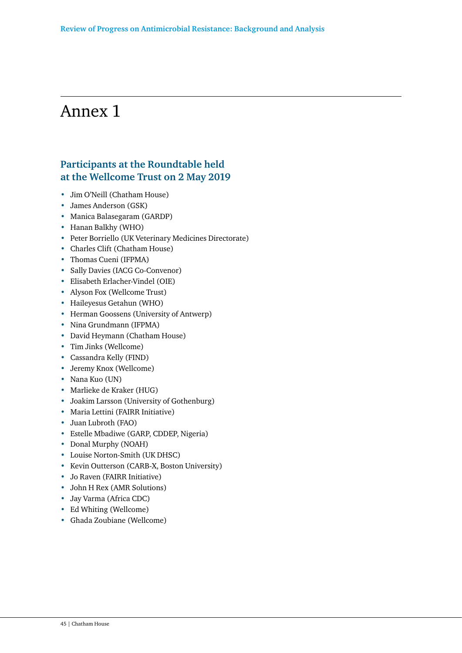# Annex 1

# **Participants at the Roundtable held at the Wellcome Trust on 2 May 2019**

- Jim O'Neill (Chatham House)
- James Anderson (GSK)
- Manica Balasegaram (GARDP)
- Hanan Balkhy (WHO)
- Peter Borriello (UK Veterinary Medicines Directorate)
- Charles Clift (Chatham House)
- Thomas Cueni (IFPMA)
- Sally Davies (IACG Co-Convenor)
- Elisabeth Erlacher-Vindel (OIE)
- Alyson Fox (Wellcome Trust)
- Haileyesus Getahun (WHO)
- Herman Goossens (University of Antwerp)
- Nina Grundmann (IFPMA)
- David Heymann (Chatham House)
- Tim Jinks (Wellcome)
- Cassandra Kelly (FIND)
- Jeremy Knox (Wellcome)
- Nana Kuo (UN)
- Marlieke de Kraker (HUG)
- Joakim Larsson (University of Gothenburg)
- Maria Lettini (FAIRR Initiative)
- Juan Lubroth (FAO)
- Estelle Mbadiwe (GARP, CDDEP, Nigeria)
- Donal Murphy (NOAH)
- Louise Norton-Smith (UK DHSC)
- Kevin Outterson (CARB-X, Boston University)
- Jo Raven (FAIRR Initiative)
- John H Rex (AMR Solutions)
- Jay Varma (Africa CDC)
- Ed Whiting (Wellcome)
- Ghada Zoubiane (Wellcome)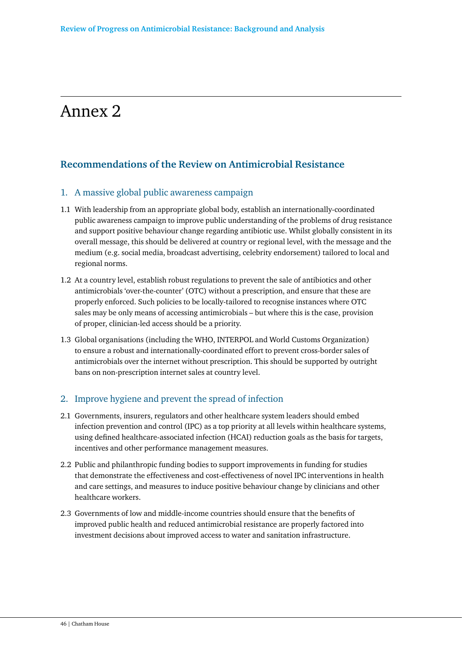# Annex 2

# **Recommendations of the Review on Antimicrobial Resistance**

### 1. A massive global public awareness campaign

- 1.1 With leadership from an appropriate global body, establish an internationally-coordinated public awareness campaign to improve public understanding of the problems of drug resistance and support positive behaviour change regarding antibiotic use. Whilst globally consistent in its overall message, this should be delivered at country or regional level, with the message and the medium (e.g. social media, broadcast advertising, celebrity endorsement) tailored to local and regional norms.
- 1.2 At a country level, establish robust regulations to prevent the sale of antibiotics and other antimicrobials 'over-the-counter' (OTC) without a prescription, and ensure that these are properly enforced. Such policies to be locally-tailored to recognise instances where OTC sales may be only means of accessing antimicrobials – but where this is the case, provision of proper, clinician-led access should be a priority.
- 1.3 Global organisations (including the WHO, INTERPOL and World Customs Organization) to ensure a robust and internationally-coordinated effort to prevent cross-border sales of antimicrobials over the internet without prescription. This should be supported by outright bans on non-prescription internet sales at country level.

# 2. Improve hygiene and prevent the spread of infection

- 2.1 Governments, insurers, regulators and other healthcare system leaders should embed infection prevention and control (IPC) as a top priority at all levels within healthcare systems, using defined healthcare-associated infection (HCAI) reduction goals as the basis for targets, incentives and other performance management measures.
- 2.2 Public and philanthropic funding bodies to support improvements in funding for studies that demonstrate the effectiveness and cost-effectiveness of novel IPC interventions in health and care settings, and measures to induce positive behaviour change by clinicians and other healthcare workers.
- 2.3 Governments of low and middle-income countries should ensure that the benefits of improved public health and reduced antimicrobial resistance are properly factored into investment decisions about improved access to water and sanitation infrastructure.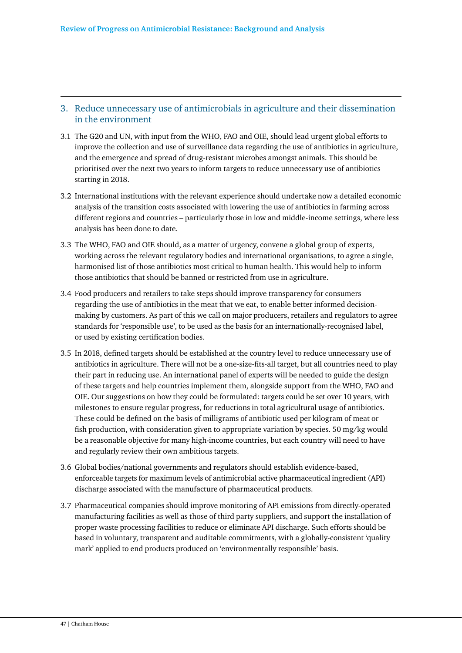### 3. Reduce unnecessary use of antimicrobials in agriculture and their dissemination in the environment

- 3.1 The G20 and UN, with input from the WHO, FAO and OIE, should lead urgent global efforts to improve the collection and use of surveillance data regarding the use of antibiotics in agriculture, and the emergence and spread of drug-resistant microbes amongst animals. This should be prioritised over the next two years to inform targets to reduce unnecessary use of antibiotics starting in 2018.
- 3.2 International institutions with the relevant experience should undertake now a detailed economic analysis of the transition costs associated with lowering the use of antibiotics in farming across different regions and countries – particularly those in low and middle-income settings, where less analysis has been done to date.
- 3.3 The WHO, FAO and OIE should, as a matter of urgency, convene a global group of experts, working across the relevant regulatory bodies and international organisations, to agree a single, harmonised list of those antibiotics most critical to human health. This would help to inform those antibiotics that should be banned or restricted from use in agriculture.
- 3.4 Food producers and retailers to take steps should improve transparency for consumers regarding the use of antibiotics in the meat that we eat, to enable better informed decisionmaking by customers. As part of this we call on major producers, retailers and regulators to agree standards for 'responsible use', to be used as the basis for an internationally-recognised label, or used by existing certification bodies.
- 3.5 In 2018, defined targets should be established at the country level to reduce unnecessary use of antibiotics in agriculture. There will not be a one-size-fits-all target, but all countries need to play their part in reducing use. An international panel of experts will be needed to guide the design of these targets and help countries implement them, alongside support from the WHO, FAO and OIE. Our suggestions on how they could be formulated: targets could be set over 10 years, with milestones to ensure regular progress, for reductions in total agricultural usage of antibiotics. These could be defined on the basis of milligrams of antibiotic used per kilogram of meat or fish production, with consideration given to appropriate variation by species. 50 mg/kg would be a reasonable objective for many high-income countries, but each country will need to have and regularly review their own ambitious targets.
- 3.6 Global bodies/national governments and regulators should establish evidence-based, enforceable targets for maximum levels of antimicrobial active pharmaceutical ingredient (API) discharge associated with the manufacture of pharmaceutical products.
- 3.7 Pharmaceutical companies should improve monitoring of API emissions from directly-operated manufacturing facilities as well as those of third party suppliers, and support the installation of proper waste processing facilities to reduce or eliminate API discharge. Such efforts should be based in voluntary, transparent and auditable commitments, with a globally-consistent 'quality mark' applied to end products produced on 'environmentally responsible' basis.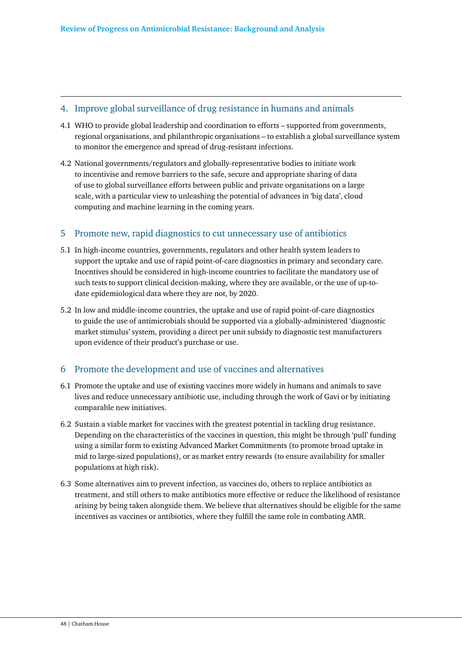#### 4. Improve global surveillance of drug resistance in humans and animals

- 4.1 WHO to provide global leadership and coordination to efforts supported from governments, regional organisations, and philanthropic organisations – to establish a global surveillance system to monitor the emergence and spread of drug-resistant infections.
- 4.2 National governments/regulators and globally-representative bodies to initiate work to incentivise and remove barriers to the safe, secure and appropriate sharing of data of use to global surveillance efforts between public and private organisations on a large scale, with a particular view to unleashing the potential of advances in 'big data', cloud computing and machine learning in the coming years.

#### 5 Promote new, rapid diagnostics to cut unnecessary use of antibiotics

- 5.1 In high-income countries, governments, regulators and other health system leaders to support the uptake and use of rapid point-of-care diagnostics in primary and secondary care. Incentives should be considered in high-income countries to facilitate the mandatory use of such tests to support clinical decision-making, where they are available, or the use of up-todate epidemiological data where they are not, by 2020.
- 5.2 In low and middle-income countries, the uptake and use of rapid point-of-care diagnostics to guide the use of antimicrobials should be supported via a globally-administered 'diagnostic market stimulus' system, providing a direct per unit subsidy to diagnostic test manufacturers upon evidence of their product's purchase or use.

### 6 Promote the development and use of vaccines and alternatives

- 6.1 Promote the uptake and use of existing vaccines more widely in humans and animals to save lives and reduce unnecessary antibiotic use, including through the work of Gavi or by initiating comparable new initiatives.
- 6.2 Sustain a viable market for vaccines with the greatest potential in tackling drug resistance. Depending on the characteristics of the vaccines in question, this might be through 'pull' funding using a similar form to existing Advanced Market Commitments (to promote broad uptake in mid to large-sized populations), or as market entry rewards (to ensure availability for smaller populations at high risk).
- 6.3 Some alternatives aim to prevent infection, as vaccines do, others to replace antibiotics as treatment, and still others to make antibiotics more effective or reduce the likelihood of resistance arising by being taken alongside them. We believe that alternatives should be eligible for the same incentives as vaccines or antibiotics, where they fulfill the same role in combating AMR.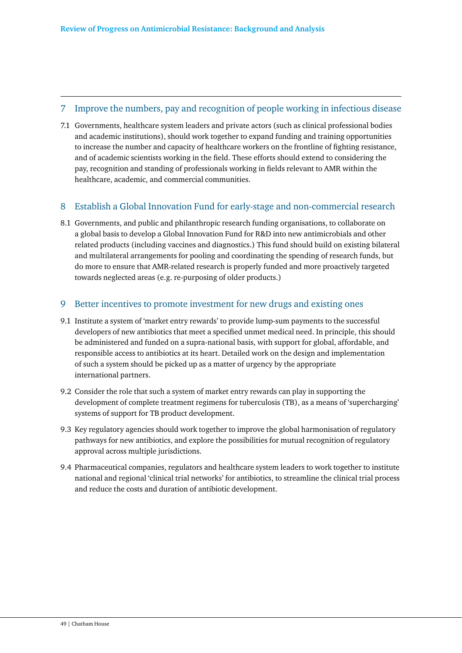### 7 Improve the numbers, pay and recognition of people working in infectious disease

7.1 Governments, healthcare system leaders and private actors (such as clinical professional bodies and academic institutions), should work together to expand funding and training opportunities to increase the number and capacity of healthcare workers on the frontline of fighting resistance, and of academic scientists working in the field. These efforts should extend to considering the pay, recognition and standing of professionals working in fields relevant to AMR within the healthcare, academic, and commercial communities.

### 8 Establish a Global Innovation Fund for early-stage and non-commercial research

8.1 Governments, and public and philanthropic research funding organisations, to collaborate on a global basis to develop a Global Innovation Fund for R&D into new antimicrobials and other related products (including vaccines and diagnostics.) This fund should build on existing bilateral and multilateral arrangements for pooling and coordinating the spending of research funds, but do more to ensure that AMR-related research is properly funded and more proactively targeted towards neglected areas (e.g. re-purposing of older products.)

#### 9 Better incentives to promote investment for new drugs and existing ones

- 9.1 Institute a system of 'market entry rewards' to provide lump-sum payments to the successful developers of new antibiotics that meet a specified unmet medical need. In principle, this should be administered and funded on a supra-national basis, with support for global, affordable, and responsible access to antibiotics at its heart. Detailed work on the design and implementation of such a system should be picked up as a matter of urgency by the appropriate international partners.
- 9.2 Consider the role that such a system of market entry rewards can play in supporting the development of complete treatment regimens for tuberculosis (TB), as a means of 'supercharging' systems of support for TB product development.
- 9.3 Key regulatory agencies should work together to improve the global harmonisation of regulatory pathways for new antibiotics, and explore the possibilities for mutual recognition of regulatory approval across multiple jurisdictions.
- 9.4 Pharmaceutical companies, regulators and healthcare system leaders to work together to institute national and regional 'clinical trial networks' for antibiotics, to streamline the clinical trial process and reduce the costs and duration of antibiotic development.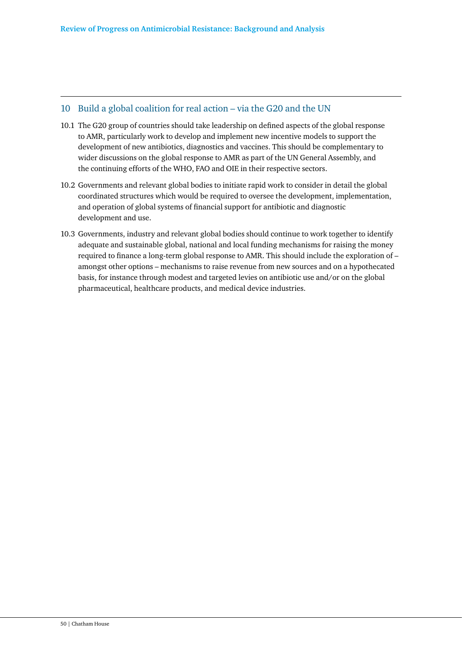#### 10 Build a global coalition for real action – via the G20 and the UN

- 10.1 The G20 group of countries should take leadership on defined aspects of the global response to AMR, particularly work to develop and implement new incentive models to support the development of new antibiotics, diagnostics and vaccines. This should be complementary to wider discussions on the global response to AMR as part of the UN General Assembly, and the continuing efforts of the WHO, FAO and OIE in their respective sectors.
- 10.2 Governments and relevant global bodies to initiate rapid work to consider in detail the global coordinated structures which would be required to oversee the development, implementation, and operation of global systems of financial support for antibiotic and diagnostic development and use.
- 10.3 Governments, industry and relevant global bodies should continue to work together to identify adequate and sustainable global, national and local funding mechanisms for raising the money required to finance a long-term global response to AMR. This should include the exploration of – amongst other options – mechanisms to raise revenue from new sources and on a hypothecated basis, for instance through modest and targeted levies on antibiotic use and/or on the global pharmaceutical, healthcare products, and medical device industries.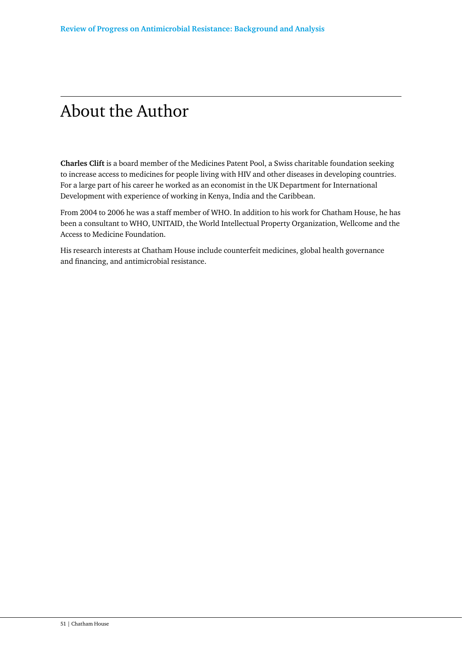# About the Author

**Charles Clift** is a board member of the Medicines Patent Pool, a Swiss charitable foundation seeking to increase access to medicines for people living with HIV and other diseases in developing countries. For a large part of his career he worked as an economist in the UK Department for International Development with experience of working in Kenya, India and the Caribbean.

From 2004 to 2006 he was a staff member of WHO. In addition to his work for Chatham House, he has been a consultant to WHO, UNITAID, the World Intellectual Property Organization, Wellcome and the Access to Medicine Foundation.

His research interests at Chatham House include counterfeit medicines, global health governance and financing, and antimicrobial resistance.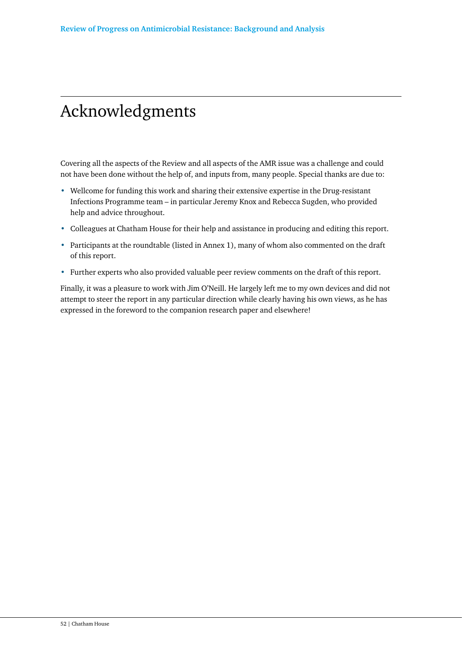# Acknowledgments

Covering all the aspects of the Review and all aspects of the AMR issue was a challenge and could not have been done without the help of, and inputs from, many people. Special thanks are due to:

- Wellcome for funding this work and sharing their extensive expertise in the Drug-resistant Infections Programme team – in particular Jeremy Knox and Rebecca Sugden, who provided help and advice throughout.
- Colleagues at Chatham House for their help and assistance in producing and editing this report.
- Participants at the roundtable (listed in Annex 1), many of whom also commented on the draft of this report.
- Further experts who also provided valuable peer review comments on the draft of this report.

Finally, it was a pleasure to work with Jim O'Neill. He largely left me to my own devices and did not attempt to steer the report in any particular direction while clearly having his own views, as he has expressed in the foreword to the companion research paper and elsewhere!